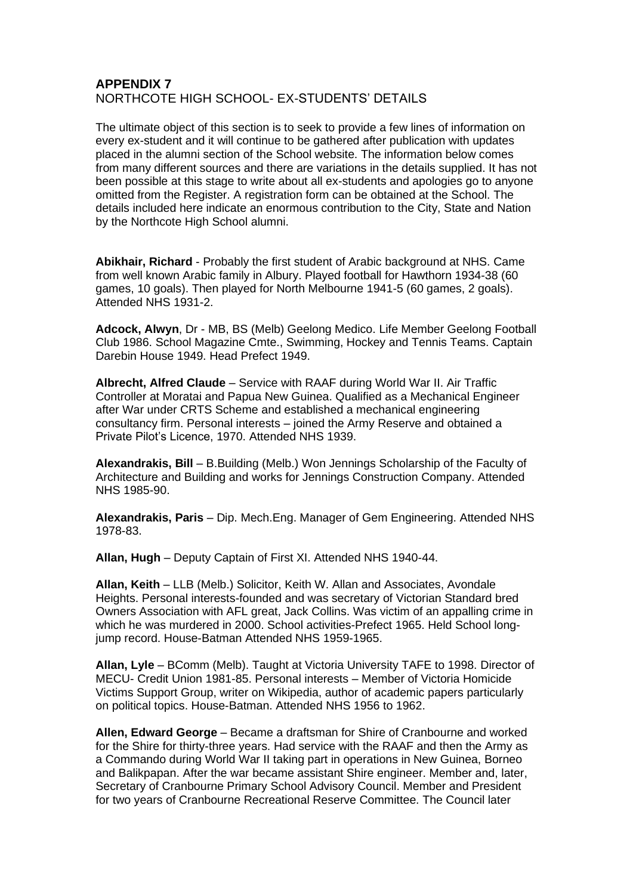## **APPENDIX 7** NORTHCOTE HIGH SCHOOL- EX-STUDENTS' DETAILS

The ultimate object of this section is to seek to provide a few lines of information on every ex-student and it will continue to be gathered after publication with updates placed in the alumni section of the School website. The information below comes from many different sources and there are variations in the details supplied. It has not been possible at this stage to write about all ex-students and apologies go to anyone omitted from the Register. A registration form can be obtained at the School. The details included here indicate an enormous contribution to the City, State and Nation by the Northcote High School alumni.

**Abikhair, Richard** - Probably the first student of Arabic background at NHS. Came from well known Arabic family in Albury. Played football for Hawthorn 1934-38 (60 games, 10 goals). Then played for North Melbourne 1941-5 (60 games, 2 goals). Attended NHS 1931-2.

**Adcock, Alwyn**, Dr - MB, BS (Melb) Geelong Medico. Life Member Geelong Football Club 1986. School Magazine Cmte., Swimming, Hockey and Tennis Teams. Captain Darebin House 1949. Head Prefect 1949.

**Albrecht, Alfred Claude** – Service with RAAF during World War II. Air Traffic Controller at Moratai and Papua New Guinea. Qualified as a Mechanical Engineer after War under CRTS Scheme and established a mechanical engineering consultancy firm. Personal interests – joined the Army Reserve and obtained a Private Pilot's Licence, 1970. Attended NHS 1939.

**Alexandrakis, Bill** – B.Building (Melb.) Won Jennings Scholarship of the Faculty of Architecture and Building and works for Jennings Construction Company. Attended NHS 1985-90.

**Alexandrakis, Paris** – Dip. Mech.Eng. Manager of Gem Engineering. Attended NHS 1978-83.

**Allan, Hugh** – Deputy Captain of First XI. Attended NHS 1940-44.

**Allan, Keith** – LLB (Melb.) Solicitor, Keith W. Allan and Associates, Avondale Heights. Personal interests-founded and was secretary of Victorian Standard bred Owners Association with AFL great, Jack Collins. Was victim of an appalling crime in which he was murdered in 2000. School activities-Prefect 1965. Held School longjump record. House-Batman Attended NHS 1959-1965.

**Allan, Lyle** – BComm (Melb). Taught at Victoria University TAFE to 1998. Director of MECU- Credit Union 1981-85. Personal interests – Member of Victoria Homicide Victims Support Group, writer on Wikipedia, author of academic papers particularly on political topics. House-Batman. Attended NHS 1956 to 1962.

**Allen, Edward George** – Became a draftsman for Shire of Cranbourne and worked for the Shire for thirty-three years. Had service with the RAAF and then the Army as a Commando during World War II taking part in operations in New Guinea, Borneo and Balikpapan. After the war became assistant Shire engineer. Member and, later, Secretary of Cranbourne Primary School Advisory Council. Member and President for two years of Cranbourne Recreational Reserve Committee. The Council later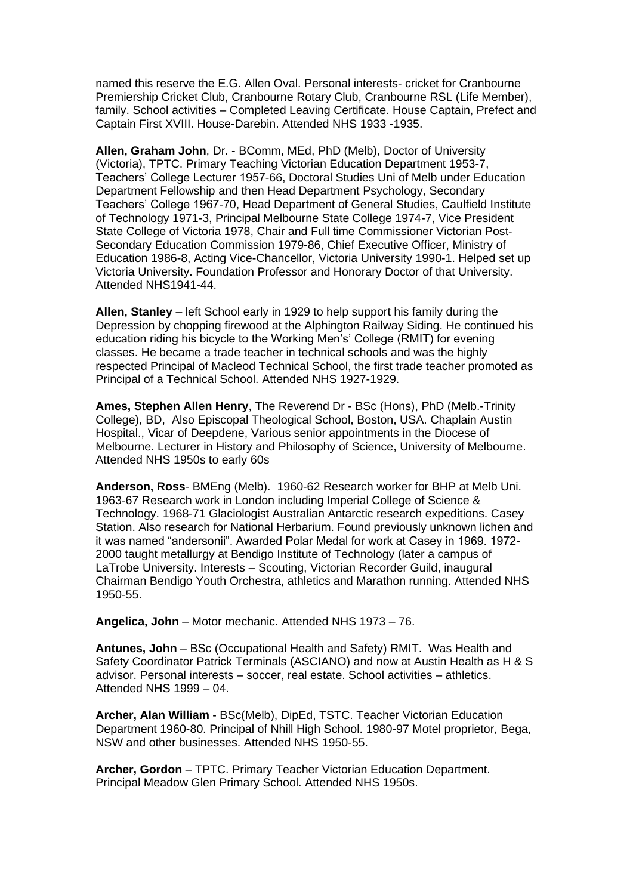named this reserve the E.G. Allen Oval. Personal interests- cricket for Cranbourne Premiership Cricket Club, Cranbourne Rotary Club, Cranbourne RSL (Life Member), family. School activities – Completed Leaving Certificate. House Captain, Prefect and Captain First XVIII. House-Darebin. Attended NHS 1933 -1935.

**Allen, Graham John**, Dr. - BComm, MEd, PhD (Melb), Doctor of University (Victoria), TPTC. Primary Teaching Victorian Education Department 1953-7, Teachers' College Lecturer 1957-66, Doctoral Studies Uni of Melb under Education Department Fellowship and then Head Department Psychology, Secondary Teachers' College 1967-70, Head Department of General Studies, Caulfield Institute of Technology 1971-3, Principal Melbourne State College 1974-7, Vice President State College of Victoria 1978, Chair and Full time Commissioner Victorian Post-Secondary Education Commission 1979-86, Chief Executive Officer, Ministry of Education 1986-8, Acting Vice-Chancellor, Victoria University 1990-1. Helped set up Victoria University. Foundation Professor and Honorary Doctor of that University. Attended NHS1941-44.

**Allen, Stanley** – left School early in 1929 to help support his family during the Depression by chopping firewood at the Alphington Railway Siding. He continued his education riding his bicycle to the Working Men's' College (RMIT) for evening classes. He became a trade teacher in technical schools and was the highly respected Principal of Macleod Technical School, the first trade teacher promoted as Principal of a Technical School. Attended NHS 1927-1929.

**Ames, Stephen Allen Henry**, The Reverend Dr - BSc (Hons), PhD (Melb.-Trinity College), BD, Also Episcopal Theological School, Boston, USA. Chaplain Austin Hospital., Vicar of Deepdene, Various senior appointments in the Diocese of Melbourne. Lecturer in History and Philosophy of Science, University of Melbourne. Attended NHS 1950s to early 60s

**Anderson, Ross**- BMEng (Melb). 1960-62 Research worker for BHP at Melb Uni. 1963-67 Research work in London including Imperial College of Science & Technology. 1968-71 Glaciologist Australian Antarctic research expeditions. Casey Station. Also research for National Herbarium. Found previously unknown lichen and it was named "andersonii". Awarded Polar Medal for work at Casey in 1969. 1972- 2000 taught metallurgy at Bendigo Institute of Technology (later a campus of LaTrobe University. Interests – Scouting, Victorian Recorder Guild, inaugural Chairman Bendigo Youth Orchestra, athletics and Marathon running. Attended NHS 1950-55.

**Angelica, John** – Motor mechanic. Attended NHS 1973 – 76.

**Antunes, John** – BSc (Occupational Health and Safety) RMIT. Was Health and Safety Coordinator Patrick Terminals (ASCIANO) and now at Austin Health as H & S advisor. Personal interests – soccer, real estate. School activities – athletics. Attended NHS 1999 – 04.

**Archer, Alan William** - BSc(Melb), DipEd, TSTC. Teacher Victorian Education Department 1960-80. Principal of Nhill High School. 1980-97 Motel proprietor, Bega, NSW and other businesses. Attended NHS 1950-55.

**Archer, Gordon** – TPTC. Primary Teacher Victorian Education Department. Principal Meadow Glen Primary School. Attended NHS 1950s.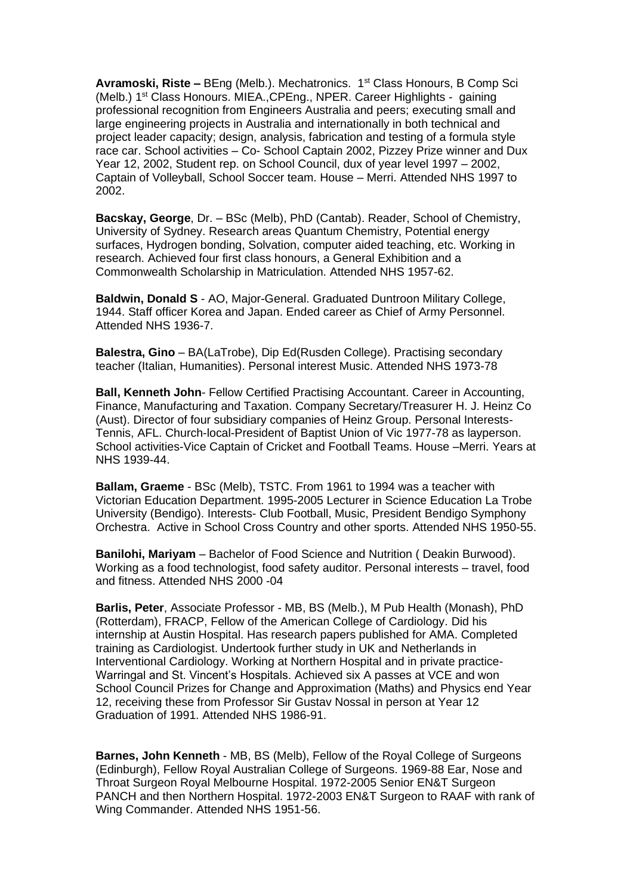**Avramoski, Riste –** BEng (Melb.). Mechatronics. 1st Class Honours, B Comp Sci (Melb.) 1<sup>st</sup> Class Honours. MIEA., CPEng., NPER. Career Highlights - gaining professional recognition from Engineers Australia and peers; executing small and large engineering projects in Australia and internationally in both technical and project leader capacity; design, analysis, fabrication and testing of a formula style race car. School activities – Co- School Captain 2002, Pizzey Prize winner and Dux Year 12, 2002, Student rep. on School Council, dux of year level 1997 – 2002, Captain of Volleyball, School Soccer team. House – Merri. Attended NHS 1997 to 2002.

**Bacskay, George**, Dr. – BSc (Melb), PhD (Cantab). Reader, School of Chemistry, University of Sydney. Research areas Quantum Chemistry, Potential energy surfaces, Hydrogen bonding, Solvation, computer aided teaching, etc. Working in research. Achieved four first class honours, a General Exhibition and a Commonwealth Scholarship in Matriculation. Attended NHS 1957-62.

**Baldwin, Donald S** - AO, Major-General. Graduated Duntroon Military College, 1944. Staff officer Korea and Japan. Ended career as Chief of Army Personnel. Attended NHS 1936-7.

**Balestra, Gino** – BA(LaTrobe), Dip Ed(Rusden College). Practising secondary teacher (Italian, Humanities). Personal interest Music. Attended NHS 1973-78

**Ball, Kenneth John**- Fellow Certified Practising Accountant. Career in Accounting, Finance, Manufacturing and Taxation. Company Secretary/Treasurer H. J. Heinz Co (Aust). Director of four subsidiary companies of Heinz Group. Personal Interests-Tennis, AFL. Church-local-President of Baptist Union of Vic 1977-78 as layperson. School activities-Vice Captain of Cricket and Football Teams. House –Merri. Years at NHS 1939-44.

**Ballam, Graeme** - BSc (Melb), TSTC. From 1961 to 1994 was a teacher with Victorian Education Department. 1995-2005 Lecturer in Science Education La Trobe University (Bendigo). Interests- Club Football, Music, President Bendigo Symphony Orchestra. Active in School Cross Country and other sports. Attended NHS 1950-55.

**Banilohi, Mariyam** – Bachelor of Food Science and Nutrition ( Deakin Burwood). Working as a food technologist, food safety auditor. Personal interests – travel, food and fitness. Attended NHS 2000 -04

**Barlis, Peter**, Associate Professor - MB, BS (Melb.), M Pub Health (Monash), PhD (Rotterdam), FRACP, Fellow of the American College of Cardiology. Did his internship at Austin Hospital. Has research papers published for AMA. Completed training as Cardiologist. Undertook further study in UK and Netherlands in Interventional Cardiology. Working at Northern Hospital and in private practice-Warringal and St. Vincent's Hospitals. Achieved six A passes at VCE and won School Council Prizes for Change and Approximation (Maths) and Physics end Year 12, receiving these from Professor Sir Gustav Nossal in person at Year 12 Graduation of 1991. Attended NHS 1986-91.

**Barnes, John Kenneth** - MB, BS (Melb), Fellow of the Royal College of Surgeons (Edinburgh), Fellow Royal Australian College of Surgeons. 1969-88 Ear, Nose and Throat Surgeon Royal Melbourne Hospital. 1972-2005 Senior EN&T Surgeon PANCH and then Northern Hospital. 1972-2003 EN&T Surgeon to RAAF with rank of Wing Commander. Attended NHS 1951-56.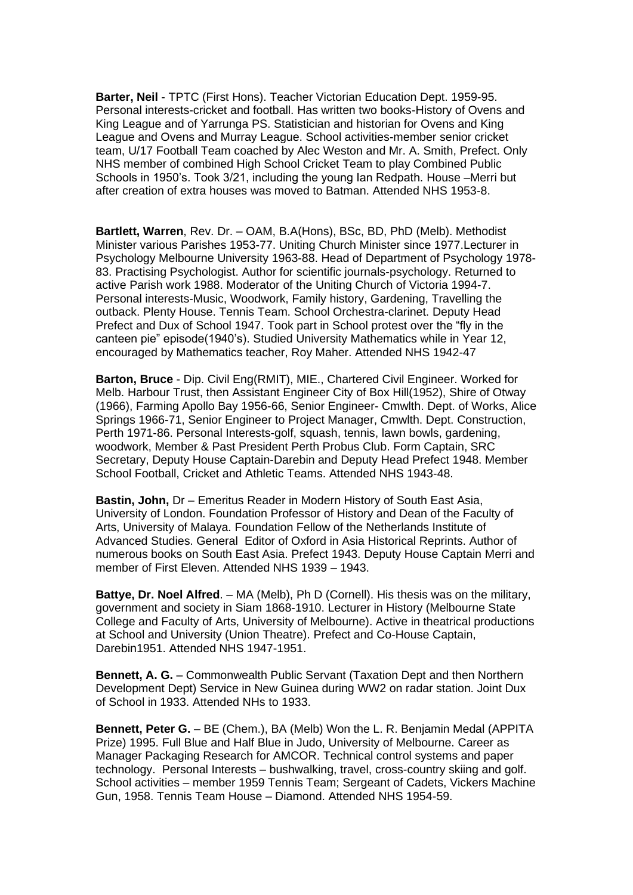**Barter, Neil** - TPTC (First Hons). Teacher Victorian Education Dept. 1959-95. Personal interests-cricket and football. Has written two books-History of Ovens and King League and of Yarrunga PS. Statistician and historian for Ovens and King League and Ovens and Murray League. School activities-member senior cricket team, U/17 Football Team coached by Alec Weston and Mr. A. Smith, Prefect. Only NHS member of combined High School Cricket Team to play Combined Public Schools in 1950's. Took 3/21, including the young Ian Redpath. House –Merri but after creation of extra houses was moved to Batman. Attended NHS 1953-8.

**Bartlett, Warren**, Rev. Dr. – OAM, B.A(Hons), BSc, BD, PhD (Melb). Methodist Minister various Parishes 1953-77. Uniting Church Minister since 1977.Lecturer in Psychology Melbourne University 1963-88. Head of Department of Psychology 1978- 83. Practising Psychologist. Author for scientific journals-psychology. Returned to active Parish work 1988. Moderator of the Uniting Church of Victoria 1994-7. Personal interests-Music, Woodwork, Family history, Gardening, Travelling the outback. Plenty House. Tennis Team. School Orchestra-clarinet. Deputy Head Prefect and Dux of School 1947. Took part in School protest over the "fly in the canteen pie" episode(1940's). Studied University Mathematics while in Year 12, encouraged by Mathematics teacher, Roy Maher. Attended NHS 1942-47

**Barton, Bruce** - Dip. Civil Eng(RMIT), MIE., Chartered Civil Engineer. Worked for Melb. Harbour Trust, then Assistant Engineer City of Box Hill(1952), Shire of Otway (1966), Farming Apollo Bay 1956-66, Senior Engineer- Cmwlth. Dept. of Works, Alice Springs 1966-71, Senior Engineer to Project Manager, Cmwlth. Dept. Construction, Perth 1971-86. Personal Interests-golf, squash, tennis, lawn bowls, gardening, woodwork, Member & Past President Perth Probus Club. Form Captain, SRC Secretary, Deputy House Captain-Darebin and Deputy Head Prefect 1948. Member School Football, Cricket and Athletic Teams. Attended NHS 1943-48.

**Bastin, John,** Dr – Emeritus Reader in Modern History of South East Asia, University of London. Foundation Professor of History and Dean of the Faculty of Arts, University of Malaya. Foundation Fellow of the Netherlands Institute of Advanced Studies. General Editor of Oxford in Asia Historical Reprints. Author of numerous books on South East Asia. Prefect 1943. Deputy House Captain Merri and member of First Eleven. Attended NHS 1939 – 1943.

**Battye, Dr. Noel Alfred.** – MA (Melb), Ph D (Cornell). His thesis was on the military, government and society in Siam 1868-1910. Lecturer in History (Melbourne State College and Faculty of Arts, University of Melbourne). Active in theatrical productions at School and University (Union Theatre). Prefect and Co-House Captain, Darebin1951. Attended NHS 1947-1951.

**Bennett, A. G.** – Commonwealth Public Servant (Taxation Dept and then Northern Development Dept) Service in New Guinea during WW2 on radar station. Joint Dux of School in 1933. Attended NHs to 1933.

**Bennett, Peter G.** – BE (Chem.), BA (Melb) Won the L. R. Benjamin Medal (APPITA Prize) 1995. Full Blue and Half Blue in Judo, University of Melbourne. Career as Manager Packaging Research for AMCOR. Technical control systems and paper technology. Personal Interests – bushwalking, travel, cross-country skiing and golf. School activities – member 1959 Tennis Team; Sergeant of Cadets, Vickers Machine Gun, 1958. Tennis Team House – Diamond. Attended NHS 1954-59.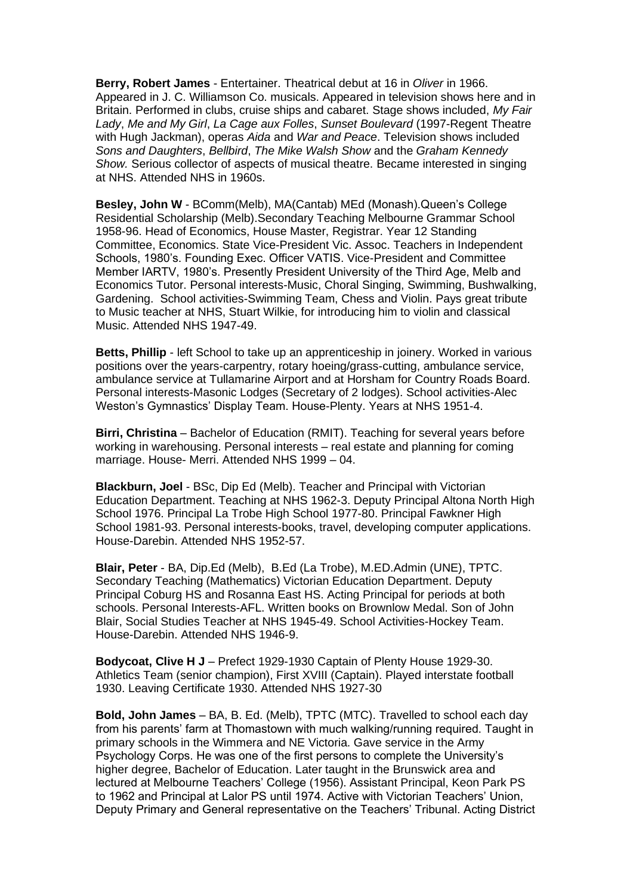**Berry, Robert James** - Entertainer. Theatrical debut at 16 in *Oliver* in 1966. Appeared in J. C. Williamson Co. musicals. Appeared in television shows here and in Britain. Performed in clubs, cruise ships and cabaret. Stage shows included, *My Fair Lady*, *Me and My Girl*, *La Cage aux Folles*, *Sunset Boulevard* (1997-Regent Theatre with Hugh Jackman), operas *Aida* and *War and Peace*. Television shows included *Sons and Daughters*, *Bellbird*, *The Mike Walsh Show* and the *Graham Kennedy Show.* Serious collector of aspects of musical theatre. Became interested in singing at NHS. Attended NHS in 1960s.

**Besley, John W** - BComm(Melb), MA(Cantab) MEd (Monash).Queen's College Residential Scholarship (Melb).Secondary Teaching Melbourne Grammar School 1958-96. Head of Economics, House Master, Registrar. Year 12 Standing Committee, Economics. State Vice-President Vic. Assoc. Teachers in Independent Schools, 1980's. Founding Exec. Officer VATIS. Vice-President and Committee Member IARTV, 1980's. Presently President University of the Third Age, Melb and Economics Tutor. Personal interests-Music, Choral Singing, Swimming, Bushwalking, Gardening. School activities-Swimming Team, Chess and Violin. Pays great tribute to Music teacher at NHS, Stuart Wilkie, for introducing him to violin and classical Music. Attended NHS 1947-49.

**Betts, Phillip** - left School to take up an apprenticeship in joinery. Worked in various positions over the years-carpentry, rotary hoeing/grass-cutting, ambulance service, ambulance service at Tullamarine Airport and at Horsham for Country Roads Board. Personal interests-Masonic Lodges (Secretary of 2 lodges). School activities-Alec Weston's Gymnastics' Display Team. House-Plenty. Years at NHS 1951-4.

**Birri, Christina** – Bachelor of Education (RMIT). Teaching for several years before working in warehousing. Personal interests – real estate and planning for coming marriage. House- Merri. Attended NHS 1999 – 04.

**Blackburn, Joel** - BSc, Dip Ed (Melb). Teacher and Principal with Victorian Education Department. Teaching at NHS 1962-3. Deputy Principal Altona North High School 1976. Principal La Trobe High School 1977-80. Principal Fawkner High School 1981-93. Personal interests-books, travel, developing computer applications. House-Darebin. Attended NHS 1952-57.

**Blair, Peter** - BA, Dip.Ed (Melb), B.Ed (La Trobe), M.ED.Admin (UNE), TPTC. Secondary Teaching (Mathematics) Victorian Education Department. Deputy Principal Coburg HS and Rosanna East HS. Acting Principal for periods at both schools. Personal Interests-AFL. Written books on Brownlow Medal. Son of John Blair, Social Studies Teacher at NHS 1945-49. School Activities-Hockey Team. House-Darebin. Attended NHS 1946-9.

**Bodycoat, Clive H J** – Prefect 1929-1930 Captain of Plenty House 1929-30. Athletics Team (senior champion), First XVIII (Captain). Played interstate football 1930. Leaving Certificate 1930. Attended NHS 1927-30

**Bold, John James** – BA, B. Ed. (Melb), TPTC (MTC). Travelled to school each day from his parents' farm at Thomastown with much walking/running required. Taught in primary schools in the Wimmera and NE Victoria. Gave service in the Army Psychology Corps. He was one of the first persons to complete the University's higher degree, Bachelor of Education. Later taught in the Brunswick area and lectured at Melbourne Teachers' College (1956). Assistant Principal, Keon Park PS to 1962 and Principal at Lalor PS until 1974. Active with Victorian Teachers' Union, Deputy Primary and General representative on the Teachers' Tribunal. Acting District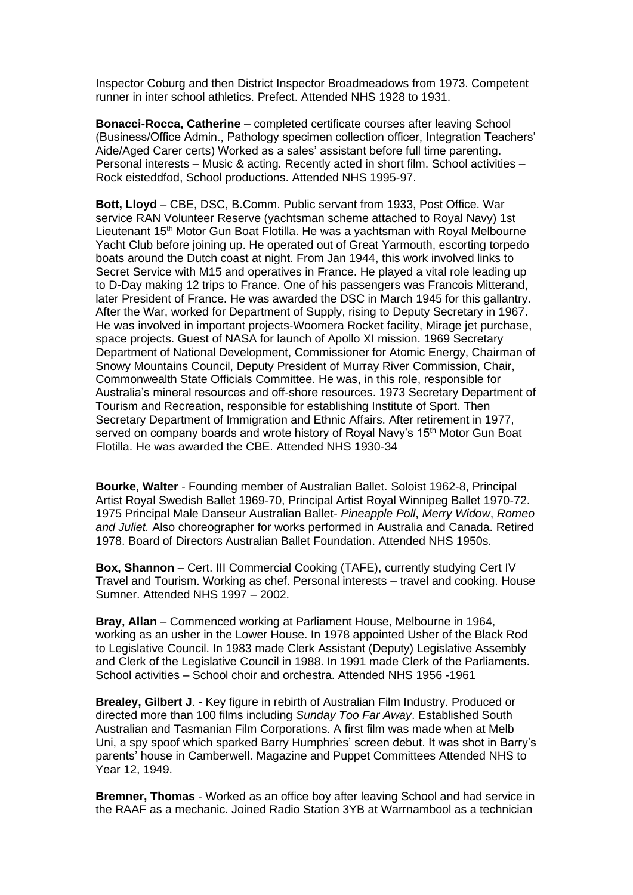Inspector Coburg and then District Inspector Broadmeadows from 1973. Competent runner in inter school athletics. Prefect. Attended NHS 1928 to 1931.

**Bonacci-Rocca, Catherine** – completed certificate courses after leaving School (Business/Office Admin., Pathology specimen collection officer, Integration Teachers' Aide/Aged Carer certs) Worked as a sales' assistant before full time parenting. Personal interests – Music & acting. Recently acted in short film. School activities – Rock eisteddfod, School productions. Attended NHS 1995-97.

**Bott, Lloyd** – CBE, DSC, B.Comm. Public servant from 1933, Post Office. War service RAN Volunteer Reserve (yachtsman scheme attached to Royal Navy) 1st Lieutenant 15<sup>th</sup> Motor Gun Boat Flotilla. He was a yachtsman with Royal Melbourne Yacht Club before joining up. He operated out of Great Yarmouth, escorting torpedo boats around the Dutch coast at night. From Jan 1944, this work involved links to Secret Service with M15 and operatives in France. He played a vital role leading up to D-Day making 12 trips to France. One of his passengers was Francois Mitterand, later President of France. He was awarded the DSC in March 1945 for this gallantry. After the War, worked for Department of Supply, rising to Deputy Secretary in 1967. He was involved in important projects-Woomera Rocket facility, Mirage jet purchase, space projects. Guest of NASA for launch of Apollo XI mission. 1969 Secretary Department of National Development, Commissioner for Atomic Energy, Chairman of Snowy Mountains Council, Deputy President of Murray River Commission, Chair, Commonwealth State Officials Committee. He was, in this role, responsible for Australia's mineral resources and off-shore resources. 1973 Secretary Department of Tourism and Recreation, responsible for establishing Institute of Sport. Then Secretary Department of Immigration and Ethnic Affairs. After retirement in 1977, served on company boards and wrote history of Royal Navy's 15<sup>th</sup> Motor Gun Boat Flotilla. He was awarded the CBE. Attended NHS 1930-34

**Bourke, Walter** - Founding member of Australian Ballet. Soloist 1962-8, Principal Artist Royal Swedish Ballet 1969-70, Principal Artist Royal Winnipeg Ballet 1970-72. 1975 Principal Male Danseur Australian Ballet- *Pineapple Poll*, *Merry Widow*, *Romeo and Juliet.* Also choreographer for works performed in Australia and Canada. Retired 1978. Board of Directors Australian Ballet Foundation. Attended NHS 1950s.

**Box, Shannon** – Cert. III Commercial Cooking (TAFE), currently studying Cert IV Travel and Tourism. Working as chef. Personal interests – travel and cooking. House Sumner. Attended NHS 1997 – 2002.

**Bray, Allan** – Commenced working at Parliament House, Melbourne in 1964, working as an usher in the Lower House. In 1978 appointed Usher of the Black Rod to Legislative Council. In 1983 made Clerk Assistant (Deputy) Legislative Assembly and Clerk of the Legislative Council in 1988. In 1991 made Clerk of the Parliaments. School activities – School choir and orchestra. Attended NHS 1956 -1961

**Brealey, Gilbert J**. - Key figure in rebirth of Australian Film Industry. Produced or directed more than 100 films including *Sunday Too Far Away*. Established South Australian and Tasmanian Film Corporations. A first film was made when at Melb Uni, a spy spoof which sparked Barry Humphries' screen debut. It was shot in Barry's parents' house in Camberwell. Magazine and Puppet Committees Attended NHS to Year 12, 1949.

**Bremner, Thomas** - Worked as an office boy after leaving School and had service in the RAAF as a mechanic. Joined Radio Station 3YB at Warrnambool as a technician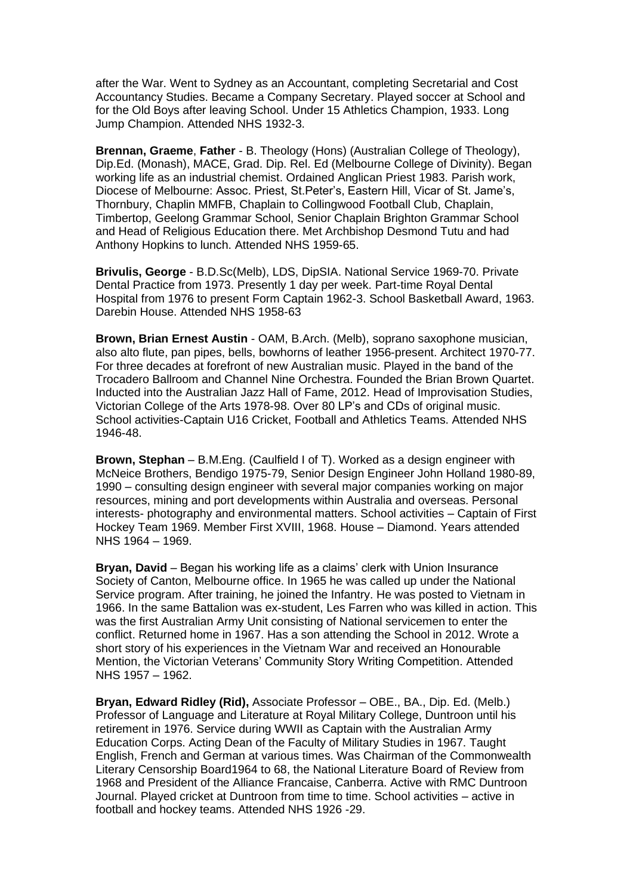after the War. Went to Sydney as an Accountant, completing Secretarial and Cost Accountancy Studies. Became a Company Secretary. Played soccer at School and for the Old Boys after leaving School. Under 15 Athletics Champion, 1933. Long Jump Champion. Attended NHS 1932-3.

**Brennan, Graeme**, **Father** - B. Theology (Hons) (Australian College of Theology), Dip.Ed. (Monash), MACE, Grad. Dip. Rel. Ed (Melbourne College of Divinity). Began working life as an industrial chemist. Ordained Anglican Priest 1983. Parish work, Diocese of Melbourne: Assoc. Priest, St.Peter's, Eastern Hill, Vicar of St. Jame's, Thornbury, Chaplin MMFB, Chaplain to Collingwood Football Club, Chaplain, Timbertop, Geelong Grammar School, Senior Chaplain Brighton Grammar School and Head of Religious Education there. Met Archbishop Desmond Tutu and had Anthony Hopkins to lunch. Attended NHS 1959-65.

**Brivulis, George** - B.D.Sc(Melb), LDS, DipSIA. National Service 1969-70. Private Dental Practice from 1973. Presently 1 day per week. Part-time Royal Dental Hospital from 1976 to present Form Captain 1962-3. School Basketball Award, 1963. Darebin House. Attended NHS 1958-63

**Brown, Brian Ernest Austin** - OAM, B.Arch. (Melb), soprano saxophone musician, also alto flute, pan pipes, bells, bowhorns of leather 1956-present. Architect 1970-77. For three decades at forefront of new Australian music. Played in the band of the Trocadero Ballroom and Channel Nine Orchestra. Founded the Brian Brown Quartet. Inducted into the Australian Jazz Hall of Fame, 2012. Head of Improvisation Studies, Victorian College of the Arts 1978-98. Over 80 LP's and CDs of original music. School activities-Captain U16 Cricket, Football and Athletics Teams. Attended NHS 1946-48.

**Brown, Stephan** – B.M.Eng. (Caulfield I of T). Worked as a design engineer with McNeice Brothers, Bendigo 1975-79, Senior Design Engineer John Holland 1980-89, 1990 – consulting design engineer with several major companies working on major resources, mining and port developments within Australia and overseas. Personal interests- photography and environmental matters. School activities – Captain of First Hockey Team 1969. Member First XVIII, 1968. House – Diamond. Years attended NHS 1964 – 1969.

**Bryan, David** – Began his working life as a claims' clerk with Union Insurance Society of Canton, Melbourne office. In 1965 he was called up under the National Service program. After training, he joined the Infantry. He was posted to Vietnam in 1966. In the same Battalion was ex-student, Les Farren who was killed in action. This was the first Australian Army Unit consisting of National servicemen to enter the conflict. Returned home in 1967. Has a son attending the School in 2012. Wrote a short story of his experiences in the Vietnam War and received an Honourable Mention, the Victorian Veterans' Community Story Writing Competition. Attended NHS 1957 – 1962.

**Bryan, Edward Ridley (Rid),** Associate Professor – OBE., BA., Dip. Ed. (Melb.) Professor of Language and Literature at Royal Military College, Duntroon until his retirement in 1976. Service during WWII as Captain with the Australian Army Education Corps. Acting Dean of the Faculty of Military Studies in 1967. Taught English, French and German at various times. Was Chairman of the Commonwealth Literary Censorship Board1964 to 68, the National Literature Board of Review from 1968 and President of the Alliance Francaise, Canberra. Active with RMC Duntroon Journal. Played cricket at Duntroon from time to time. School activities – active in football and hockey teams. Attended NHS 1926 -29.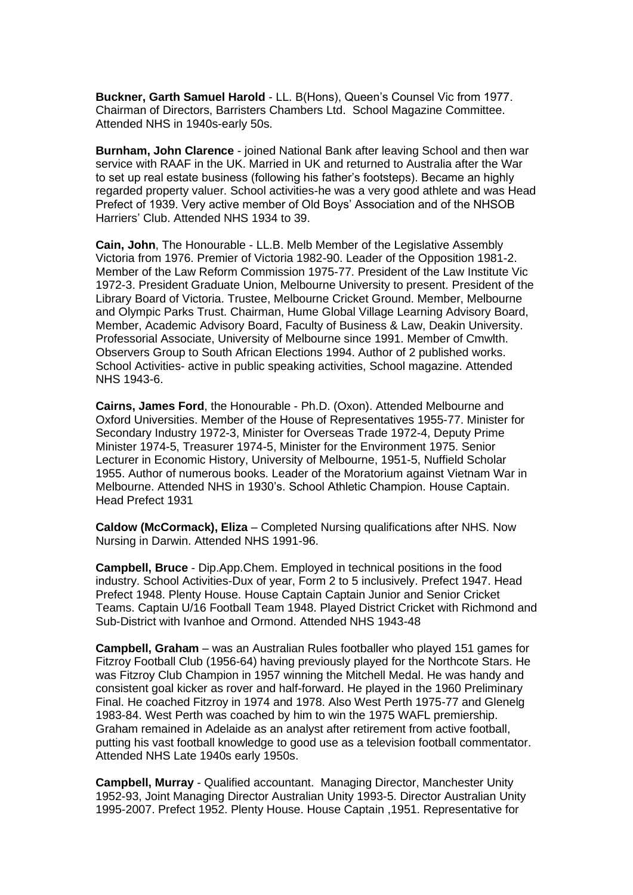**Buckner, Garth Samuel Harold** - LL. B(Hons), Queen's Counsel Vic from 1977. Chairman of Directors, Barristers Chambers Ltd. School Magazine Committee. Attended NHS in 1940s-early 50s.

**Burnham, John Clarence** - joined National Bank after leaving School and then war service with RAAF in the UK. Married in UK and returned to Australia after the War to set up real estate business (following his father's footsteps). Became an highly regarded property valuer. School activities-he was a very good athlete and was Head Prefect of 1939. Very active member of Old Boys' Association and of the NHSOB Harriers' Club. Attended NHS 1934 to 39.

**Cain, John**, The Honourable - LL.B. Melb Member of the Legislative Assembly Victoria from 1976. Premier of Victoria 1982-90. Leader of the Opposition 1981-2. Member of the Law Reform Commission 1975-77. President of the Law Institute Vic 1972-3. President Graduate Union, Melbourne University to present. President of the Library Board of Victoria. Trustee, Melbourne Cricket Ground. Member, Melbourne and Olympic Parks Trust. Chairman, Hume Global Village Learning Advisory Board, Member, Academic Advisory Board, Faculty of Business & Law, Deakin University. Professorial Associate, University of Melbourne since 1991. Member of Cmwlth. Observers Group to South African Elections 1994. Author of 2 published works. School Activities- active in public speaking activities, School magazine. Attended NHS 1943-6.

**Cairns, James Ford**, the Honourable - Ph.D. (Oxon). Attended Melbourne and Oxford Universities. Member of the House of Representatives 1955-77. Minister for Secondary Industry 1972-3, Minister for Overseas Trade 1972-4, Deputy Prime Minister 1974-5, Treasurer 1974-5, Minister for the Environment 1975. Senior Lecturer in Economic History, University of Melbourne, 1951-5, Nuffield Scholar 1955. Author of numerous books. Leader of the Moratorium against Vietnam War in Melbourne. Attended NHS in 1930's. School Athletic Champion. House Captain. Head Prefect 1931

**Caldow (McCormack), Eliza** – Completed Nursing qualifications after NHS. Now Nursing in Darwin. Attended NHS 1991-96.

**Campbell, Bruce** - Dip.App.Chem. Employed in technical positions in the food industry. School Activities-Dux of year, Form 2 to 5 inclusively. Prefect 1947. Head Prefect 1948. Plenty House. House Captain Captain Junior and Senior Cricket Teams. Captain U/16 Football Team 1948. Played District Cricket with Richmond and Sub-District with Ivanhoe and Ormond. Attended NHS 1943-48

**Campbell, Graham** – was an Australian Rules footballer who played 151 games for Fitzroy Football Club (1956-64) having previously played for the Northcote Stars. He was Fitzroy Club Champion in 1957 winning the Mitchell Medal. He was handy and consistent goal kicker as rover and half-forward. He played in the 1960 Preliminary Final. He coached Fitzroy in 1974 and 1978. Also West Perth 1975-77 and Glenelg 1983-84. West Perth was coached by him to win the 1975 WAFL premiership. Graham remained in Adelaide as an analyst after retirement from active football, putting his vast football knowledge to good use as a television football commentator. Attended NHS Late 1940s early 1950s.

**Campbell, Murray** - Qualified accountant. Managing Director, Manchester Unity 1952-93, Joint Managing Director Australian Unity 1993-5. Director Australian Unity 1995-2007. Prefect 1952. Plenty House. House Captain ,1951. Representative for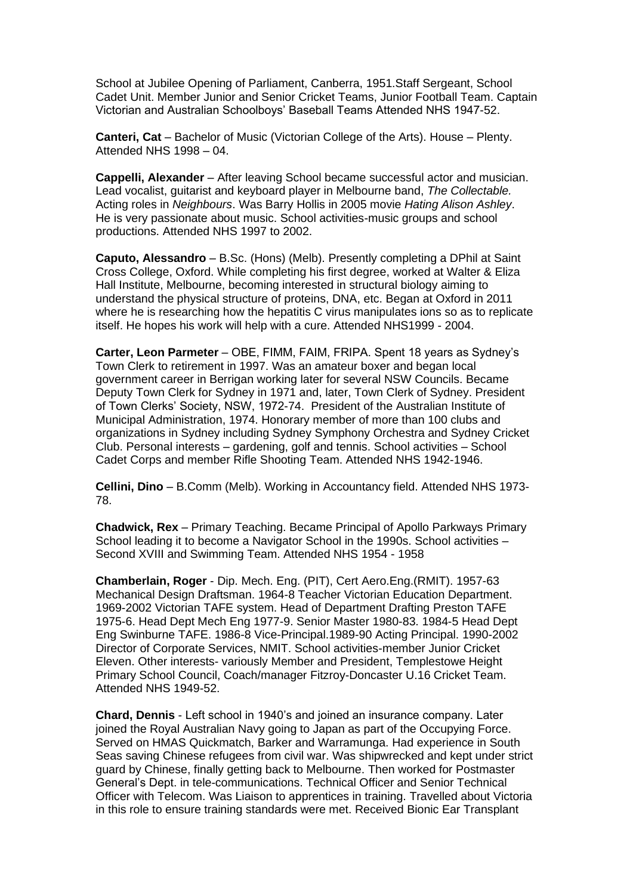School at Jubilee Opening of Parliament, Canberra, 1951.Staff Sergeant, School Cadet Unit. Member Junior and Senior Cricket Teams, Junior Football Team. Captain Victorian and Australian Schoolboys' Baseball Teams Attended NHS 1947-52.

**Canteri, Cat** – Bachelor of Music (Victorian College of the Arts). House – Plenty. Attended NHS 1998 – 04.

**Cappelli, Alexander** – After leaving School became successful actor and musician. Lead vocalist, guitarist and keyboard player in Melbourne band, *The Collectable.*  Acting roles in *Neighbours*. Was Barry Hollis in 2005 movie *Hating Alison Ashley*. He is very passionate about music. School activities-music groups and school productions. Attended NHS 1997 to 2002.

**Caputo, Alessandro** – B.Sc. (Hons) (Melb). Presently completing a DPhil at Saint Cross College, Oxford. While completing his first degree, worked at Walter & Eliza Hall Institute, Melbourne, becoming interested in structural biology aiming to understand the physical structure of proteins, DNA, etc. Began at Oxford in 2011 where he is researching how the hepatitis C virus manipulates ions so as to replicate itself. He hopes his work will help with a cure. Attended NHS1999 - 2004.

**Carter, Leon Parmeter** – OBE, FIMM, FAIM, FRIPA. Spent 18 years as Sydney's Town Clerk to retirement in 1997. Was an amateur boxer and began local government career in Berrigan working later for several NSW Councils. Became Deputy Town Clerk for Sydney in 1971 and, later, Town Clerk of Sydney. President of Town Clerks' Society, NSW, 1972-74. President of the Australian Institute of Municipal Administration, 1974. Honorary member of more than 100 clubs and organizations in Sydney including Sydney Symphony Orchestra and Sydney Cricket Club. Personal interests – gardening, golf and tennis. School activities – School Cadet Corps and member Rifle Shooting Team. Attended NHS 1942-1946.

**Cellini, Dino** – B.Comm (Melb). Working in Accountancy field. Attended NHS 1973- 78.

**Chadwick, Rex** – Primary Teaching. Became Principal of Apollo Parkways Primary School leading it to become a Navigator School in the 1990s. School activities – Second XVIII and Swimming Team. Attended NHS 1954 - 1958

**Chamberlain, Roger** - Dip. Mech. Eng. (PIT), Cert Aero.Eng.(RMIT). 1957-63 Mechanical Design Draftsman. 1964-8 Teacher Victorian Education Department. 1969-2002 Victorian TAFE system. Head of Department Drafting Preston TAFE 1975-6. Head Dept Mech Eng 1977-9. Senior Master 1980-83. 1984-5 Head Dept Eng Swinburne TAFE. 1986-8 Vice-Principal.1989-90 Acting Principal. 1990-2002 Director of Corporate Services, NMIT. School activities-member Junior Cricket Eleven. Other interests- variously Member and President, Templestowe Height Primary School Council, Coach/manager Fitzroy-Doncaster U.16 Cricket Team. Attended NHS 1949-52.

**Chard, Dennis** - Left school in 1940's and joined an insurance company. Later joined the Royal Australian Navy going to Japan as part of the Occupying Force. Served on HMAS Quickmatch, Barker and Warramunga. Had experience in South Seas saving Chinese refugees from civil war. Was shipwrecked and kept under strict guard by Chinese, finally getting back to Melbourne. Then worked for Postmaster General's Dept. in tele-communications. Technical Officer and Senior Technical Officer with Telecom. Was Liaison to apprentices in training. Travelled about Victoria in this role to ensure training standards were met. Received Bionic Ear Transplant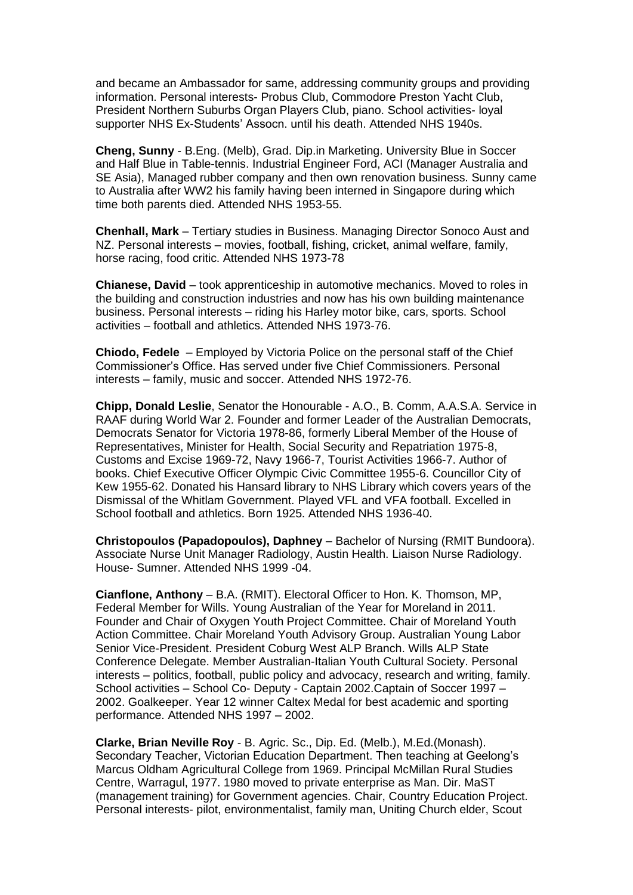and became an Ambassador for same, addressing community groups and providing information. Personal interests- Probus Club, Commodore Preston Yacht Club, President Northern Suburbs Organ Players Club, piano. School activities- loyal supporter NHS Ex-Students' Assocn. until his death. Attended NHS 1940s.

**Cheng, Sunny** - B.Eng. (Melb), Grad. Dip.in Marketing. University Blue in Soccer and Half Blue in Table-tennis. Industrial Engineer Ford, ACI (Manager Australia and SE Asia), Managed rubber company and then own renovation business. Sunny came to Australia after WW2 his family having been interned in Singapore during which time both parents died. Attended NHS 1953-55.

**Chenhall, Mark** – Tertiary studies in Business. Managing Director Sonoco Aust and NZ. Personal interests – movies, football, fishing, cricket, animal welfare, family, horse racing, food critic. Attended NHS 1973-78

**Chianese, David** – took apprenticeship in automotive mechanics. Moved to roles in the building and construction industries and now has his own building maintenance business. Personal interests – riding his Harley motor bike, cars, sports. School activities – football and athletics. Attended NHS 1973-76.

**Chiodo, Fedele** – Employed by Victoria Police on the personal staff of the Chief Commissioner's Office. Has served under five Chief Commissioners. Personal interests – family, music and soccer. Attended NHS 1972-76.

**Chipp, Donald Leslie**, Senator the Honourable - A.O., B. Comm, A.A.S.A. Service in RAAF during World War 2. Founder and former Leader of the Australian Democrats, Democrats Senator for Victoria 1978-86, formerly Liberal Member of the House of Representatives, Minister for Health, Social Security and Repatriation 1975-8, Customs and Excise 1969-72, Navy 1966-7, Tourist Activities 1966-7. Author of books. Chief Executive Officer Olympic Civic Committee 1955-6. Councillor City of Kew 1955-62. Donated his Hansard library to NHS Library which covers years of the Dismissal of the Whitlam Government. Played VFL and VFA football. Excelled in School football and athletics. Born 1925. Attended NHS 1936-40.

**Christopoulos (Papadopoulos), Daphney** – Bachelor of Nursing (RMIT Bundoora). Associate Nurse Unit Manager Radiology, Austin Health. Liaison Nurse Radiology. House- Sumner. Attended NHS 1999 -04.

**Cianflone, Anthony** – B.A. (RMIT). Electoral Officer to Hon. K. Thomson, MP, Federal Member for Wills. Young Australian of the Year for Moreland in 2011. Founder and Chair of Oxygen Youth Project Committee. Chair of Moreland Youth Action Committee. Chair Moreland Youth Advisory Group. Australian Young Labor Senior Vice-President. President Coburg West ALP Branch. Wills ALP State Conference Delegate. Member Australian-Italian Youth Cultural Society. Personal interests – politics, football, public policy and advocacy, research and writing, family. School activities – School Co- Deputy - Captain 2002.Captain of Soccer 1997 – 2002. Goalkeeper. Year 12 winner Caltex Medal for best academic and sporting performance. Attended NHS 1997 – 2002.

**Clarke, Brian Neville Roy** - B. Agric. Sc., Dip. Ed. (Melb.), M.Ed.(Monash). Secondary Teacher, Victorian Education Department. Then teaching at Geelong's Marcus Oldham Agricultural College from 1969. Principal McMillan Rural Studies Centre, Warragul, 1977. 1980 moved to private enterprise as Man. Dir. MaST (management training) for Government agencies. Chair, Country Education Project. Personal interests- pilot, environmentalist, family man, Uniting Church elder, Scout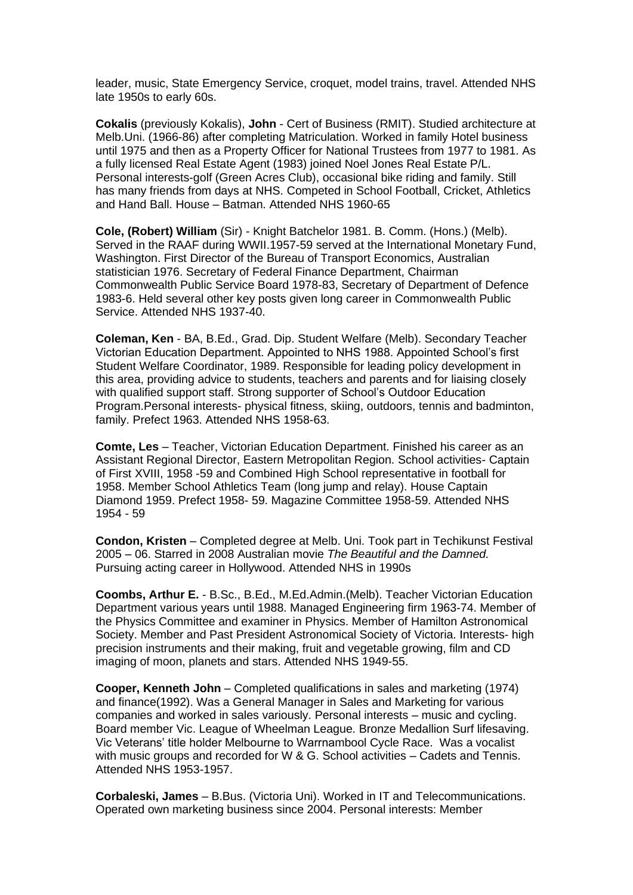leader, music, State Emergency Service, croquet, model trains, travel. Attended NHS late 1950s to early 60s.

**Cokalis** (previously Kokalis), **John** - Cert of Business (RMIT). Studied architecture at Melb.Uni. (1966-86) after completing Matriculation. Worked in family Hotel business until 1975 and then as a Property Officer for National Trustees from 1977 to 1981. As a fully licensed Real Estate Agent (1983) joined Noel Jones Real Estate P/L. Personal interests-golf (Green Acres Club), occasional bike riding and family. Still has many friends from days at NHS. Competed in School Football, Cricket, Athletics and Hand Ball. House – Batman. Attended NHS 1960-65

**Cole, (Robert) William** (Sir) - Knight Batchelor 1981. B. Comm. (Hons.) (Melb). Served in the RAAF during WWII.1957-59 served at the International Monetary Fund, Washington. First Director of the Bureau of Transport Economics, Australian statistician 1976. Secretary of Federal Finance Department, Chairman Commonwealth Public Service Board 1978-83, Secretary of Department of Defence 1983-6. Held several other key posts given long career in Commonwealth Public Service. Attended NHS 1937-40.

**Coleman, Ken** - BA, B.Ed., Grad. Dip. Student Welfare (Melb). Secondary Teacher Victorian Education Department. Appointed to NHS 1988. Appointed School's first Student Welfare Coordinator, 1989. Responsible for leading policy development in this area, providing advice to students, teachers and parents and for liaising closely with qualified support staff. Strong supporter of School's Outdoor Education Program.Personal interests- physical fitness, skiing, outdoors, tennis and badminton, family. Prefect 1963. Attended NHS 1958-63.

**Comte, Les** – Teacher, Victorian Education Department. Finished his career as an Assistant Regional Director, Eastern Metropolitan Region. School activities- Captain of First XVIII, 1958 -59 and Combined High School representative in football for 1958. Member School Athletics Team (long jump and relay). House Captain Diamond 1959. Prefect 1958- 59. Magazine Committee 1958-59. Attended NHS 1954 - 59

**Condon, Kristen** – Completed degree at Melb. Uni. Took part in Techikunst Festival 2005 – 06. Starred in 2008 Australian movie *The Beautiful and the Damned.* Pursuing acting career in Hollywood. Attended NHS in 1990s

**Coombs, Arthur E.** - B.Sc., B.Ed., M.Ed.Admin.(Melb). Teacher Victorian Education Department various years until 1988. Managed Engineering firm 1963-74. Member of the Physics Committee and examiner in Physics. Member of Hamilton Astronomical Society. Member and Past President Astronomical Society of Victoria. Interests- high precision instruments and their making, fruit and vegetable growing, film and CD imaging of moon, planets and stars. Attended NHS 1949-55.

**Cooper, Kenneth John** – Completed qualifications in sales and marketing (1974) and finance(1992). Was a General Manager in Sales and Marketing for various companies and worked in sales variously. Personal interests – music and cycling. Board member Vic. League of Wheelman League. Bronze Medallion Surf lifesaving. Vic Veterans' title holder Melbourne to Warrnambool Cycle Race. Was a vocalist with music groups and recorded for W & G. School activities – Cadets and Tennis. Attended NHS 1953-1957.

**Corbaleski, James** – B.Bus. (Victoria Uni). Worked in IT and Telecommunications. Operated own marketing business since 2004. Personal interests: Member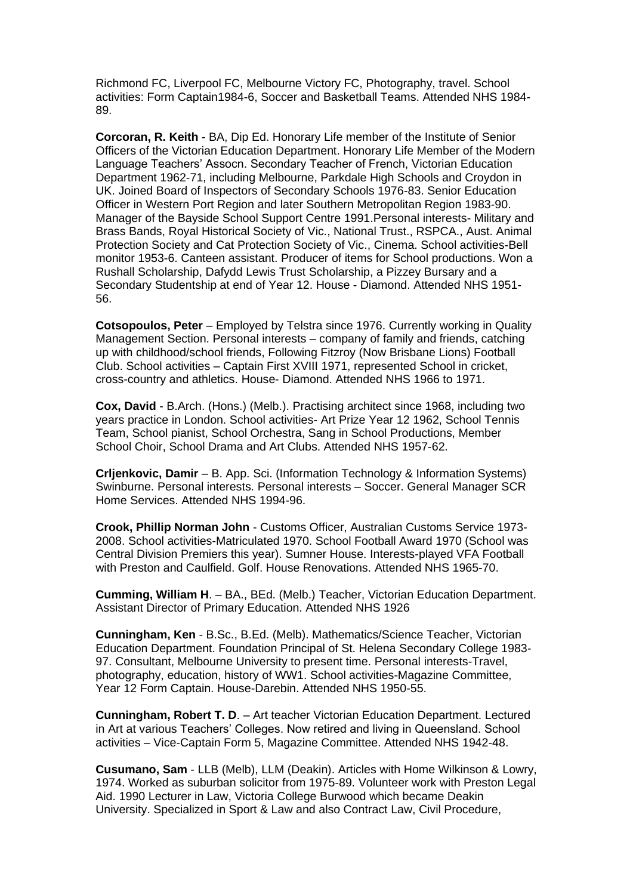Richmond FC, Liverpool FC, Melbourne Victory FC, Photography, travel. School activities: Form Captain1984-6, Soccer and Basketball Teams. Attended NHS 1984- 89.

**Corcoran, R. Keith** - BA, Dip Ed. Honorary Life member of the Institute of Senior Officers of the Victorian Education Department. Honorary Life Member of the Modern Language Teachers' Assocn. Secondary Teacher of French, Victorian Education Department 1962-71, including Melbourne, Parkdale High Schools and Croydon in UK. Joined Board of Inspectors of Secondary Schools 1976-83. Senior Education Officer in Western Port Region and later Southern Metropolitan Region 1983-90. Manager of the Bayside School Support Centre 1991.Personal interests- Military and Brass Bands, Royal Historical Society of Vic., National Trust., RSPCA., Aust. Animal Protection Society and Cat Protection Society of Vic., Cinema. School activities-Bell monitor 1953-6. Canteen assistant. Producer of items for School productions. Won a Rushall Scholarship, Dafydd Lewis Trust Scholarship, a Pizzey Bursary and a Secondary Studentship at end of Year 12. House - Diamond. Attended NHS 1951- 56.

**Cotsopoulos, Peter** – Employed by Telstra since 1976. Currently working in Quality Management Section. Personal interests – company of family and friends, catching up with childhood/school friends, Following Fitzroy (Now Brisbane Lions) Football Club. School activities – Captain First XVIII 1971, represented School in cricket, cross-country and athletics. House- Diamond. Attended NHS 1966 to 1971.

**Cox, David** - B.Arch. (Hons.) (Melb.). Practising architect since 1968, including two years practice in London. School activities- Art Prize Year 12 1962, School Tennis Team, School pianist, School Orchestra, Sang in School Productions, Member School Choir, School Drama and Art Clubs. Attended NHS 1957-62.

**Crljenkovic, Damir** – B. App. Sci. (Information Technology & Information Systems) Swinburne. Personal interests. Personal interests – Soccer. General Manager SCR Home Services. Attended NHS 1994-96.

**Crook, Phillip Norman John** - Customs Officer, Australian Customs Service 1973- 2008. School activities-Matriculated 1970. School Football Award 1970 (School was Central Division Premiers this year). Sumner House. Interests-played VFA Football with Preston and Caulfield. Golf. House Renovations. Attended NHS 1965-70.

**Cumming, William H**. – BA., BEd. (Melb.) Teacher, Victorian Education Department. Assistant Director of Primary Education. Attended NHS 1926

**Cunningham, Ken** - B.Sc., B.Ed. (Melb). Mathematics/Science Teacher, Victorian Education Department. Foundation Principal of St. Helena Secondary College 1983- 97. Consultant, Melbourne University to present time. Personal interests-Travel, photography, education, history of WW1. School activities-Magazine Committee, Year 12 Form Captain. House-Darebin. Attended NHS 1950-55.

**Cunningham, Robert T. D**. – Art teacher Victorian Education Department. Lectured in Art at various Teachers' Colleges. Now retired and living in Queensland. School activities – Vice-Captain Form 5, Magazine Committee. Attended NHS 1942-48.

**Cusumano, Sam** - LLB (Melb), LLM (Deakin). Articles with Home Wilkinson & Lowry, 1974. Worked as suburban solicitor from 1975-89. Volunteer work with Preston Legal Aid. 1990 Lecturer in Law, Victoria College Burwood which became Deakin University. Specialized in Sport & Law and also Contract Law, Civil Procedure,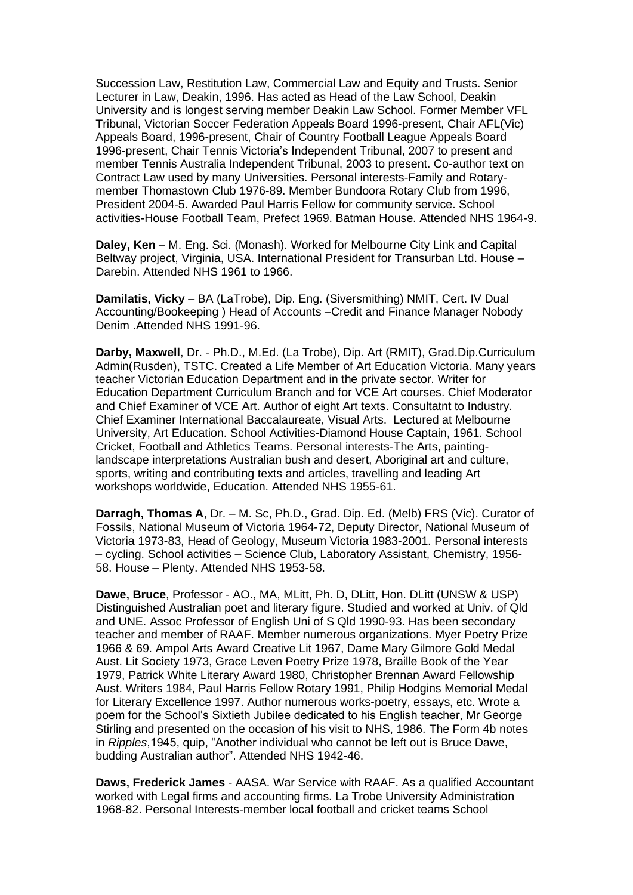Succession Law, Restitution Law, Commercial Law and Equity and Trusts. Senior Lecturer in Law, Deakin, 1996. Has acted as Head of the Law School, Deakin University and is longest serving member Deakin Law School. Former Member VFL Tribunal, Victorian Soccer Federation Appeals Board 1996-present, Chair AFL(Vic) Appeals Board, 1996-present, Chair of Country Football League Appeals Board 1996-present, Chair Tennis Victoria's Independent Tribunal, 2007 to present and member Tennis Australia Independent Tribunal, 2003 to present. Co-author text on Contract Law used by many Universities. Personal interests-Family and Rotarymember Thomastown Club 1976-89. Member Bundoora Rotary Club from 1996, President 2004-5. Awarded Paul Harris Fellow for community service. School activities-House Football Team, Prefect 1969. Batman House. Attended NHS 1964-9.

**Daley, Ken** – M. Eng. Sci. (Monash). Worked for Melbourne City Link and Capital Beltway project, Virginia, USA. International President for Transurban Ltd. House – Darebin. Attended NHS 1961 to 1966.

**Damilatis, Vicky** – BA (LaTrobe), Dip. Eng. (Siversmithing) NMIT, Cert. IV Dual Accounting/Bookeeping ) Head of Accounts –Credit and Finance Manager Nobody Denim .Attended NHS 1991-96.

**Darby, Maxwell**, Dr. - Ph.D., M.Ed. (La Trobe), Dip. Art (RMIT), Grad.Dip.Curriculum Admin(Rusden), TSTC. Created a Life Member of Art Education Victoria. Many years teacher Victorian Education Department and in the private sector. Writer for Education Department Curriculum Branch and for VCE Art courses. Chief Moderator and Chief Examiner of VCE Art. Author of eight Art texts. Consultatnt to Industry. Chief Examiner International Baccalaureate, Visual Arts. Lectured at Melbourne University, Art Education. School Activities-Diamond House Captain, 1961. School Cricket, Football and Athletics Teams. Personal interests-The Arts, paintinglandscape interpretations Australian bush and desert, Aboriginal art and culture, sports, writing and contributing texts and articles, travelling and leading Art workshops worldwide, Education. Attended NHS 1955-61.

**Darragh, Thomas A**, Dr. – M. Sc, Ph.D., Grad. Dip. Ed. (Melb) FRS (Vic). Curator of Fossils, National Museum of Victoria 1964-72, Deputy Director, National Museum of Victoria 1973-83, Head of Geology, Museum Victoria 1983-2001. Personal interests – cycling. School activities – Science Club, Laboratory Assistant, Chemistry, 1956- 58. House – Plenty. Attended NHS 1953-58.

**Dawe, Bruce**, Professor - AO., MA, MLitt, Ph. D, DLitt, Hon. DLitt (UNSW & USP) Distinguished Australian poet and literary figure. Studied and worked at Univ. of Qld and UNE. Assoc Professor of English Uni of S Qld 1990-93. Has been secondary teacher and member of RAAF. Member numerous organizations. Myer Poetry Prize 1966 & 69. Ampol Arts Award Creative Lit 1967, Dame Mary Gilmore Gold Medal Aust. Lit Society 1973, Grace Leven Poetry Prize 1978, Braille Book of the Year 1979, Patrick White Literary Award 1980, Christopher Brennan Award Fellowship Aust. Writers 1984, Paul Harris Fellow Rotary 1991, Philip Hodgins Memorial Medal for Literary Excellence 1997. Author numerous works-poetry, essays, etc. Wrote a poem for the School's Sixtieth Jubilee dedicated to his English teacher, Mr George Stirling and presented on the occasion of his visit to NHS, 1986. The Form 4b notes in *Ripples*,1945, quip, "Another individual who cannot be left out is Bruce Dawe, budding Australian author". Attended NHS 1942-46.

**Daws, Frederick James** - AASA. War Service with RAAF. As a qualified Accountant worked with Legal firms and accounting firms. La Trobe University Administration 1968-82. Personal Interests-member local football and cricket teams School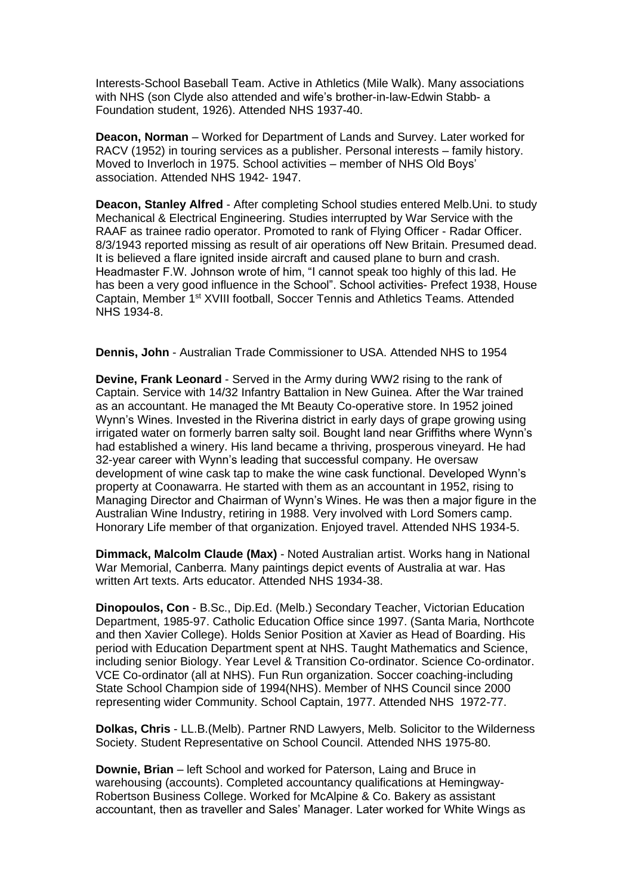Interests-School Baseball Team. Active in Athletics (Mile Walk). Many associations with NHS (son Clyde also attended and wife's brother-in-law-Edwin Stabb- a Foundation student, 1926). Attended NHS 1937-40.

**Deacon, Norman** – Worked for Department of Lands and Survey. Later worked for RACV (1952) in touring services as a publisher. Personal interests – family history. Moved to Inverloch in 1975. School activities – member of NHS Old Boys' association. Attended NHS 1942- 1947.

**Deacon, Stanley Alfred** - After completing School studies entered Melb.Uni. to study Mechanical & Electrical Engineering. Studies interrupted by War Service with the RAAF as trainee radio operator. Promoted to rank of Flying Officer - Radar Officer. 8/3/1943 reported missing as result of air operations off New Britain. Presumed dead. It is believed a flare ignited inside aircraft and caused plane to burn and crash. Headmaster F.W. Johnson wrote of him, "I cannot speak too highly of this lad. He has been a very good influence in the School". School activities- Prefect 1938, House Captain, Member 1<sup>st</sup> XVIII football, Soccer Tennis and Athletics Teams. Attended NHS 1934-8.

**Dennis, John** - Australian Trade Commissioner to USA. Attended NHS to 1954

**Devine, Frank Leonard** - Served in the Army during WW2 rising to the rank of Captain. Service with 14/32 Infantry Battalion in New Guinea. After the War trained as an accountant. He managed the Mt Beauty Co-operative store. In 1952 joined Wynn's Wines. Invested in the Riverina district in early days of grape growing using irrigated water on formerly barren salty soil. Bought land near Griffiths where Wynn's had established a winery. His land became a thriving, prosperous vineyard. He had 32-year career with Wynn's leading that successful company. He oversaw development of wine cask tap to make the wine cask functional. Developed Wynn's property at Coonawarra. He started with them as an accountant in 1952, rising to Managing Director and Chairman of Wynn's Wines. He was then a major figure in the Australian Wine Industry, retiring in 1988. Very involved with Lord Somers camp. Honorary Life member of that organization. Enjoyed travel. Attended NHS 1934-5.

**Dimmack, Malcolm Claude (Max)** - Noted Australian artist. Works hang in National War Memorial, Canberra. Many paintings depict events of Australia at war. Has written Art texts. Arts educator. Attended NHS 1934-38.

**Dinopoulos, Con** - B.Sc., Dip.Ed. (Melb.) Secondary Teacher, Victorian Education Department, 1985-97. Catholic Education Office since 1997. (Santa Maria, Northcote and then Xavier College). Holds Senior Position at Xavier as Head of Boarding. His period with Education Department spent at NHS. Taught Mathematics and Science, including senior Biology. Year Level & Transition Co-ordinator. Science Co-ordinator. VCE Co-ordinator (all at NHS). Fun Run organization. Soccer coaching-including State School Champion side of 1994(NHS). Member of NHS Council since 2000 representing wider Community. School Captain, 1977. Attended NHS 1972-77.

**Dolkas, Chris** - LL.B.(Melb). Partner RND Lawyers, Melb. Solicitor to the Wilderness Society. Student Representative on School Council. Attended NHS 1975-80.

**Downie, Brian** – left School and worked for Paterson, Laing and Bruce in warehousing (accounts). Completed accountancy qualifications at Hemingway-Robertson Business College. Worked for McAlpine & Co. Bakery as assistant accountant, then as traveller and Sales' Manager. Later worked for White Wings as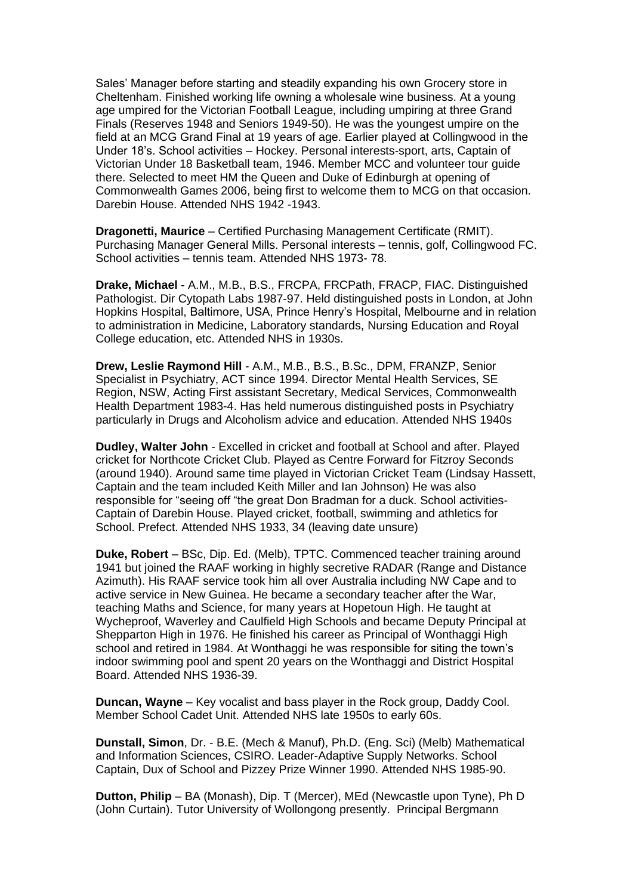Sales' Manager before starting and steadily expanding his own Grocery store in Cheltenham. Finished working life owning a wholesale wine business. At a young age umpired for the Victorian Football League, including umpiring at three Grand Finals (Reserves 1948 and Seniors 1949-50). He was the youngest umpire on the field at an MCG Grand Final at 19 years of age. Earlier played at Collingwood in the Under 18's. School activities – Hockey. Personal interests-sport, arts, Captain of Victorian Under 18 Basketball team, 1946. Member MCC and volunteer tour guide there. Selected to meet HM the Queen and Duke of Edinburgh at opening of Commonwealth Games 2006, being first to welcome them to MCG on that occasion. Darebin House. Attended NHS 1942 -1943.

**Dragonetti, Maurice** – Certified Purchasing Management Certificate (RMIT). Purchasing Manager General Mills. Personal interests – tennis, golf, Collingwood FC. School activities – tennis team. Attended NHS 1973- 78.

**Drake, Michael** - A.M., M.B., B.S., FRCPA, FRCPath, FRACP, FIAC. Distinguished Pathologist. Dir Cytopath Labs 1987-97. Held distinguished posts in London, at John Hopkins Hospital, Baltimore, USA, Prince Henry's Hospital, Melbourne and in relation to administration in Medicine, Laboratory standards, Nursing Education and Royal College education, etc. Attended NHS in 1930s.

**Drew, Leslie Raymond Hill** - A.M., M.B., B.S., B.Sc., DPM, FRANZP, Senior Specialist in Psychiatry, ACT since 1994. Director Mental Health Services, SE Region, NSW, Acting First assistant Secretary, Medical Services, Commonwealth Health Department 1983-4. Has held numerous distinguished posts in Psychiatry particularly in Drugs and Alcoholism advice and education. Attended NHS 1940s

**Dudley, Walter John** - Excelled in cricket and football at School and after. Played cricket for Northcote Cricket Club. Played as Centre Forward for Fitzroy Seconds (around 1940). Around same time played in Victorian Cricket Team (Lindsay Hassett, Captain and the team included Keith Miller and Ian Johnson) He was also responsible for "seeing off "the great Don Bradman for a duck. School activities-Captain of Darebin House. Played cricket, football, swimming and athletics for School. Prefect. Attended NHS 1933, 34 (leaving date unsure)

**Duke, Robert** – BSc, Dip. Ed. (Melb), TPTC. Commenced teacher training around 1941 but joined the RAAF working in highly secretive RADAR (Range and Distance Azimuth). His RAAF service took him all over Australia including NW Cape and to active service in New Guinea. He became a secondary teacher after the War, teaching Maths and Science, for many years at Hopetoun High. He taught at Wycheproof, Waverley and Caulfield High Schools and became Deputy Principal at Shepparton High in 1976. He finished his career as Principal of Wonthaggi High school and retired in 1984. At Wonthaggi he was responsible for siting the town's indoor swimming pool and spent 20 years on the Wonthaggi and District Hospital Board. Attended NHS 1936-39.

**Duncan, Wayne** – Key vocalist and bass player in the Rock group, Daddy Cool. Member School Cadet Unit. Attended NHS late 1950s to early 60s.

**Dunstall, Simon**, Dr. - B.E. (Mech & Manuf), Ph.D. (Eng. Sci) (Melb) Mathematical and Information Sciences, CSIRO. Leader-Adaptive Supply Networks. School Captain, Dux of School and Pizzey Prize Winner 1990. Attended NHS 1985-90.

**Dutton, Philip** – BA (Monash), Dip. T (Mercer), MEd (Newcastle upon Tyne), Ph D (John Curtain). Tutor University of Wollongong presently. Principal Bergmann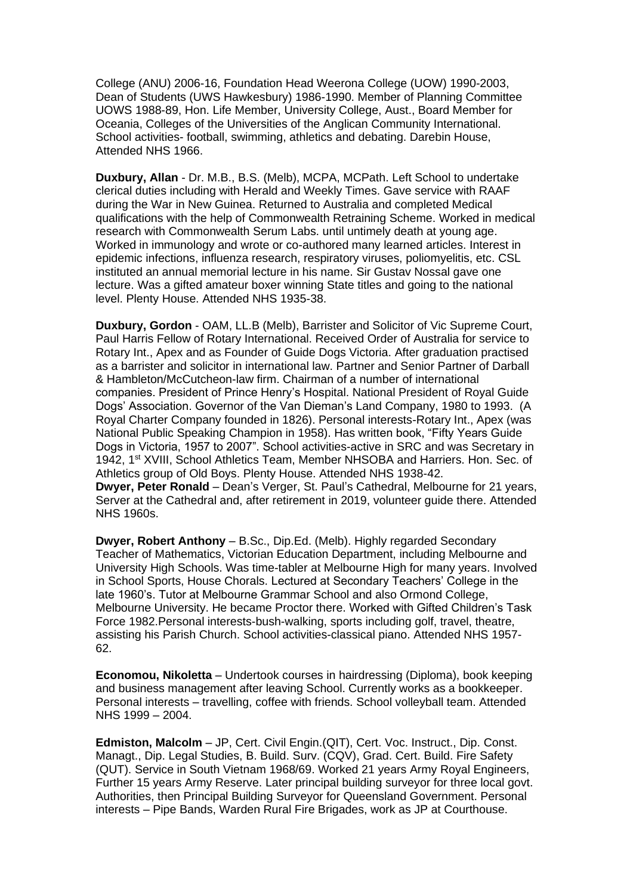College (ANU) 2006-16, Foundation Head Weerona College (UOW) 1990-2003, Dean of Students (UWS Hawkesbury) 1986-1990. Member of Planning Committee UOWS 1988-89, Hon. Life Member, University College, Aust., Board Member for Oceania, Colleges of the Universities of the Anglican Community International. School activities- football, swimming, athletics and debating. Darebin House, Attended NHS 1966.

**Duxbury, Allan** - Dr. M.B., B.S. (Melb), MCPA, MCPath. Left School to undertake clerical duties including with Herald and Weekly Times. Gave service with RAAF during the War in New Guinea. Returned to Australia and completed Medical qualifications with the help of Commonwealth Retraining Scheme. Worked in medical research with Commonwealth Serum Labs. until untimely death at young age. Worked in immunology and wrote or co-authored many learned articles. Interest in epidemic infections, influenza research, respiratory viruses, poliomyelitis, etc. CSL instituted an annual memorial lecture in his name. Sir Gustav Nossal gave one lecture. Was a gifted amateur boxer winning State titles and going to the national level. Plenty House. Attended NHS 1935-38.

**Duxbury, Gordon** - OAM, LL.B (Melb), Barrister and Solicitor of Vic Supreme Court, Paul Harris Fellow of Rotary International. Received Order of Australia for service to Rotary Int., Apex and as Founder of Guide Dogs Victoria. After graduation practised as a barrister and solicitor in international law. Partner and Senior Partner of Darball & Hambleton/McCutcheon-law firm. Chairman of a number of international companies. President of Prince Henry's Hospital. National President of Royal Guide Dogs' Association. Governor of the Van Dieman's Land Company, 1980 to 1993. (A Royal Charter Company founded in 1826). Personal interests-Rotary Int., Apex (was National Public Speaking Champion in 1958). Has written book, "Fifty Years Guide Dogs in Victoria, 1957 to 2007". School activities-active in SRC and was Secretary in 1942, 1st XVIII, School Athletics Team, Member NHSOBA and Harriers. Hon. Sec. of Athletics group of Old Boys. Plenty House. Attended NHS 1938-42. **Dwyer, Peter Ronald** – Dean's Verger, St. Paul's Cathedral, Melbourne for 21 years,

Server at the Cathedral and, after retirement in 2019, volunteer guide there. Attended NHS 1960s.

**Dwyer, Robert Anthony** – B.Sc., Dip.Ed. (Melb). Highly regarded Secondary Teacher of Mathematics, Victorian Education Department, including Melbourne and University High Schools. Was time-tabler at Melbourne High for many years. Involved in School Sports, House Chorals. Lectured at Secondary Teachers' College in the late 1960's. Tutor at Melbourne Grammar School and also Ormond College, Melbourne University. He became Proctor there. Worked with Gifted Children's Task Force 1982.Personal interests-bush-walking, sports including golf, travel, theatre, assisting his Parish Church. School activities-classical piano. Attended NHS 1957- 62.

**Economou, Nikoletta** – Undertook courses in hairdressing (Diploma), book keeping and business management after leaving School. Currently works as a bookkeeper. Personal interests – travelling, coffee with friends. School volleyball team. Attended NHS 1999 – 2004.

**Edmiston, Malcolm** – JP, Cert. Civil Engin.(QIT), Cert. Voc. Instruct., Dip. Const. Managt., Dip. Legal Studies, B. Build. Surv. (CQV), Grad. Cert. Build. Fire Safety (QUT). Service in South Vietnam 1968/69. Worked 21 years Army Royal Engineers, Further 15 years Army Reserve. Later principal building surveyor for three local govt. Authorities, then Principal Building Surveyor for Queensland Government. Personal interests – Pipe Bands, Warden Rural Fire Brigades, work as JP at Courthouse.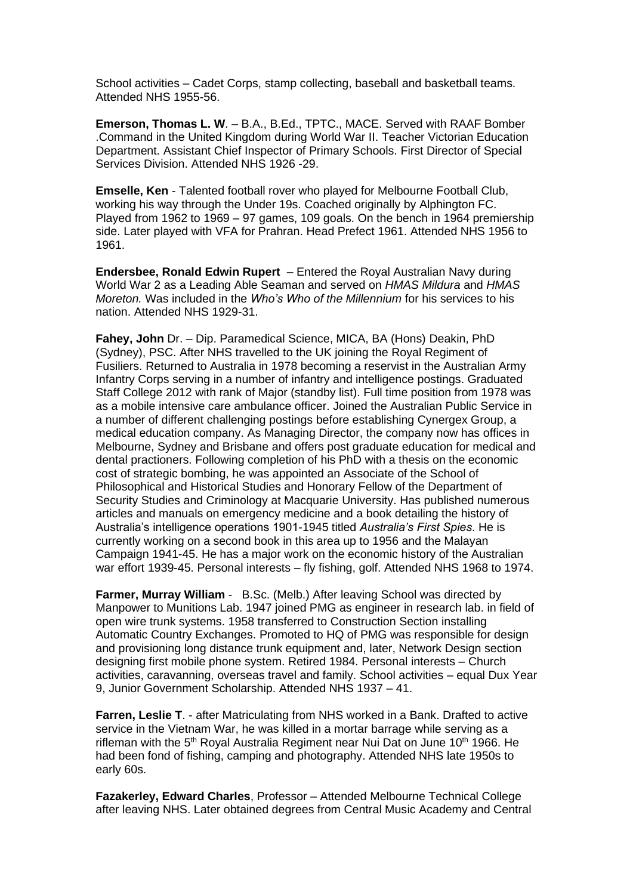School activities – Cadet Corps, stamp collecting, baseball and basketball teams. Attended NHS 1955-56.

**Emerson, Thomas L. W**. – B.A., B.Ed., TPTC., MACE. Served with RAAF Bomber .Command in the United Kingdom during World War II. Teacher Victorian Education Department. Assistant Chief Inspector of Primary Schools. First Director of Special Services Division. Attended NHS 1926 -29.

**Emselle, Ken** - Talented football rover who played for Melbourne Football Club, working his way through the Under 19s. Coached originally by Alphington FC. Played from 1962 to 1969 – 97 games, 109 goals. On the bench in 1964 premiership side. Later played with VFA for Prahran. Head Prefect 1961. Attended NHS 1956 to 1961.

**Endersbee, Ronald Edwin Rupert** – Entered the Royal Australian Navy during World War 2 as a Leading Able Seaman and served on *HMAS Mildura* and *HMAS Moreton.* Was included in the *Who's Who of the Millennium* for his services to his nation. Attended NHS 1929-31.

**Fahey, John** Dr. – Dip. Paramedical Science, MICA, BA (Hons) Deakin, PhD (Sydney), PSC. After NHS travelled to the UK joining the Royal Regiment of Fusiliers. Returned to Australia in 1978 becoming a reservist in the Australian Army Infantry Corps serving in a number of infantry and intelligence postings. Graduated Staff College 2012 with rank of Major (standby list). Full time position from 1978 was as a mobile intensive care ambulance officer. Joined the Australian Public Service in a number of different challenging postings before establishing Cynergex Group, a medical education company. As Managing Director, the company now has offices in Melbourne, Sydney and Brisbane and offers post graduate education for medical and dental practioners. Following completion of his PhD with a thesis on the economic cost of strategic bombing, he was appointed an Associate of the School of Philosophical and Historical Studies and Honorary Fellow of the Department of Security Studies and Criminology at Macquarie University. Has published numerous articles and manuals on emergency medicine and a book detailing the history of Australia's intelligence operations 1901-1945 titled *Australia's First Spies*. He is currently working on a second book in this area up to 1956 and the Malayan Campaign 1941-45. He has a major work on the economic history of the Australian war effort 1939-45. Personal interests – fly fishing, golf. Attended NHS 1968 to 1974.

**Farmer, Murray William** - B.Sc. (Melb.) After leaving School was directed by Manpower to Munitions Lab. 1947 joined PMG as engineer in research lab. in field of open wire trunk systems. 1958 transferred to Construction Section installing Automatic Country Exchanges. Promoted to HQ of PMG was responsible for design and provisioning long distance trunk equipment and, later, Network Design section designing first mobile phone system. Retired 1984. Personal interests – Church activities, caravanning, overseas travel and family. School activities – equal Dux Year 9, Junior Government Scholarship. Attended NHS 1937 – 41.

**Farren, Leslie T**. - after Matriculating from NHS worked in a Bank. Drafted to active service in the Vietnam War, he was killed in a mortar barrage while serving as a rifleman with the  $5<sup>th</sup>$  Royal Australia Regiment near Nui Dat on June 10<sup>th</sup> 1966. He had been fond of fishing, camping and photography. Attended NHS late 1950s to early 60s.

**Fazakerley, Edward Charles**, Professor – Attended Melbourne Technical College after leaving NHS. Later obtained degrees from Central Music Academy and Central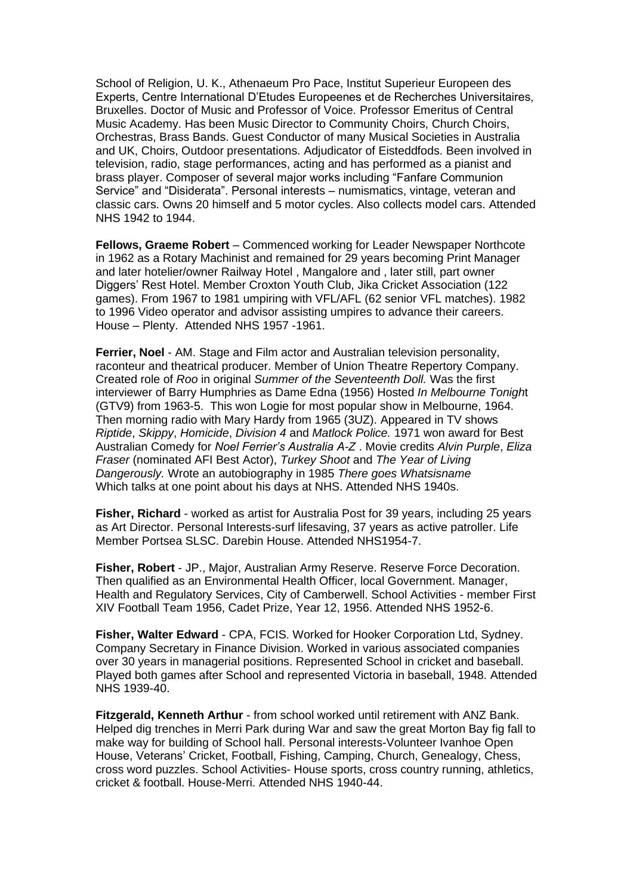School of Religion, U. K., Athenaeum Pro Pace, Institut Superieur Europeen des Experts, Centre International D'Etudes Europeenes et de Recherches Universitaires, Bruxelles. Doctor of Music and Professor of Voice. Professor Emeritus of Central Music Academy. Has been Music Director to Community Choirs, Church Choirs, Orchestras, Brass Bands. Guest Conductor of many Musical Societies in Australia and UK, Choirs, Outdoor presentations. Adjudicator of Eisteddfods. Been involved in television, radio, stage performances, acting and has performed as a pianist and brass player. Composer of several major works including "Fanfare Communion Service" and "Disiderata". Personal interests – numismatics, vintage, veteran and classic cars. Owns 20 himself and 5 motor cycles. Also collects model cars. Attended NHS 1942 to 1944.

**Fellows, Graeme Robert** – Commenced working for Leader Newspaper Northcote in 1962 as a Rotary Machinist and remained for 29 years becoming Print Manager and later hotelier/owner Railway Hotel , Mangalore and , later still, part owner Diggers' Rest Hotel. Member Croxton Youth Club, Jika Cricket Association (122 games). From 1967 to 1981 umpiring with VFL/AFL (62 senior VFL matches). 1982 to 1996 Video operator and advisor assisting umpires to advance their careers. House – Plenty. Attended NHS 1957 -1961.

**Ferrier, Noel** - AM. Stage and Film actor and Australian television personality, raconteur and theatrical producer. Member of Union Theatre Repertory Company. Created role of *Roo* in original *Summer of the Seventeenth Doll.* Was the first interviewer of Barry Humphries as Dame Edna (1956) Hosted *In Melbourne Tonigh*t (GTV9) from 1963-5. This won Logie for most popular show in Melbourne, 1964. Then morning radio with Mary Hardy from 1965 (3UZ). Appeared in TV shows *Riptide*, *Skippy*, *Homicide*, *Division 4* and *Matlock Police.* 1971 won award for Best Australian Comedy for *Noel Ferrier's Australia A-Z* . Movie credits *Alvin Purple*, *Eliza Fraser* (nominated AFI Best Actor), *Turkey Shoot* and *The Year of Living Dangerously.* Wrote an autobiography in 1985 *There goes Whatsisname* Which talks at one point about his days at NHS. Attended NHS 1940s.

**Fisher, Richard** - worked as artist for Australia Post for 39 years, including 25 years as Art Director. Personal Interests-surf lifesaving, 37 years as active patroller. Life Member Portsea SLSC. Darebin House. Attended NHS1954-7.

**Fisher, Robert** - JP., Major, Australian Army Reserve. Reserve Force Decoration. Then qualified as an Environmental Health Officer, local Government. Manager, Health and Regulatory Services, City of Camberwell. School Activities - member First XIV Football Team 1956, Cadet Prize, Year 12, 1956. Attended NHS 1952-6.

**Fisher, Walter Edward** - CPA, FCIS. Worked for Hooker Corporation Ltd, Sydney. Company Secretary in Finance Division. Worked in various associated companies over 30 years in managerial positions. Represented School in cricket and baseball. Played both games after School and represented Victoria in baseball, 1948. Attended NHS 1939-40.

**Fitzgerald, Kenneth Arthur** - from school worked until retirement with ANZ Bank. Helped dig trenches in Merri Park during War and saw the great Morton Bay fig fall to make way for building of School hall. Personal interests-Volunteer Ivanhoe Open House, Veterans' Cricket, Football, Fishing, Camping, Church, Genealogy, Chess, cross word puzzles. School Activities- House sports, cross country running, athletics, cricket & football. House-Merri. Attended NHS 1940-44.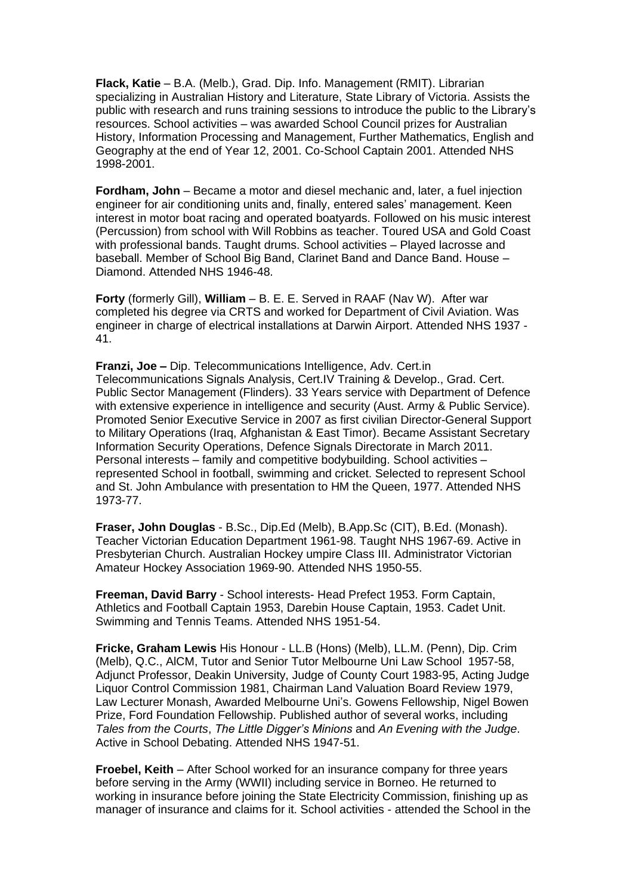**Flack, Katie** – B.A. (Melb.), Grad. Dip. Info. Management (RMIT). Librarian specializing in Australian History and Literature, State Library of Victoria. Assists the public with research and runs training sessions to introduce the public to the Library's resources. School activities – was awarded School Council prizes for Australian History, Information Processing and Management, Further Mathematics, English and Geography at the end of Year 12, 2001. Co-School Captain 2001. Attended NHS 1998-2001.

**Fordham, John** – Became a motor and diesel mechanic and, later, a fuel injection engineer for air conditioning units and, finally, entered sales' management. Keen interest in motor boat racing and operated boatyards. Followed on his music interest (Percussion) from school with Will Robbins as teacher. Toured USA and Gold Coast with professional bands. Taught drums. School activities – Played lacrosse and baseball. Member of School Big Band, Clarinet Band and Dance Band. House – Diamond. Attended NHS 1946-48.

**Forty** (formerly Gill), **William** – B. E. E. Served in RAAF (Nav W). After war completed his degree via CRTS and worked for Department of Civil Aviation. Was engineer in charge of electrical installations at Darwin Airport. Attended NHS 1937 - 41.

**Franzi, Joe –** Dip. Telecommunications Intelligence, Adv. Cert.in Telecommunications Signals Analysis, Cert.IV Training & Develop., Grad. Cert. Public Sector Management (Flinders). 33 Years service with Department of Defence with extensive experience in intelligence and security (Aust. Army & Public Service). Promoted Senior Executive Service in 2007 as first civilian Director-General Support to Military Operations (Iraq, Afghanistan & East Timor). Became Assistant Secretary Information Security Operations, Defence Signals Directorate in March 2011. Personal interests – family and competitive bodybuilding. School activities – represented School in football, swimming and cricket. Selected to represent School and St. John Ambulance with presentation to HM the Queen, 1977. Attended NHS 1973-77.

**Fraser, John Douglas** - B.Sc., Dip.Ed (Melb), B.App.Sc (CIT), B.Ed. (Monash). Teacher Victorian Education Department 1961-98. Taught NHS 1967-69. Active in Presbyterian Church. Australian Hockey umpire Class III. Administrator Victorian Amateur Hockey Association 1969-90. Attended NHS 1950-55.

**Freeman, David Barry** - School interests- Head Prefect 1953. Form Captain, Athletics and Football Captain 1953, Darebin House Captain, 1953. Cadet Unit. Swimming and Tennis Teams. Attended NHS 1951-54.

**Fricke, Graham Lewis** His Honour - LL.B (Hons) (Melb), LL.M. (Penn), Dip. Crim (Melb), Q.C., AlCM, Tutor and Senior Tutor Melbourne Uni Law School 1957-58, Adjunct Professor, Deakin University, Judge of County Court 1983-95, Acting Judge Liquor Control Commission 1981, Chairman Land Valuation Board Review 1979, Law Lecturer Monash, Awarded Melbourne Uni's. Gowens Fellowship, Nigel Bowen Prize, Ford Foundation Fellowship. Published author of several works, including *Tales from the Courts*, *The Little Digger's Minions* and *An Evening with the Judge*. Active in School Debating. Attended NHS 1947-51.

**Froebel, Keith** – After School worked for an insurance company for three years before serving in the Army (WWII) including service in Borneo. He returned to working in insurance before joining the State Electricity Commission, finishing up as manager of insurance and claims for it. School activities - attended the School in the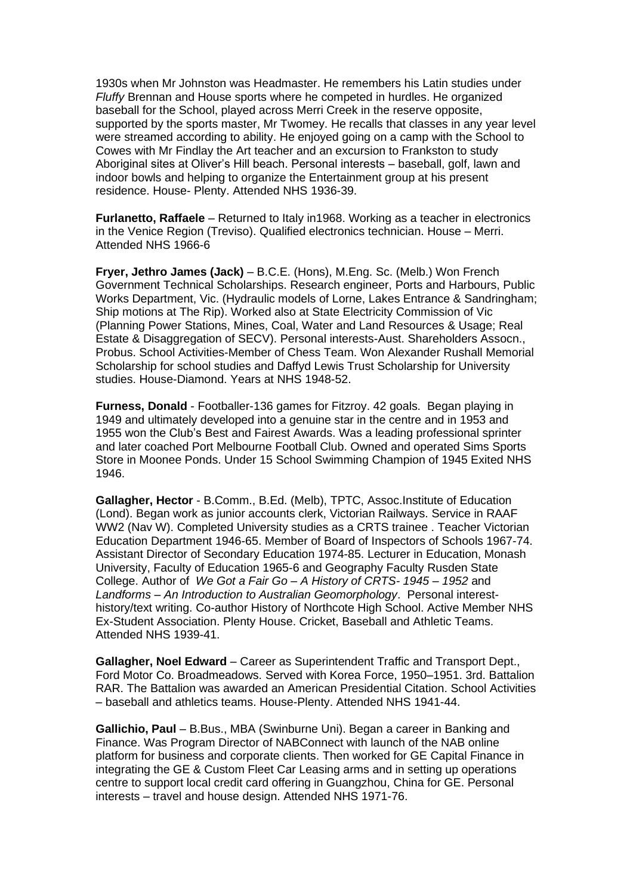1930s when Mr Johnston was Headmaster. He remembers his Latin studies under *Fluffy* Brennan and House sports where he competed in hurdles. He organized baseball for the School, played across Merri Creek in the reserve opposite, supported by the sports master, Mr Twomey. He recalls that classes in any year level were streamed according to ability. He enjoyed going on a camp with the School to Cowes with Mr Findlay the Art teacher and an excursion to Frankston to study Aboriginal sites at Oliver's Hill beach. Personal interests – baseball, golf, lawn and indoor bowls and helping to organize the Entertainment group at his present residence. House- Plenty. Attended NHS 1936-39.

**Furlanetto, Raffaele** – Returned to Italy in1968. Working as a teacher in electronics in the Venice Region (Treviso). Qualified electronics technician. House – Merri. Attended NHS 1966-6

**Fryer, Jethro James (Jack)** – B.C.E. (Hons), M.Eng. Sc. (Melb.) Won French Government Technical Scholarships. Research engineer, Ports and Harbours, Public Works Department, Vic. (Hydraulic models of Lorne, Lakes Entrance & Sandringham; Ship motions at The Rip). Worked also at State Electricity Commission of Vic (Planning Power Stations, Mines, Coal, Water and Land Resources & Usage; Real Estate & Disaggregation of SECV). Personal interests-Aust. Shareholders Assocn., Probus. School Activities-Member of Chess Team. Won Alexander Rushall Memorial Scholarship for school studies and Daffyd Lewis Trust Scholarship for University studies. House-Diamond. Years at NHS 1948-52.

**Furness, Donald** - Footballer-136 games for Fitzroy. 42 goals. Began playing in 1949 and ultimately developed into a genuine star in the centre and in 1953 and 1955 won the Club's Best and Fairest Awards. Was a leading professional sprinter and later coached Port Melbourne Football Club. Owned and operated Sims Sports Store in Moonee Ponds. Under 15 School Swimming Champion of 1945 Exited NHS 1946.

**Gallagher, Hector** - B.Comm., B.Ed. (Melb), TPTC, Assoc.Institute of Education (Lond). Began work as junior accounts clerk, Victorian Railways. Service in RAAF WW2 (Nav W). Completed University studies as a CRTS trainee . Teacher Victorian Education Department 1946-65. Member of Board of Inspectors of Schools 1967-74. Assistant Director of Secondary Education 1974-85. Lecturer in Education, Monash University, Faculty of Education 1965-6 and Geography Faculty Rusden State College. Author of *We Got a Fair Go – A History of CRTS- 1945 – 1952* and *Landforms – An Introduction to Australian Geomorphology*. Personal interesthistory/text writing. Co-author History of Northcote High School. Active Member NHS Ex-Student Association. Plenty House. Cricket, Baseball and Athletic Teams. Attended NHS 1939-41.

**Gallagher, Noel Edward** – Career as Superintendent Traffic and Transport Dept., Ford Motor Co. Broadmeadows. Served with Korea Force, 1950–1951. 3rd. Battalion RAR. The Battalion was awarded an American Presidential Citation. School Activities – baseball and athletics teams. House-Plenty. Attended NHS 1941-44.

**Gallichio, Paul** – B.Bus., MBA (Swinburne Uni). Began a career in Banking and Finance. Was Program Director of NABConnect with launch of the NAB online platform for business and corporate clients. Then worked for GE Capital Finance in integrating the GE & Custom Fleet Car Leasing arms and in setting up operations centre to support local credit card offering in Guangzhou, China for GE. Personal interests – travel and house design. Attended NHS 1971-76.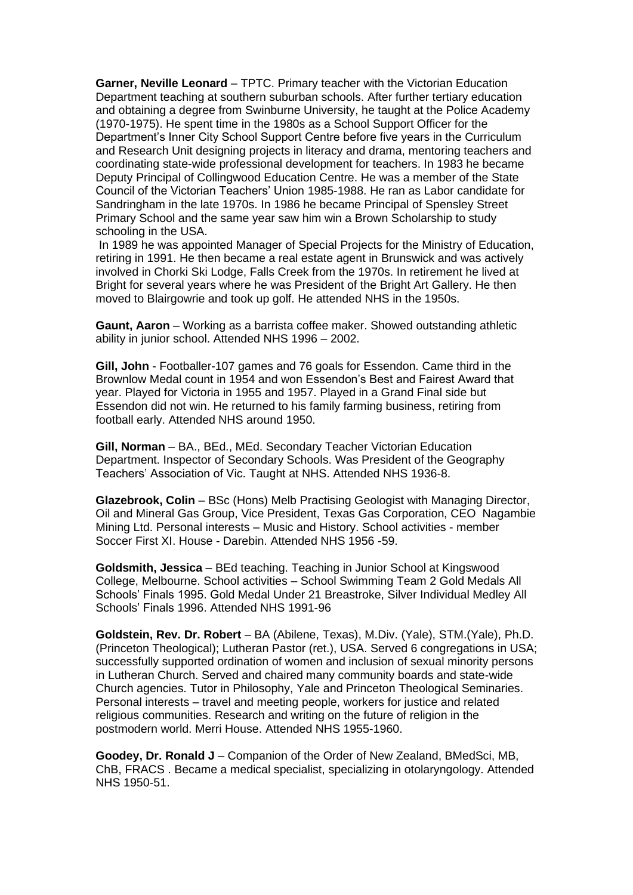**Garner, Neville Leonard** – TPTC. Primary teacher with the Victorian Education Department teaching at southern suburban schools. After further tertiary education and obtaining a degree from Swinburne University, he taught at the Police Academy (1970-1975). He spent time in the 1980s as a School Support Officer for the Department's Inner City School Support Centre before five years in the Curriculum and Research Unit designing projects in literacy and drama, mentoring teachers and coordinating state-wide professional development for teachers. In 1983 he became Deputy Principal of Collingwood Education Centre. He was a member of the State Council of the Victorian Teachers' Union 1985-1988. He ran as Labor candidate for Sandringham in the late 1970s. In 1986 he became Principal of Spensley Street Primary School and the same year saw him win a Brown Scholarship to study schooling in the USA.

In 1989 he was appointed Manager of Special Projects for the Ministry of Education, retiring in 1991. He then became a real estate agent in Brunswick and was actively involved in Chorki Ski Lodge, Falls Creek from the 1970s. In retirement he lived at Bright for several years where he was President of the Bright Art Gallery. He then moved to Blairgowrie and took up golf. He attended NHS in the 1950s.

**Gaunt, Aaron** – Working as a barrista coffee maker. Showed outstanding athletic ability in junior school. Attended NHS 1996 – 2002.

**Gill, John** - Footballer-107 games and 76 goals for Essendon. Came third in the Brownlow Medal count in 1954 and won Essendon's Best and Fairest Award that year. Played for Victoria in 1955 and 1957. Played in a Grand Final side but Essendon did not win. He returned to his family farming business, retiring from football early. Attended NHS around 1950.

**Gill, Norman** – BA., BEd., MEd. Secondary Teacher Victorian Education Department. Inspector of Secondary Schools. Was President of the Geography Teachers' Association of Vic. Taught at NHS. Attended NHS 1936-8.

**Glazebrook, Colin** – BSc (Hons) Melb Practising Geologist with Managing Director, Oil and Mineral Gas Group, Vice President, Texas Gas Corporation, CEO Nagambie Mining Ltd. Personal interests – Music and History. School activities - member Soccer First XI. House - Darebin. Attended NHS 1956 -59.

**Goldsmith, Jessica** – BEd teaching. Teaching in Junior School at Kingswood College, Melbourne. School activities – School Swimming Team 2 Gold Medals All Schools' Finals 1995. Gold Medal Under 21 Breastroke, Silver Individual Medley All Schools' Finals 1996. Attended NHS 1991-96

**Goldstein, Rev. Dr. Robert** – BA (Abilene, Texas), M.Div. (Yale), STM.(Yale), Ph.D. (Princeton Theological); Lutheran Pastor (ret.), USA. Served 6 congregations in USA; successfully supported ordination of women and inclusion of sexual minority persons in Lutheran Church. Served and chaired many community boards and state-wide Church agencies. Tutor in Philosophy, Yale and Princeton Theological Seminaries. Personal interests – travel and meeting people, workers for justice and related religious communities. Research and writing on the future of religion in the postmodern world. Merri House. Attended NHS 1955-1960.

**Goodey, Dr. Ronald J** – Companion of the Order of New Zealand, BMedSci, MB, ChB, FRACS . Became a medical specialist, specializing in otolaryngology. Attended NHS 1950-51.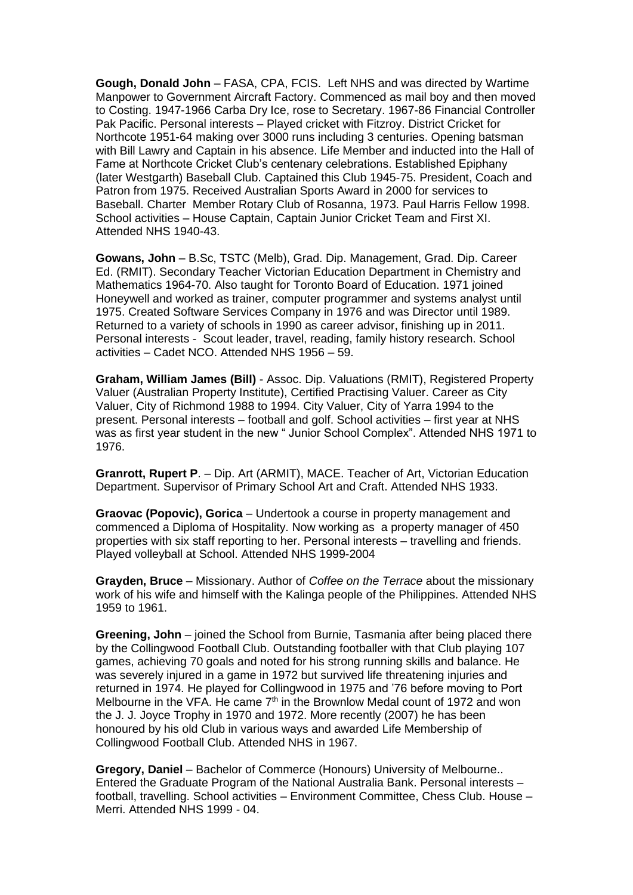**Gough, Donald John** – FASA, CPA, FCIS. Left NHS and was directed by Wartime Manpower to Government Aircraft Factory. Commenced as mail boy and then moved to Costing. 1947-1966 Carba Dry Ice, rose to Secretary. 1967-86 Financial Controller Pak Pacific. Personal interests – Played cricket with Fitzroy. District Cricket for Northcote 1951-64 making over 3000 runs including 3 centuries. Opening batsman with Bill Lawry and Captain in his absence. Life Member and inducted into the Hall of Fame at Northcote Cricket Club's centenary celebrations. Established Epiphany (later Westgarth) Baseball Club. Captained this Club 1945-75. President, Coach and Patron from 1975. Received Australian Sports Award in 2000 for services to Baseball. Charter Member Rotary Club of Rosanna, 1973. Paul Harris Fellow 1998. School activities – House Captain, Captain Junior Cricket Team and First XI. Attended NHS 1940-43.

**Gowans, John** – B.Sc, TSTC (Melb), Grad. Dip. Management, Grad. Dip. Career Ed. (RMIT). Secondary Teacher Victorian Education Department in Chemistry and Mathematics 1964-70. Also taught for Toronto Board of Education. 1971 joined Honeywell and worked as trainer, computer programmer and systems analyst until 1975. Created Software Services Company in 1976 and was Director until 1989. Returned to a variety of schools in 1990 as career advisor, finishing up in 2011. Personal interests - Scout leader, travel, reading, family history research. School activities – Cadet NCO. Attended NHS 1956 – 59.

**Graham, William James (Bill)** - Assoc. Dip. Valuations (RMIT), Registered Property Valuer (Australian Property Institute), Certified Practising Valuer. Career as City Valuer, City of Richmond 1988 to 1994. City Valuer, City of Yarra 1994 to the present. Personal interests – football and golf. School activities – first year at NHS was as first year student in the new " Junior School Complex". Attended NHS 1971 to 1976.

**Granrott, Rupert P**. – Dip. Art (ARMIT), MACE. Teacher of Art, Victorian Education Department. Supervisor of Primary School Art and Craft. Attended NHS 1933.

**Graovac (Popovic), Gorica** – Undertook a course in property management and commenced a Diploma of Hospitality. Now working as a property manager of 450 properties with six staff reporting to her. Personal interests – travelling and friends. Played volleyball at School. Attended NHS 1999-2004

**Grayden, Bruce** – Missionary. Author of *Coffee on the Terrace* about the missionary work of his wife and himself with the Kalinga people of the Philippines. Attended NHS 1959 to 1961.

**Greening, John** – joined the School from Burnie, Tasmania after being placed there by the Collingwood Football Club. Outstanding footballer with that Club playing 107 games, achieving 70 goals and noted for his strong running skills and balance. He was severely injured in a game in 1972 but survived life threatening injuries and returned in 1974. He played for Collingwood in 1975 and '76 before moving to Port Melbourne in the VFA. He came  $7<sup>th</sup>$  in the Brownlow Medal count of 1972 and won the J. J. Joyce Trophy in 1970 and 1972. More recently (2007) he has been honoured by his old Club in various ways and awarded Life Membership of Collingwood Football Club. Attended NHS in 1967.

**Gregory, Daniel** – Bachelor of Commerce (Honours) University of Melbourne.. Entered the Graduate Program of the National Australia Bank. Personal interests – football, travelling. School activities – Environment Committee, Chess Club. House – Merri. Attended NHS 1999 - 04.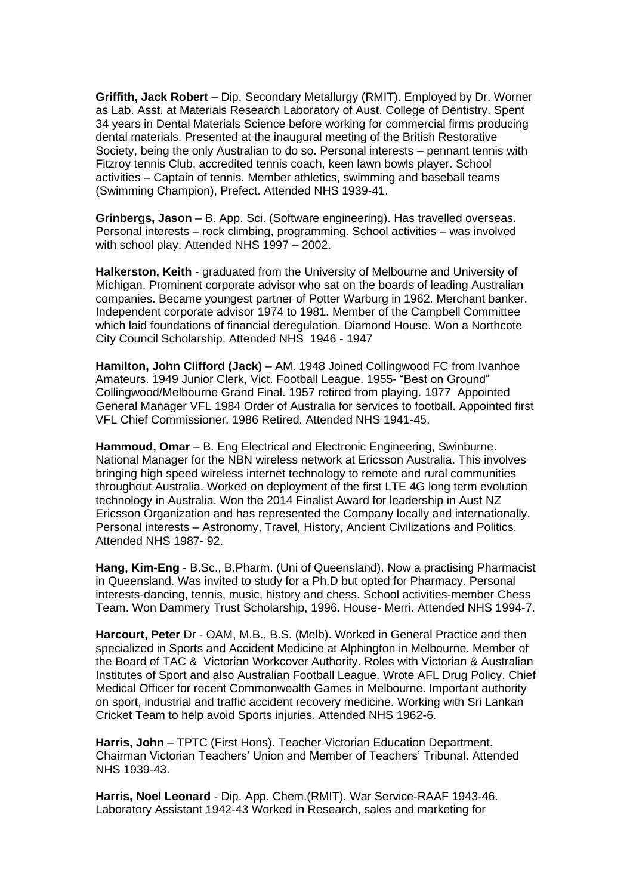**Griffith, Jack Robert** – Dip. Secondary Metallurgy (RMIT). Employed by Dr. Worner as Lab. Asst. at Materials Research Laboratory of Aust. College of Dentistry. Spent 34 years in Dental Materials Science before working for commercial firms producing dental materials. Presented at the inaugural meeting of the British Restorative Society, being the only Australian to do so. Personal interests – pennant tennis with Fitzroy tennis Club, accredited tennis coach, keen lawn bowls player. School activities – Captain of tennis. Member athletics, swimming and baseball teams (Swimming Champion), Prefect. Attended NHS 1939-41.

**Grinbergs, Jason** – B. App. Sci. (Software engineering). Has travelled overseas. Personal interests – rock climbing, programming. School activities – was involved with school play. Attended NHS 1997 – 2002.

**Halkerston, Keith** - graduated from the University of Melbourne and University of Michigan. Prominent corporate advisor who sat on the boards of leading Australian companies. Became youngest partner of Potter Warburg in 1962. Merchant banker. Independent corporate advisor 1974 to 1981. Member of the Campbell Committee which laid foundations of financial deregulation. Diamond House. Won a Northcote City Council Scholarship. Attended NHS 1946 - 1947

**Hamilton, John Clifford (Jack)** – AM. 1948 Joined Collingwood FC from Ivanhoe Amateurs. 1949 Junior Clerk, Vict. Football League. 1955- "Best on Ground" Collingwood/Melbourne Grand Final. 1957 retired from playing. 1977 Appointed General Manager VFL 1984 Order of Australia for services to football. Appointed first VFL Chief Commissioner. 1986 Retired. Attended NHS 1941-45.

**Hammoud, Omar** – B. Eng Electrical and Electronic Engineering, Swinburne. National Manager for the NBN wireless network at Ericsson Australia. This involves bringing high speed wireless internet technology to remote and rural communities throughout Australia. Worked on deployment of the first LTE 4G long term evolution technology in Australia. Won the 2014 Finalist Award for leadership in Aust NZ Ericsson Organization and has represented the Company locally and internationally. Personal interests – Astronomy, Travel, History, Ancient Civilizations and Politics. Attended NHS 1987- 92.

**Hang, Kim-Eng** - B.Sc., B.Pharm. (Uni of Queensland). Now a practising Pharmacist in Queensland. Was invited to study for a Ph.D but opted for Pharmacy. Personal interests-dancing, tennis, music, history and chess. School activities-member Chess Team. Won Dammery Trust Scholarship, 1996. House- Merri. Attended NHS 1994-7.

**Harcourt, Peter** Dr - OAM, M.B., B.S. (Melb). Worked in General Practice and then specialized in Sports and Accident Medicine at Alphington in Melbourne. Member of the Board of TAC & Victorian Workcover Authority. Roles with Victorian & Australian Institutes of Sport and also Australian Football League. Wrote AFL Drug Policy. Chief Medical Officer for recent Commonwealth Games in Melbourne. Important authority on sport, industrial and traffic accident recovery medicine. Working with Sri Lankan Cricket Team to help avoid Sports injuries. Attended NHS 1962-6.

**Harris, John** – TPTC (First Hons). Teacher Victorian Education Department. Chairman Victorian Teachers' Union and Member of Teachers' Tribunal. Attended NHS 1939-43.

**Harris, Noel Leonard** - Dip. App. Chem.(RMIT). War Service-RAAF 1943-46. Laboratory Assistant 1942-43 Worked in Research, sales and marketing for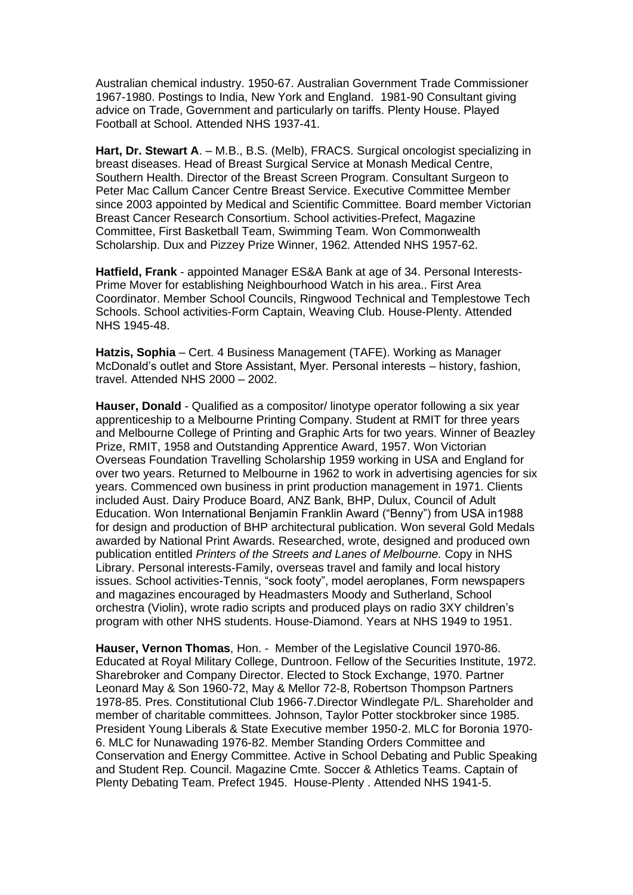Australian chemical industry. 1950-67. Australian Government Trade Commissioner 1967-1980. Postings to India, New York and England. 1981-90 Consultant giving advice on Trade, Government and particularly on tariffs. Plenty House. Played Football at School. Attended NHS 1937-41.

**Hart, Dr. Stewart A**. – M.B., B.S. (Melb), FRACS. Surgical oncologist specializing in breast diseases. Head of Breast Surgical Service at Monash Medical Centre, Southern Health. Director of the Breast Screen Program. Consultant Surgeon to Peter Mac Callum Cancer Centre Breast Service. Executive Committee Member since 2003 appointed by Medical and Scientific Committee. Board member Victorian Breast Cancer Research Consortium. School activities-Prefect, Magazine Committee, First Basketball Team, Swimming Team. Won Commonwealth Scholarship. Dux and Pizzey Prize Winner, 1962. Attended NHS 1957-62.

**Hatfield, Frank** - appointed Manager ES&A Bank at age of 34. Personal Interests-Prime Mover for establishing Neighbourhood Watch in his area.. First Area Coordinator. Member School Councils, Ringwood Technical and Templestowe Tech Schools. School activities-Form Captain, Weaving Club. House-Plenty. Attended NHS 1945-48.

**Hatzis, Sophia** – Cert. 4 Business Management (TAFE). Working as Manager McDonald's outlet and Store Assistant, Myer. Personal interests – history, fashion, travel. Attended NHS 2000 – 2002.

**Hauser, Donald** - Qualified as a compositor/ linotype operator following a six year apprenticeship to a Melbourne Printing Company. Student at RMIT for three years and Melbourne College of Printing and Graphic Arts for two years. Winner of Beazley Prize, RMIT, 1958 and Outstanding Apprentice Award, 1957. Won Victorian Overseas Foundation Travelling Scholarship 1959 working in USA and England for over two years. Returned to Melbourne in 1962 to work in advertising agencies for six years. Commenced own business in print production management in 1971. Clients included Aust. Dairy Produce Board, ANZ Bank, BHP, Dulux, Council of Adult Education. Won International Benjamin Franklin Award ("Benny") from USA in1988 for design and production of BHP architectural publication. Won several Gold Medals awarded by National Print Awards. Researched, wrote, designed and produced own publication entitled *Printers of the Streets and Lanes of Melbourne.* Copy in NHS Library. Personal interests-Family, overseas travel and family and local history issues. School activities-Tennis, "sock footy", model aeroplanes, Form newspapers and magazines encouraged by Headmasters Moody and Sutherland, School orchestra (Violin), wrote radio scripts and produced plays on radio 3XY children's program with other NHS students. House-Diamond. Years at NHS 1949 to 1951.

**Hauser, Vernon Thomas**, Hon. - Member of the Legislative Council 1970-86. Educated at Royal Military College, Duntroon. Fellow of the Securities Institute, 1972. Sharebroker and Company Director. Elected to Stock Exchange, 1970. Partner Leonard May & Son 1960-72, May & Mellor 72-8, Robertson Thompson Partners 1978-85. Pres. Constitutional Club 1966-7.Director Windlegate P/L. Shareholder and member of charitable committees. Johnson, Taylor Potter stockbroker since 1985. President Young Liberals & State Executive member 1950-2. MLC for Boronia 1970- 6. MLC for Nunawading 1976-82. Member Standing Orders Committee and Conservation and Energy Committee. Active in School Debating and Public Speaking and Student Rep. Council. Magazine Cmte. Soccer & Athletics Teams. Captain of Plenty Debating Team. Prefect 1945. House-Plenty . Attended NHS 1941-5.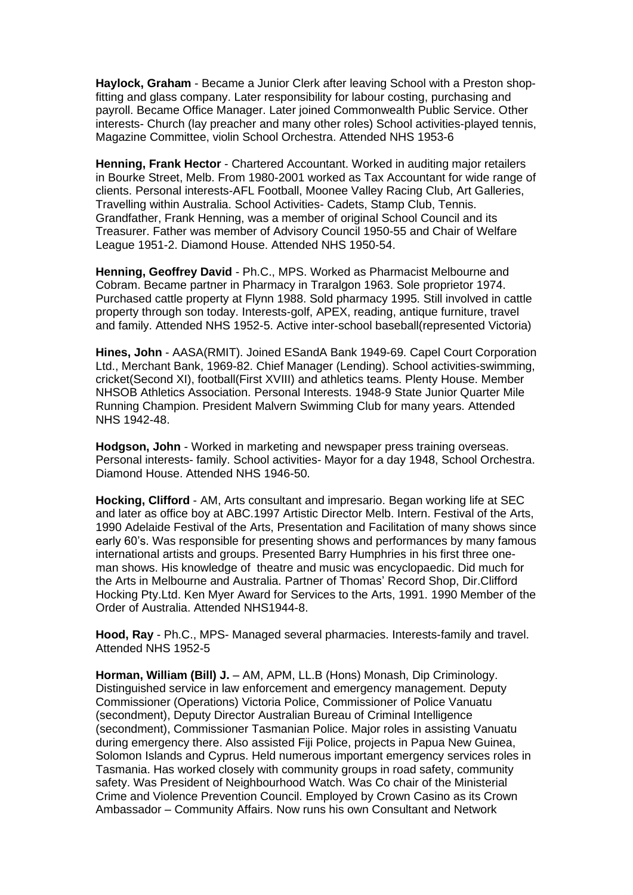**Haylock, Graham** - Became a Junior Clerk after leaving School with a Preston shopfitting and glass company. Later responsibility for labour costing, purchasing and payroll. Became Office Manager. Later joined Commonwealth Public Service. Other interests- Church (lay preacher and many other roles) School activities-played tennis, Magazine Committee, violin School Orchestra. Attended NHS 1953-6

**Henning, Frank Hector** - Chartered Accountant. Worked in auditing major retailers in Bourke Street, Melb. From 1980-2001 worked as Tax Accountant for wide range of clients. Personal interests-AFL Football, Moonee Valley Racing Club, Art Galleries, Travelling within Australia. School Activities- Cadets, Stamp Club, Tennis. Grandfather, Frank Henning, was a member of original School Council and its Treasurer. Father was member of Advisory Council 1950-55 and Chair of Welfare League 1951-2. Diamond House. Attended NHS 1950-54.

**Henning, Geoffrey David** - Ph.C., MPS. Worked as Pharmacist Melbourne and Cobram. Became partner in Pharmacy in Traralgon 1963. Sole proprietor 1974. Purchased cattle property at Flynn 1988. Sold pharmacy 1995. Still involved in cattle property through son today. Interests-golf, APEX, reading, antique furniture, travel and family. Attended NHS 1952-5. Active inter-school baseball(represented Victoria)

**Hines, John** - AASA(RMIT). Joined ESandA Bank 1949-69. Capel Court Corporation Ltd., Merchant Bank, 1969-82. Chief Manager (Lending). School activities-swimming, cricket(Second XI), football(First XVIII) and athletics teams. Plenty House. Member NHSOB Athletics Association. Personal Interests. 1948-9 State Junior Quarter Mile Running Champion. President Malvern Swimming Club for many years. Attended NHS 1942-48.

**Hodgson, John** - Worked in marketing and newspaper press training overseas. Personal interests- family. School activities- Mayor for a day 1948, School Orchestra. Diamond House. Attended NHS 1946-50.

**Hocking, Clifford** - AM, Arts consultant and impresario. Began working life at SEC and later as office boy at ABC.1997 Artistic Director Melb. Intern. Festival of the Arts, 1990 Adelaide Festival of the Arts, Presentation and Facilitation of many shows since early 60's. Was responsible for presenting shows and performances by many famous international artists and groups. Presented Barry Humphries in his first three oneman shows. His knowledge of theatre and music was encyclopaedic. Did much for the Arts in Melbourne and Australia. Partner of Thomas' Record Shop, Dir.Clifford Hocking Pty.Ltd. Ken Myer Award for Services to the Arts, 1991. 1990 Member of the Order of Australia. Attended NHS1944-8.

**Hood, Ray** - Ph.C., MPS- Managed several pharmacies. Interests-family and travel. Attended NHS 1952-5

**Horman, William (Bill) J.** – AM, APM, LL.B (Hons) Monash, Dip Criminology. Distinguished service in law enforcement and emergency management. Deputy Commissioner (Operations) Victoria Police, Commissioner of Police Vanuatu (secondment), Deputy Director Australian Bureau of Criminal Intelligence (secondment), Commissioner Tasmanian Police. Major roles in assisting Vanuatu during emergency there. Also assisted Fiji Police, projects in Papua New Guinea, Solomon Islands and Cyprus. Held numerous important emergency services roles in Tasmania. Has worked closely with community groups in road safety, community safety. Was President of Neighbourhood Watch. Was Co chair of the Ministerial Crime and Violence Prevention Council. Employed by Crown Casino as its Crown Ambassador – Community Affairs. Now runs his own Consultant and Network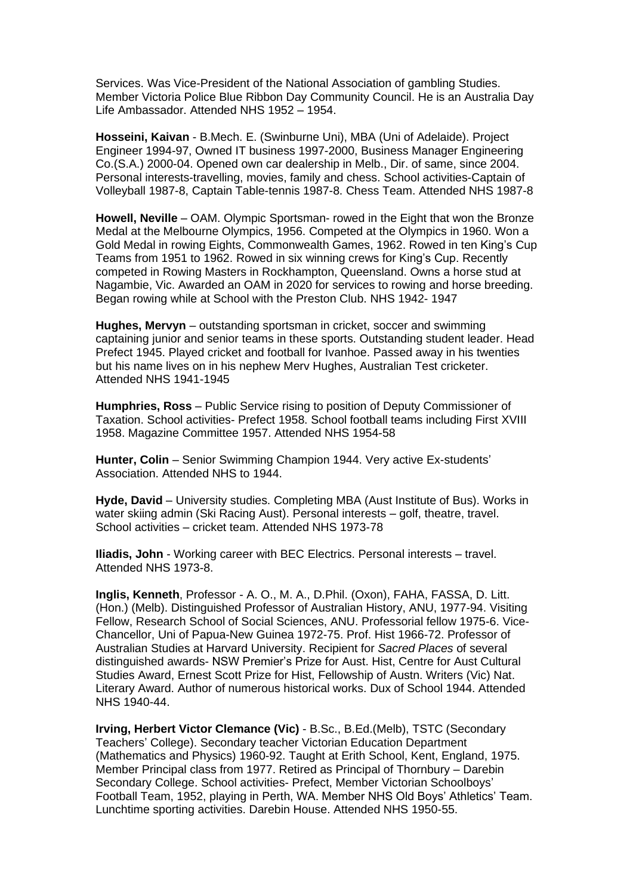Services. Was Vice-President of the National Association of gambling Studies. Member Victoria Police Blue Ribbon Day Community Council. He is an Australia Day Life Ambassador. Attended NHS 1952 – 1954.

**Hosseini, Kaivan** - B.Mech. E. (Swinburne Uni), MBA (Uni of Adelaide). Project Engineer 1994-97, Owned IT business 1997-2000, Business Manager Engineering Co.(S.A.) 2000-04. Opened own car dealership in Melb., Dir. of same, since 2004. Personal interests-travelling, movies, family and chess. School activities-Captain of Volleyball 1987-8, Captain Table-tennis 1987-8. Chess Team. Attended NHS 1987-8

**Howell, Neville** – OAM. Olympic Sportsman- rowed in the Eight that won the Bronze Medal at the Melbourne Olympics, 1956. Competed at the Olympics in 1960. Won a Gold Medal in rowing Eights, Commonwealth Games, 1962. Rowed in ten King's Cup Teams from 1951 to 1962. Rowed in six winning crews for King's Cup. Recently competed in Rowing Masters in Rockhampton, Queensland. Owns a horse stud at Nagambie, Vic. Awarded an OAM in 2020 for services to rowing and horse breeding. Began rowing while at School with the Preston Club. NHS 1942- 1947

**Hughes, Mervyn** – outstanding sportsman in cricket, soccer and swimming captaining junior and senior teams in these sports. Outstanding student leader. Head Prefect 1945. Played cricket and football for Ivanhoe. Passed away in his twenties but his name lives on in his nephew Merv Hughes, Australian Test cricketer. Attended NHS 1941-1945

**Humphries, Ross** – Public Service rising to position of Deputy Commissioner of Taxation. School activities- Prefect 1958. School football teams including First XVIII 1958. Magazine Committee 1957. Attended NHS 1954-58

**Hunter, Colin** – Senior Swimming Champion 1944. Very active Ex-students' Association. Attended NHS to 1944.

**Hyde, David** – University studies. Completing MBA (Aust Institute of Bus). Works in water skiing admin (Ski Racing Aust). Personal interests – golf, theatre, travel. School activities – cricket team. Attended NHS 1973-78

**Iliadis, John** - Working career with BEC Electrics. Personal interests – travel. Attended NHS 1973-8.

**Inglis, Kenneth**, Professor - A. O., M. A., D.Phil. (Oxon), FAHA, FASSA, D. Litt. (Hon.) (Melb). Distinguished Professor of Australian History, ANU, 1977-94. Visiting Fellow, Research School of Social Sciences, ANU. Professorial fellow 1975-6. Vice-Chancellor, Uni of Papua-New Guinea 1972-75. Prof. Hist 1966-72. Professor of Australian Studies at Harvard University. Recipient for *Sacred Places* of several distinguished awards- NSW Premier's Prize for Aust. Hist, Centre for Aust Cultural Studies Award, Ernest Scott Prize for Hist, Fellowship of Austn. Writers (Vic) Nat. Literary Award. Author of numerous historical works. Dux of School 1944. Attended NHS 1940-44.

**Irving, Herbert Victor Clemance (Vic)** - B.Sc., B.Ed.(Melb), TSTC (Secondary Teachers' College). Secondary teacher Victorian Education Department (Mathematics and Physics) 1960-92. Taught at Erith School, Kent, England, 1975. Member Principal class from 1977. Retired as Principal of Thornbury – Darebin Secondary College. School activities- Prefect, Member Victorian Schoolboys' Football Team, 1952, playing in Perth, WA. Member NHS Old Boys' Athletics' Team. Lunchtime sporting activities. Darebin House. Attended NHS 1950-55.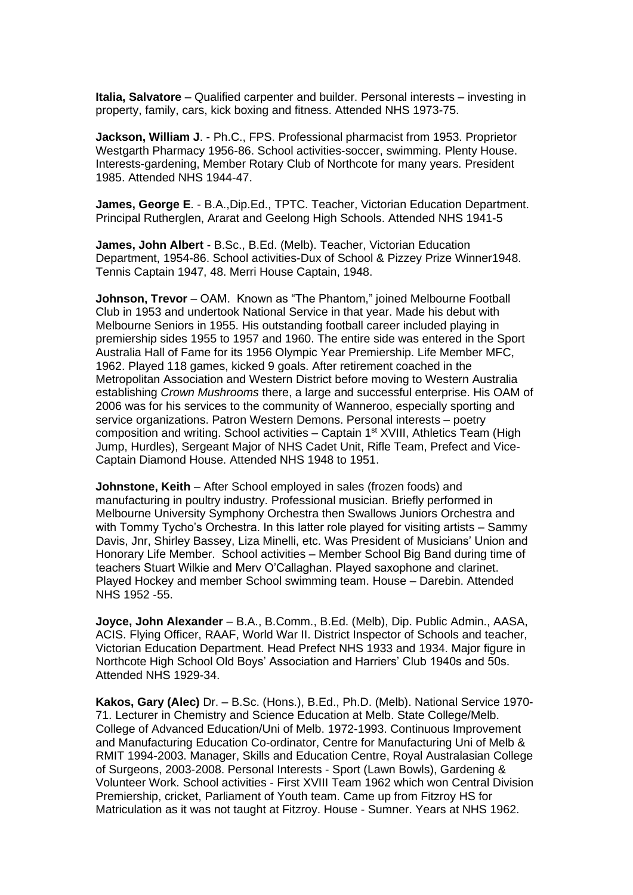**Italia, Salvatore** – Qualified carpenter and builder. Personal interests – investing in property, family, cars, kick boxing and fitness. Attended NHS 1973-75.

**Jackson, William J**. - Ph.C., FPS. Professional pharmacist from 1953. Proprietor Westgarth Pharmacy 1956-86. School activities-soccer, swimming. Plenty House. Interests-gardening, Member Rotary Club of Northcote for many years. President 1985. Attended NHS 1944-47.

**James, George E**. - B.A.,Dip.Ed., TPTC. Teacher, Victorian Education Department. Principal Rutherglen, Ararat and Geelong High Schools. Attended NHS 1941-5

**James, John Albert** - B.Sc., B.Ed. (Melb). Teacher, Victorian Education Department, 1954-86. School activities-Dux of School & Pizzey Prize Winner1948. Tennis Captain 1947, 48. Merri House Captain, 1948.

**Johnson, Trevor** – OAM. Known as "The Phantom," joined Melbourne Football Club in 1953 and undertook National Service in that year. Made his debut with Melbourne Seniors in 1955. His outstanding football career included playing in premiership sides 1955 to 1957 and 1960. The entire side was entered in the Sport Australia Hall of Fame for its 1956 Olympic Year Premiership. Life Member MFC, 1962. Played 118 games, kicked 9 goals. After retirement coached in the Metropolitan Association and Western District before moving to Western Australia establishing *Crown Mushrooms* there, a large and successful enterprise. His OAM of 2006 was for his services to the community of Wanneroo, especially sporting and service organizations. Patron Western Demons. Personal interests – poetry composition and writing. School activities  $-$  Captain 1st XVIII, Athletics Team (High Jump, Hurdles), Sergeant Major of NHS Cadet Unit, Rifle Team, Prefect and Vice-Captain Diamond House. Attended NHS 1948 to 1951.

**Johnstone, Keith** – After School employed in sales (frozen foods) and manufacturing in poultry industry. Professional musician. Briefly performed in Melbourne University Symphony Orchestra then Swallows Juniors Orchestra and with Tommy Tycho's Orchestra. In this latter role played for visiting artists – Sammy Davis, Jnr, Shirley Bassey, Liza Minelli, etc. Was President of Musicians' Union and Honorary Life Member. School activities – Member School Big Band during time of teachers Stuart Wilkie and Merv O'Callaghan. Played saxophone and clarinet. Played Hockey and member School swimming team. House – Darebin. Attended NHS 1952 -55.

**Joyce, John Alexander** – B.A., B.Comm., B.Ed. (Melb), Dip. Public Admin., AASA, ACIS. Flying Officer, RAAF, World War II. District Inspector of Schools and teacher, Victorian Education Department. Head Prefect NHS 1933 and 1934. Major figure in Northcote High School Old Boys' Association and Harriers' Club 1940s and 50s. Attended NHS 1929-34.

**Kakos, Gary (Alec)** Dr. – B.Sc. (Hons.), B.Ed., Ph.D. (Melb). National Service 1970- 71. Lecturer in Chemistry and Science Education at Melb. State College/Melb. College of Advanced Education/Uni of Melb. 1972-1993. Continuous Improvement and Manufacturing Education Co-ordinator, Centre for Manufacturing Uni of Melb & RMIT 1994-2003. Manager, Skills and Education Centre, Royal Australasian College of Surgeons, 2003-2008. Personal Interests - Sport (Lawn Bowls), Gardening & Volunteer Work. School activities - First XVIII Team 1962 which won Central Division Premiership, cricket, Parliament of Youth team. Came up from Fitzroy HS for Matriculation as it was not taught at Fitzroy. House - Sumner. Years at NHS 1962.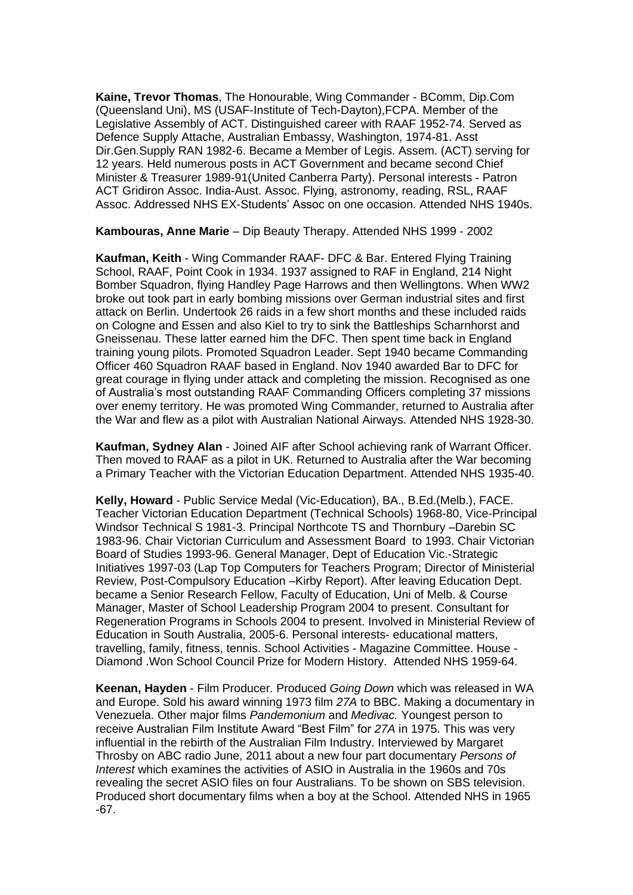**Kaine, Trevor Thomas**, The Honourable, Wing Commander - BComm, Dip.Com (Queensland Uni), MS (USAF-Institute of Tech-Dayton),FCPA. Member of the Legislative Assembly of ACT. Distinguished career with RAAF 1952-74. Served as Defence Supply Attache, Australian Embassy, Washington, 1974-81. Asst Dir.Gen.Supply RAN 1982-6. Became a Member of Legis. Assem. (ACT) serving for 12 years. Held numerous posts in ACT Government and became second Chief Minister & Treasurer 1989-91(United Canberra Party). Personal interests - Patron ACT Gridiron Assoc. India-Aust. Assoc. Flying, astronomy, reading, RSL, RAAF Assoc. Addressed NHS EX-Students' Assoc on one occasion. Attended NHS 1940s.

**Kambouras, Anne Marie** – Dip Beauty Therapy. Attended NHS 1999 - 2002

**Kaufman, Keith** - Wing Commander RAAF- DFC & Bar. Entered Flying Training School, RAAF, Point Cook in 1934. 1937 assigned to RAF in England, 214 Night Bomber Squadron, flying Handley Page Harrows and then Wellingtons. When WW2 broke out took part in early bombing missions over German industrial sites and first attack on Berlin. Undertook 26 raids in a few short months and these included raids on Cologne and Essen and also Kiel to try to sink the Battleships Scharnhorst and Gneissenau. These latter earned him the DFC. Then spent time back in England training young pilots. Promoted Squadron Leader. Sept 1940 became Commanding Officer 460 Squadron RAAF based in England. Nov 1940 awarded Bar to DFC for great courage in flying under attack and completing the mission. Recognised as one of Australia's most outstanding RAAF Commanding Officers completing 37 missions over enemy territory. He was promoted Wing Commander, returned to Australia after the War and flew as a pilot with Australian National Airways. Attended NHS 1928-30.

**Kaufman, Sydney Alan** - Joined AIF after School achieving rank of Warrant Officer. Then moved to RAAF as a pilot in UK. Returned to Australia after the War becoming a Primary Teacher with the Victorian Education Department. Attended NHS 1935-40.

**Kelly, Howard** - Public Service Medal (Vic-Education), BA., B.Ed.(Melb.), FACE. Teacher Victorian Education Department (Technical Schools) 1968-80, Vice-Principal Windsor Technical S 1981-3. Principal Northcote TS and Thornbury –Darebin SC 1983-96. Chair Victorian Curriculum and Assessment Board to 1993. Chair Victorian Board of Studies 1993-96. General Manager, Dept of Education Vic.-Strategic Initiatives 1997-03 (Lap Top Computers for Teachers Program; Director of Ministerial Review, Post-Compulsory Education –Kirby Report). After leaving Education Dept. became a Senior Research Fellow, Faculty of Education, Uni of Melb. & Course Manager, Master of School Leadership Program 2004 to present. Consultant for Regeneration Programs in Schools 2004 to present. Involved in Ministerial Review of Education in South Australia, 2005-6. Personal interests- educational matters, travelling, family, fitness, tennis. School Activities - Magazine Committee. House - Diamond .Won School Council Prize for Modern History. Attended NHS 1959-64.

**Keenan, Hayden** - Film Producer. Produced *Going Down* which was released in WA and Europe. Sold his award winning 1973 film *27A* to BBC. Making a documentary in Venezuela. Other major films *Pandemonium* and *Medivac.* Youngest person to receive Australian Film Institute Award "Best Film" for *27A* in 1975. This was very influential in the rebirth of the Australian Film Industry. Interviewed by Margaret Throsby on ABC radio June, 2011 about a new four part documentary *Persons of Interest* which examines the activities of ASIO in Australia in the 1960s and 70s revealing the secret ASIO files on four Australians. To be shown on SBS television. Produced short documentary films when a boy at the School. Attended NHS in 1965 -67.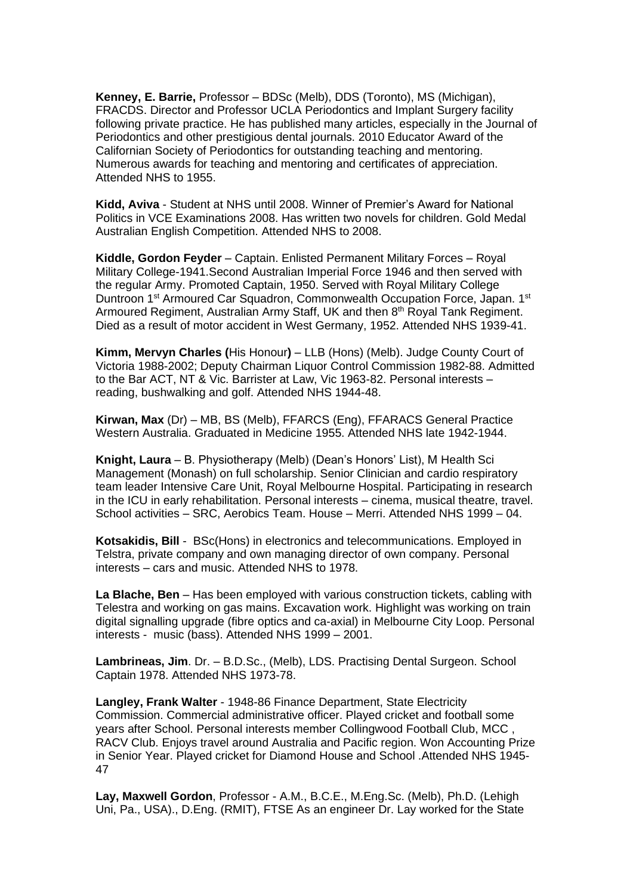**Kenney, E. Barrie,** Professor – BDSc (Melb), DDS (Toronto), MS (Michigan), FRACDS. Director and Professor UCLA Periodontics and Implant Surgery facility following private practice. He has published many articles, especially in the Journal of Periodontics and other prestigious dental journals. 2010 Educator Award of the Californian Society of Periodontics for outstanding teaching and mentoring. Numerous awards for teaching and mentoring and certificates of appreciation. Attended NHS to 1955.

**Kidd, Aviva** - Student at NHS until 2008. Winner of Premier's Award for National Politics in VCE Examinations 2008. Has written two novels for children. Gold Medal Australian English Competition. Attended NHS to 2008.

**Kiddle, Gordon Feyder** – Captain. Enlisted Permanent Military Forces – Royal Military College-1941.Second Australian Imperial Force 1946 and then served with the regular Army. Promoted Captain, 1950. Served with Royal Military College Duntroon 1<sup>st</sup> Armoured Car Squadron, Commonwealth Occupation Force, Japan. 1<sup>st</sup> Armoured Regiment, Australian Army Staff, UK and then 8<sup>th</sup> Royal Tank Regiment. Died as a result of motor accident in West Germany, 1952. Attended NHS 1939-41.

**Kimm, Mervyn Charles (**His Honour**)** – LLB (Hons) (Melb). Judge County Court of Victoria 1988-2002; Deputy Chairman Liquor Control Commission 1982-88. Admitted to the Bar ACT, NT & Vic. Barrister at Law, Vic 1963-82. Personal interests – reading, bushwalking and golf. Attended NHS 1944-48.

**Kirwan, Max** (Dr) – MB, BS (Melb), FFARCS (Eng), FFARACS General Practice Western Australia. Graduated in Medicine 1955. Attended NHS late 1942-1944.

**Knight, Laura** – B. Physiotherapy (Melb) (Dean's Honors' List), M Health Sci Management (Monash) on full scholarship. Senior Clinician and cardio respiratory team leader Intensive Care Unit, Royal Melbourne Hospital. Participating in research in the ICU in early rehabilitation. Personal interests – cinema, musical theatre, travel. School activities – SRC, Aerobics Team. House – Merri. Attended NHS 1999 – 04.

**Kotsakidis, Bill** - BSc(Hons) in electronics and telecommunications. Employed in Telstra, private company and own managing director of own company. Personal interests – cars and music. Attended NHS to 1978.

**La Blache, Ben** – Has been employed with various construction tickets, cabling with Telestra and working on gas mains. Excavation work. Highlight was working on train digital signalling upgrade (fibre optics and ca-axial) in Melbourne City Loop. Personal interests - music (bass). Attended NHS 1999 – 2001.

**Lambrineas, Jim**. Dr. – B.D.Sc., (Melb), LDS. Practising Dental Surgeon. School Captain 1978. Attended NHS 1973-78.

**Langley, Frank Walter** - 1948-86 Finance Department, State Electricity Commission. Commercial administrative officer. Played cricket and football some years after School. Personal interests member Collingwood Football Club, MCC , RACV Club. Enjoys travel around Australia and Pacific region. Won Accounting Prize in Senior Year. Played cricket for Diamond House and School .Attended NHS 1945- 47

**Lay, Maxwell Gordon**, Professor - A.M., B.C.E., M.Eng.Sc. (Melb), Ph.D. (Lehigh Uni, Pa., USA)., D.Eng. (RMIT), FTSE As an engineer Dr. Lay worked for the State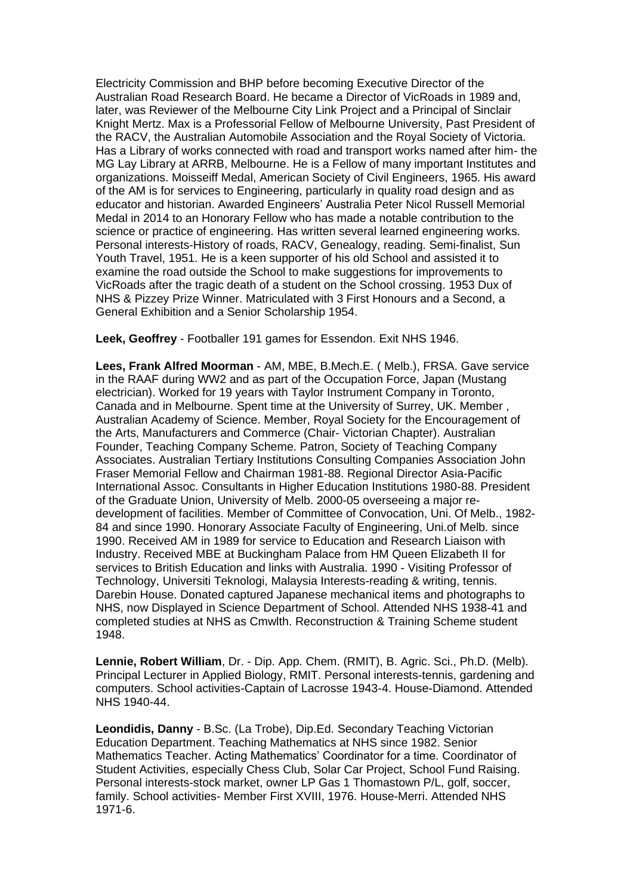Electricity Commission and BHP before becoming Executive Director of the Australian Road Research Board. He became a Director of VicRoads in 1989 and, later, was Reviewer of the Melbourne City Link Project and a Principal of Sinclair Knight Mertz. Max is a Professorial Fellow of Melbourne University, Past President of the RACV, the Australian Automobile Association and the Royal Society of Victoria. Has a Library of works connected with road and transport works named after him- the MG Lay Library at ARRB, Melbourne. He is a Fellow of many important Institutes and organizations. Moisseiff Medal, American Society of Civil Engineers, 1965. His award of the AM is for services to Engineering, particularly in quality road design and as educator and historian. Awarded Engineers' Australia Peter Nicol Russell Memorial Medal in 2014 to an Honorary Fellow who has made a notable contribution to the science or practice of engineering. Has written several learned engineering works. Personal interests-History of roads, RACV, Genealogy, reading. Semi-finalist, Sun Youth Travel, 1951. He is a keen supporter of his old School and assisted it to examine the road outside the School to make suggestions for improvements to VicRoads after the tragic death of a student on the School crossing. 1953 Dux of NHS & Pizzey Prize Winner. Matriculated with 3 First Honours and a Second, a General Exhibition and a Senior Scholarship 1954.

**Leek, Geoffrey** - Footballer 191 games for Essendon. Exit NHS 1946.

**Lees, Frank Alfred Moorman** - AM, MBE, B.Mech.E. ( Melb.), FRSA. Gave service in the RAAF during WW2 and as part of the Occupation Force, Japan (Mustang electrician). Worked for 19 years with Taylor Instrument Company in Toronto, Canada and in Melbourne. Spent time at the University of Surrey, UK. Member , Australian Academy of Science. Member, Royal Society for the Encouragement of the Arts, Manufacturers and Commerce (Chair- Victorian Chapter). Australian Founder, Teaching Company Scheme. Patron, Society of Teaching Company Associates. Australian Tertiary Institutions Consulting Companies Association John Fraser Memorial Fellow and Chairman 1981-88. Regional Director Asia-Pacific International Assoc. Consultants in Higher Education Institutions 1980-88. President of the Graduate Union, University of Melb. 2000-05 overseeing a major redevelopment of facilities. Member of Committee of Convocation, Uni. Of Melb., 1982- 84 and since 1990. Honorary Associate Faculty of Engineering, Uni.of Melb. since 1990. Received AM in 1989 for service to Education and Research Liaison with Industry. Received MBE at Buckingham Palace from HM Queen Elizabeth II for services to British Education and links with Australia. 1990 - Visiting Professor of Technology, Universiti Teknologi, Malaysia Interests-reading & writing, tennis. Darebin House. Donated captured Japanese mechanical items and photographs to NHS, now Displayed in Science Department of School. Attended NHS 1938-41 and completed studies at NHS as Cmwlth. Reconstruction & Training Scheme student 1948.

**Lennie, Robert William**, Dr. - Dip. App. Chem. (RMIT), B. Agric. Sci., Ph.D. (Melb). Principal Lecturer in Applied Biology, RMIT. Personal interests-tennis, gardening and computers. School activities-Captain of Lacrosse 1943-4. House-Diamond. Attended NHS 1940-44.

**Leondidis, Danny** - B.Sc. (La Trobe), Dip.Ed. Secondary Teaching Victorian Education Department. Teaching Mathematics at NHS since 1982. Senior Mathematics Teacher. Acting Mathematics' Coordinator for a time. Coordinator of Student Activities, especially Chess Club, Solar Car Project, School Fund Raising. Personal interests-stock market, owner LP Gas 1 Thomastown P/L, golf, soccer, family. School activities- Member First XVIII, 1976. House-Merri. Attended NHS 1971-6.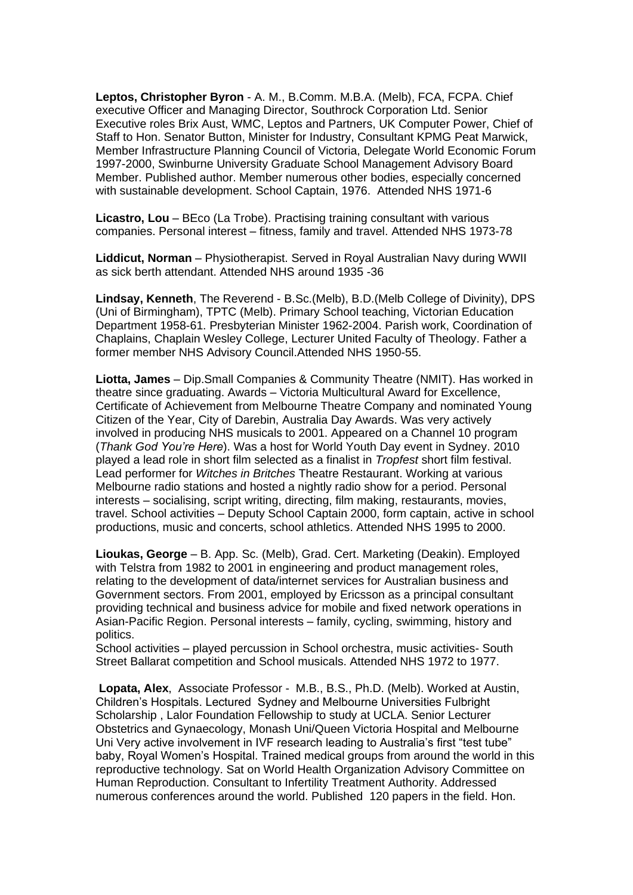**Leptos, Christopher Byron** - A. M., B.Comm. M.B.A. (Melb), FCA, FCPA. Chief executive Officer and Managing Director, Southrock Corporation Ltd. Senior Executive roles Brix Aust, WMC, Leptos and Partners, UK Computer Power, Chief of Staff to Hon. Senator Button, Minister for Industry, Consultant KPMG Peat Marwick, Member Infrastructure Planning Council of Victoria, Delegate World Economic Forum 1997-2000, Swinburne University Graduate School Management Advisory Board Member. Published author. Member numerous other bodies, especially concerned with sustainable development. School Captain, 1976. Attended NHS 1971-6

**Licastro, Lou** – BEco (La Trobe). Practising training consultant with various companies. Personal interest – fitness, family and travel. Attended NHS 1973-78

**Liddicut, Norman** – Physiotherapist. Served in Royal Australian Navy during WWII as sick berth attendant. Attended NHS around 1935 -36

**Lindsay, Kenneth**, The Reverend - B.Sc.(Melb), B.D.(Melb College of Divinity), DPS (Uni of Birmingham), TPTC (Melb). Primary School teaching, Victorian Education Department 1958-61. Presbyterian Minister 1962-2004. Parish work, Coordination of Chaplains, Chaplain Wesley College, Lecturer United Faculty of Theology. Father a former member NHS Advisory Council.Attended NHS 1950-55.

**Liotta, James** – Dip.Small Companies & Community Theatre (NMIT). Has worked in theatre since graduating. Awards – Victoria Multicultural Award for Excellence, Certificate of Achievement from Melbourne Theatre Company and nominated Young Citizen of the Year, City of Darebin, Australia Day Awards. Was very actively involved in producing NHS musicals to 2001. Appeared on a Channel 10 program (*Thank God You're Here*). Was a host for World Youth Day event in Sydney. 2010 played a lead role in short film selected as a finalist in *Tropfest* short film festival. Lead performer for *Witches in Britches* Theatre Restaurant. Working at various Melbourne radio stations and hosted a nightly radio show for a period. Personal interests – socialising, script writing, directing, film making, restaurants, movies, travel. School activities – Deputy School Captain 2000, form captain, active in school productions, music and concerts, school athletics. Attended NHS 1995 to 2000.

**Lioukas, George** – B. App. Sc. (Melb), Grad. Cert. Marketing (Deakin). Employed with Telstra from 1982 to 2001 in engineering and product management roles, relating to the development of data/internet services for Australian business and Government sectors. From 2001, employed by Ericsson as a principal consultant providing technical and business advice for mobile and fixed network operations in Asian-Pacific Region. Personal interests – family, cycling, swimming, history and politics.

School activities – played percussion in School orchestra, music activities- South Street Ballarat competition and School musicals. Attended NHS 1972 to 1977.

**Lopata, Alex**, Associate Professor - M.B., B.S., Ph.D. (Melb). Worked at Austin, Children's Hospitals. Lectured Sydney and Melbourne Universities Fulbright Scholarship , Lalor Foundation Fellowship to study at UCLA. Senior Lecturer Obstetrics and Gynaecology, Monash Uni/Queen Victoria Hospital and Melbourne Uni Very active involvement in IVF research leading to Australia's first "test tube" baby, Royal Women's Hospital. Trained medical groups from around the world in this reproductive technology. Sat on World Health Organization Advisory Committee on Human Reproduction. Consultant to Infertility Treatment Authority. Addressed numerous conferences around the world. Published 120 papers in the field. Hon.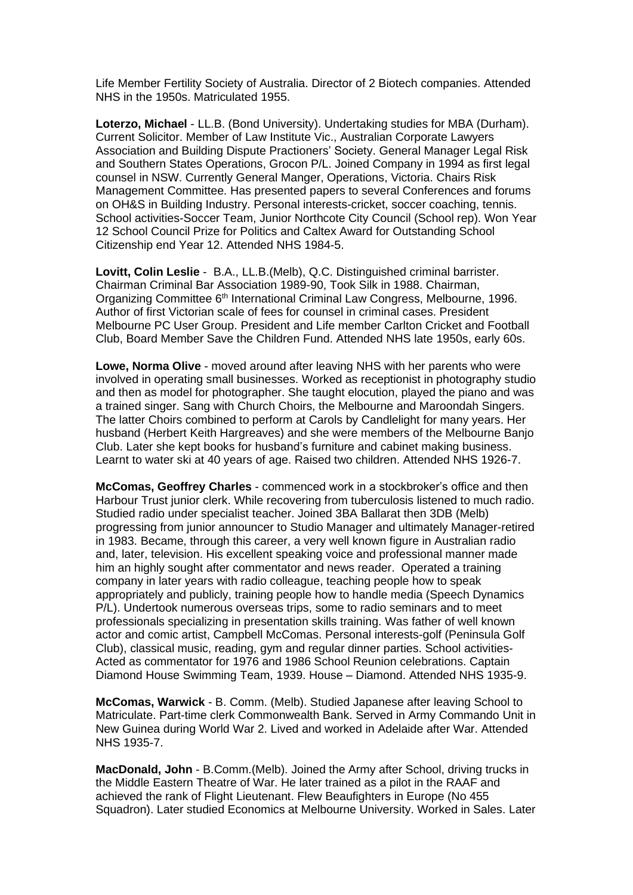Life Member Fertility Society of Australia. Director of 2 Biotech companies. Attended NHS in the 1950s. Matriculated 1955.

**Loterzo, Michael** - LL.B. (Bond University). Undertaking studies for MBA (Durham). Current Solicitor. Member of Law Institute Vic., Australian Corporate Lawyers Association and Building Dispute Practioners' Society. General Manager Legal Risk and Southern States Operations, Grocon P/L. Joined Company in 1994 as first legal counsel in NSW. Currently General Manger, Operations, Victoria. Chairs Risk Management Committee. Has presented papers to several Conferences and forums on OH&S in Building Industry. Personal interests-cricket, soccer coaching, tennis. School activities-Soccer Team, Junior Northcote City Council (School rep). Won Year 12 School Council Prize for Politics and Caltex Award for Outstanding School Citizenship end Year 12. Attended NHS 1984-5.

**Lovitt, Colin Leslie** - B.A., LL.B.(Melb), Q.C. Distinguished criminal barrister. Chairman Criminal Bar Association 1989-90, Took Silk in 1988. Chairman, Organizing Committee 6<sup>th</sup> International Criminal Law Congress, Melbourne, 1996. Author of first Victorian scale of fees for counsel in criminal cases. President Melbourne PC User Group. President and Life member Carlton Cricket and Football Club, Board Member Save the Children Fund. Attended NHS late 1950s, early 60s.

**Lowe, Norma Olive** - moved around after leaving NHS with her parents who were involved in operating small businesses. Worked as receptionist in photography studio and then as model for photographer. She taught elocution, played the piano and was a trained singer. Sang with Church Choirs, the Melbourne and Maroondah Singers. The latter Choirs combined to perform at Carols by Candlelight for many years. Her husband (Herbert Keith Hargreaves) and she were members of the Melbourne Banjo Club. Later she kept books for husband's furniture and cabinet making business. Learnt to water ski at 40 years of age. Raised two children. Attended NHS 1926-7.

**McComas, Geoffrey Charles** - commenced work in a stockbroker's office and then Harbour Trust junior clerk. While recovering from tuberculosis listened to much radio. Studied radio under specialist teacher. Joined 3BA Ballarat then 3DB (Melb) progressing from junior announcer to Studio Manager and ultimately Manager-retired in 1983. Became, through this career, a very well known figure in Australian radio and, later, television. His excellent speaking voice and professional manner made him an highly sought after commentator and news reader. Operated a training company in later years with radio colleague, teaching people how to speak appropriately and publicly, training people how to handle media (Speech Dynamics P/L). Undertook numerous overseas trips, some to radio seminars and to meet professionals specializing in presentation skills training. Was father of well known actor and comic artist, Campbell McComas. Personal interests-golf (Peninsula Golf Club), classical music, reading, gym and regular dinner parties. School activities-Acted as commentator for 1976 and 1986 School Reunion celebrations. Captain Diamond House Swimming Team, 1939. House – Diamond. Attended NHS 1935-9.

**McComas, Warwick** - B. Comm. (Melb). Studied Japanese after leaving School to Matriculate. Part-time clerk Commonwealth Bank. Served in Army Commando Unit in New Guinea during World War 2. Lived and worked in Adelaide after War. Attended NHS 1935-7.

**MacDonald, John** - B.Comm.(Melb). Joined the Army after School, driving trucks in the Middle Eastern Theatre of War. He later trained as a pilot in the RAAF and achieved the rank of Flight Lieutenant. Flew Beaufighters in Europe (No 455 Squadron). Later studied Economics at Melbourne University. Worked in Sales. Later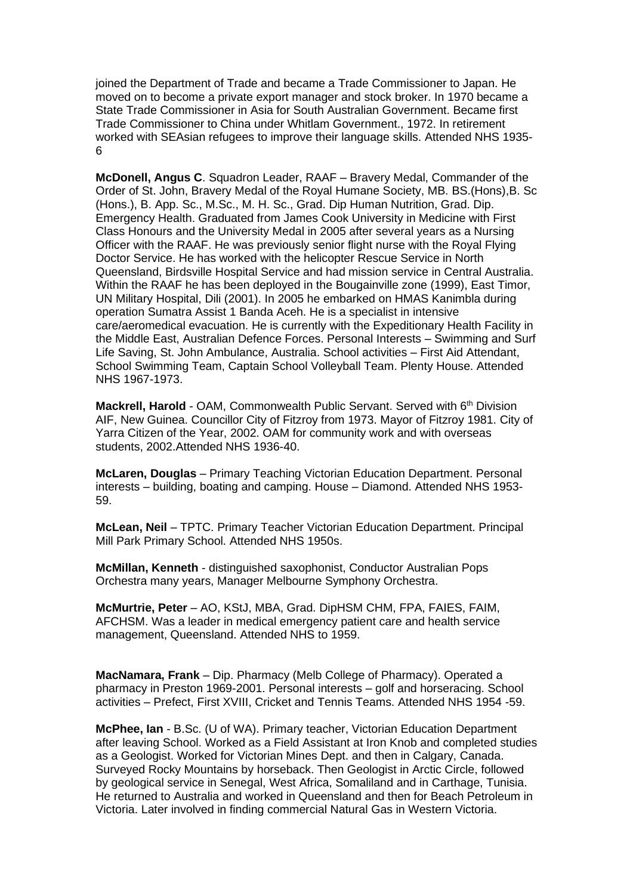joined the Department of Trade and became a Trade Commissioner to Japan. He moved on to become a private export manager and stock broker. In 1970 became a State Trade Commissioner in Asia for South Australian Government. Became first Trade Commissioner to China under Whitlam Government., 1972. In retirement worked with SEAsian refugees to improve their language skills. Attended NHS 1935- 6

**McDonell, Angus C**. Squadron Leader, RAAF – Bravery Medal, Commander of the Order of St. John, Bravery Medal of the Royal Humane Society, MB. BS.(Hons),B. Sc (Hons.), B. App. Sc., M.Sc., M. H. Sc., Grad. Dip Human Nutrition, Grad. Dip. Emergency Health. Graduated from James Cook University in Medicine with First Class Honours and the University Medal in 2005 after several years as a Nursing Officer with the RAAF. He was previously senior flight nurse with the Royal Flying Doctor Service. He has worked with the helicopter Rescue Service in North Queensland, Birdsville Hospital Service and had mission service in Central Australia. Within the RAAF he has been deployed in the Bougainville zone (1999), East Timor, UN Military Hospital, Dili (2001). In 2005 he embarked on HMAS Kanimbla during operation Sumatra Assist 1 Banda Aceh. He is a specialist in intensive care/aeromedical evacuation. He is currently with the Expeditionary Health Facility in the Middle East, Australian Defence Forces. Personal Interests – Swimming and Surf Life Saving, St. John Ambulance, Australia. School activities – First Aid Attendant, School Swimming Team, Captain School Volleyball Team. Plenty House. Attended NHS 1967-1973.

**Mackrell, Harold** - OAM, Commonwealth Public Servant. Served with 6<sup>th</sup> Division AIF, New Guinea. Councillor City of Fitzroy from 1973. Mayor of Fitzroy 1981. City of Yarra Citizen of the Year, 2002. OAM for community work and with overseas students, 2002.Attended NHS 1936-40.

**McLaren, Douglas** – Primary Teaching Victorian Education Department. Personal interests – building, boating and camping. House – Diamond. Attended NHS 1953- 59.

**McLean, Neil** – TPTC. Primary Teacher Victorian Education Department. Principal Mill Park Primary School. Attended NHS 1950s.

**McMillan, Kenneth** - distinguished saxophonist, Conductor Australian Pops Orchestra many years, Manager Melbourne Symphony Orchestra.

**McMurtrie, Peter** – AO, KStJ, MBA, Grad. DipHSM CHM, FPA, FAIES, FAIM, AFCHSM. Was a leader in medical emergency patient care and health service management, Queensland. Attended NHS to 1959.

**MacNamara, Frank** – Dip. Pharmacy (Melb College of Pharmacy). Operated a pharmacy in Preston 1969-2001. Personal interests – golf and horseracing. School activities – Prefect, First XVIII, Cricket and Tennis Teams. Attended NHS 1954 -59.

**McPhee, Ian** - B.Sc. (U of WA). Primary teacher, Victorian Education Department after leaving School. Worked as a Field Assistant at Iron Knob and completed studies as a Geologist. Worked for Victorian Mines Dept. and then in Calgary, Canada. Surveyed Rocky Mountains by horseback. Then Geologist in Arctic Circle, followed by geological service in Senegal, West Africa, Somaliland and in Carthage, Tunisia. He returned to Australia and worked in Queensland and then for Beach Petroleum in Victoria. Later involved in finding commercial Natural Gas in Western Victoria.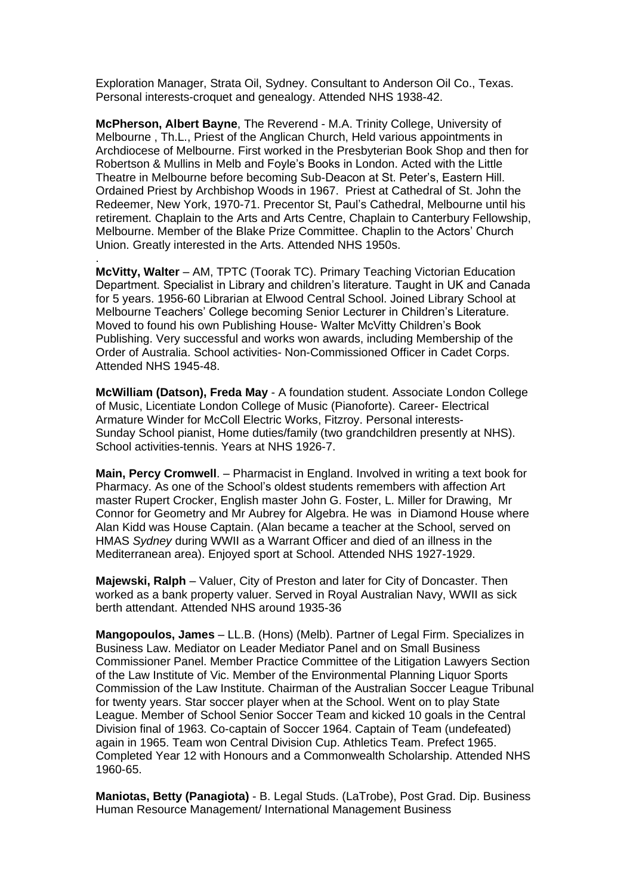Exploration Manager, Strata Oil, Sydney. Consultant to Anderson Oil Co., Texas. Personal interests-croquet and genealogy. Attended NHS 1938-42.

**McPherson, Albert Bayne**, The Reverend - M.A. Trinity College, University of Melbourne , Th.L., Priest of the Anglican Church, Held various appointments in Archdiocese of Melbourne. First worked in the Presbyterian Book Shop and then for Robertson & Mullins in Melb and Foyle's Books in London. Acted with the Little Theatre in Melbourne before becoming Sub-Deacon at St. Peter's, Eastern Hill. Ordained Priest by Archbishop Woods in 1967. Priest at Cathedral of St. John the Redeemer, New York, 1970-71. Precentor St, Paul's Cathedral, Melbourne until his retirement. Chaplain to the Arts and Arts Centre, Chaplain to Canterbury Fellowship, Melbourne. Member of the Blake Prize Committee. Chaplin to the Actors' Church Union. Greatly interested in the Arts. Attended NHS 1950s.

**McVitty, Walter** – AM, TPTC (Toorak TC). Primary Teaching Victorian Education Department. Specialist in Library and children's literature. Taught in UK and Canada for 5 years. 1956-60 Librarian at Elwood Central School. Joined Library School at Melbourne Teachers' College becoming Senior Lecturer in Children's Literature. Moved to found his own Publishing House- Walter McVitty Children's Book Publishing. Very successful and works won awards, including Membership of the Order of Australia. School activities- Non-Commissioned Officer in Cadet Corps. Attended NHS 1945-48.

.

**McWilliam (Datson), Freda May** - A foundation student. Associate London College of Music, Licentiate London College of Music (Pianoforte). Career- Electrical Armature Winder for McColl Electric Works, Fitzroy. Personal interests-Sunday School pianist, Home duties/family (two grandchildren presently at NHS). School activities-tennis. Years at NHS 1926-7.

**Main, Percy Cromwell**. – Pharmacist in England. Involved in writing a text book for Pharmacy. As one of the School's oldest students remembers with affection Art master Rupert Crocker, English master John G. Foster, L. Miller for Drawing, Mr Connor for Geometry and Mr Aubrey for Algebra. He was in Diamond House where Alan Kidd was House Captain. (Alan became a teacher at the School, served on HMAS *Sydney* during WWII as a Warrant Officer and died of an illness in the Mediterranean area). Enjoyed sport at School. Attended NHS 1927-1929.

**Majewski, Ralph** – Valuer, City of Preston and later for City of Doncaster. Then worked as a bank property valuer. Served in Royal Australian Navy, WWII as sick berth attendant. Attended NHS around 1935-36

**Mangopoulos, James** – LL.B. (Hons) (Melb). Partner of Legal Firm. Specializes in Business Law. Mediator on Leader Mediator Panel and on Small Business Commissioner Panel. Member Practice Committee of the Litigation Lawyers Section of the Law Institute of Vic. Member of the Environmental Planning Liquor Sports Commission of the Law Institute. Chairman of the Australian Soccer League Tribunal for twenty years. Star soccer player when at the School. Went on to play State League. Member of School Senior Soccer Team and kicked 10 goals in the Central Division final of 1963. Co-captain of Soccer 1964. Captain of Team (undefeated) again in 1965. Team won Central Division Cup. Athletics Team. Prefect 1965. Completed Year 12 with Honours and a Commonwealth Scholarship. Attended NHS 1960-65.

**Maniotas, Betty (Panagiota)** - B. Legal Studs. (LaTrobe), Post Grad. Dip. Business Human Resource Management/ International Management Business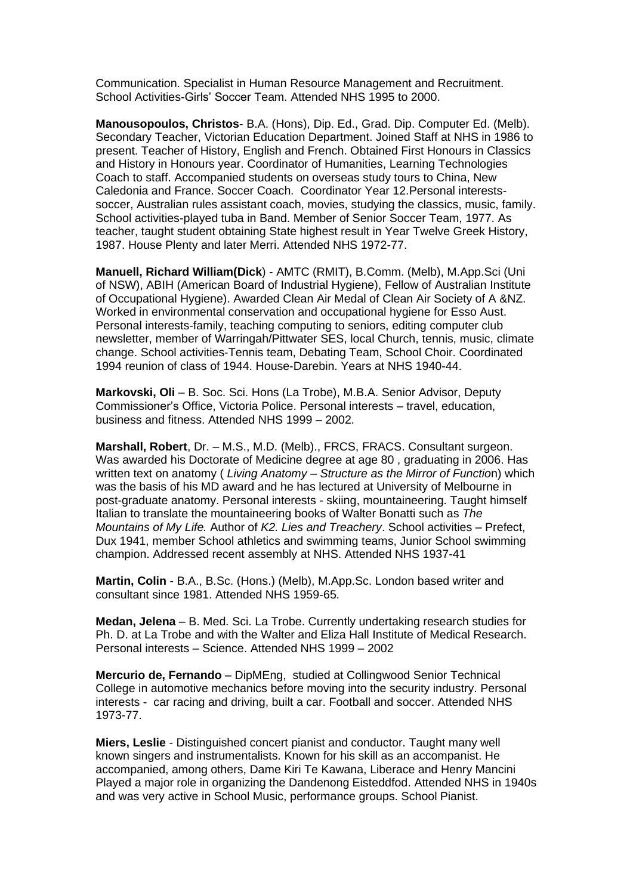Communication. Specialist in Human Resource Management and Recruitment. School Activities-Girls' Soccer Team. Attended NHS 1995 to 2000.

**Manousopoulos, Christos**- B.A. (Hons), Dip. Ed., Grad. Dip. Computer Ed. (Melb). Secondary Teacher, Victorian Education Department. Joined Staff at NHS in 1986 to present. Teacher of History, English and French. Obtained First Honours in Classics and History in Honours year. Coordinator of Humanities, Learning Technologies Coach to staff. Accompanied students on overseas study tours to China, New Caledonia and France. Soccer Coach. Coordinator Year 12.Personal interestssoccer, Australian rules assistant coach, movies, studying the classics, music, family. School activities-played tuba in Band. Member of Senior Soccer Team, 1977. As teacher, taught student obtaining State highest result in Year Twelve Greek History, 1987. House Plenty and later Merri. Attended NHS 1972-77.

**Manuell, Richard William(Dick**) - AMTC (RMIT), B.Comm. (Melb), M.App.Sci (Uni of NSW), ABIH (American Board of Industrial Hygiene), Fellow of Australian Institute of Occupational Hygiene). Awarded Clean Air Medal of Clean Air Society of A &NZ. Worked in environmental conservation and occupational hygiene for Esso Aust. Personal interests-family, teaching computing to seniors, editing computer club newsletter, member of Warringah/Pittwater SES, local Church, tennis, music, climate change. School activities-Tennis team, Debating Team, School Choir. Coordinated 1994 reunion of class of 1944. House-Darebin. Years at NHS 1940-44.

**Markovski, Oli** – B. Soc. Sci. Hons (La Trobe), M.B.A. Senior Advisor, Deputy Commissioner's Office, Victoria Police. Personal interests – travel, education, business and fitness. Attended NHS 1999 – 2002.

**Marshall, Robert**, Dr. – M.S., M.D. (Melb)., FRCS, FRACS. Consultant surgeon. Was awarded his Doctorate of Medicine degree at age 80 , graduating in 2006. Has written text on anatomy ( *Living Anatomy – Structure as the Mirror of Functio*n) which was the basis of his MD award and he has lectured at University of Melbourne in post-graduate anatomy. Personal interests - skiing, mountaineering. Taught himself Italian to translate the mountaineering books of Walter Bonatti such as *The Mountains of My Life.* Author of *K2. Lies and Treachery*. School activities – Prefect, Dux 1941, member School athletics and swimming teams, Junior School swimming champion. Addressed recent assembly at NHS. Attended NHS 1937-41

**Martin, Colin** - B.A., B.Sc. (Hons.) (Melb), M.App.Sc. London based writer and consultant since 1981. Attended NHS 1959-65.

**Medan, Jelena** – B. Med. Sci. La Trobe. Currently undertaking research studies for Ph. D. at La Trobe and with the Walter and Eliza Hall Institute of Medical Research. Personal interests – Science. Attended NHS 1999 – 2002

**Mercurio de, Fernando** – DipMEng, studied at Collingwood Senior Technical College in automotive mechanics before moving into the security industry. Personal interests - car racing and driving, built a car. Football and soccer. Attended NHS 1973-77.

**Miers, Leslie** - Distinguished concert pianist and conductor. Taught many well known singers and instrumentalists. Known for his skill as an accompanist. He accompanied, among others, Dame Kiri Te Kawana, Liberace and Henry Mancini Played a major role in organizing the Dandenong Eisteddfod. Attended NHS in 1940s and was very active in School Music, performance groups. School Pianist.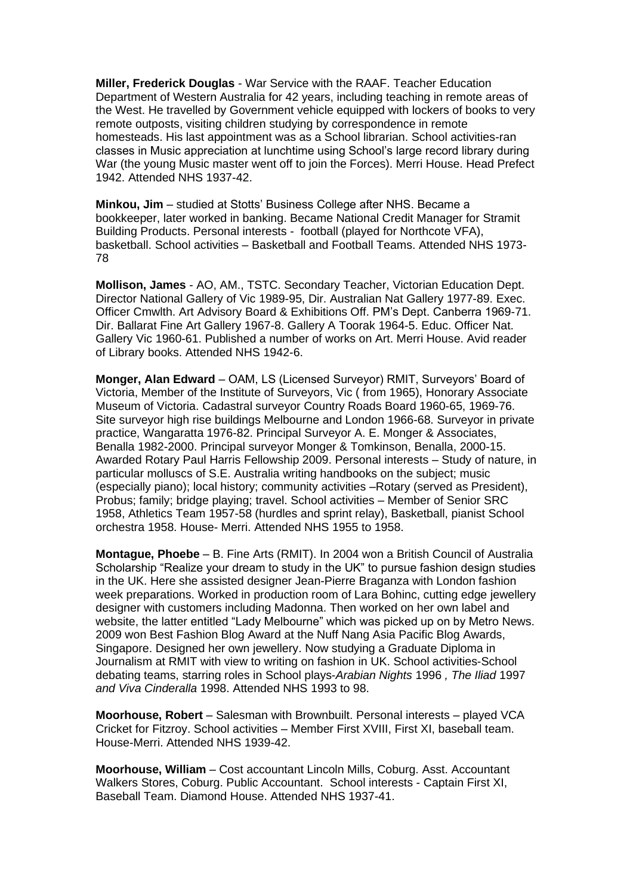**Miller, Frederick Douglas** - War Service with the RAAF. Teacher Education Department of Western Australia for 42 years, including teaching in remote areas of the West. He travelled by Government vehicle equipped with lockers of books to very remote outposts, visiting children studying by correspondence in remote homesteads. His last appointment was as a School librarian. School activities-ran classes in Music appreciation at lunchtime using School's large record library during War (the young Music master went off to join the Forces). Merri House. Head Prefect 1942. Attended NHS 1937-42.

**Minkou, Jim** – studied at Stotts' Business College after NHS. Became a bookkeeper, later worked in banking. Became National Credit Manager for Stramit Building Products. Personal interests - football (played for Northcote VFA), basketball. School activities – Basketball and Football Teams. Attended NHS 1973- 78

**Mollison, James** - AO, AM., TSTC. Secondary Teacher, Victorian Education Dept. Director National Gallery of Vic 1989-95, Dir. Australian Nat Gallery 1977-89. Exec. Officer Cmwlth. Art Advisory Board & Exhibitions Off. PM's Dept. Canberra 1969-71. Dir. Ballarat Fine Art Gallery 1967-8. Gallery A Toorak 1964-5. Educ. Officer Nat. Gallery Vic 1960-61. Published a number of works on Art. Merri House. Avid reader of Library books. Attended NHS 1942-6.

**Monger, Alan Edward** – OAM, LS (Licensed Surveyor) RMIT, Surveyors' Board of Victoria, Member of the Institute of Surveyors, Vic ( from 1965), Honorary Associate Museum of Victoria. Cadastral surveyor Country Roads Board 1960-65, 1969-76. Site surveyor high rise buildings Melbourne and London 1966-68. Surveyor in private practice, Wangaratta 1976-82. Principal Surveyor A. E. Monger & Associates, Benalla 1982-2000. Principal surveyor Monger & Tomkinson, Benalla, 2000-15. Awarded Rotary Paul Harris Fellowship 2009. Personal interests – Study of nature, in particular molluscs of S.E. Australia writing handbooks on the subject; music (especially piano); local history; community activities –Rotary (served as President), Probus; family; bridge playing; travel. School activities – Member of Senior SRC 1958, Athletics Team 1957-58 (hurdles and sprint relay), Basketball, pianist School orchestra 1958. House- Merri. Attended NHS 1955 to 1958.

**Montague, Phoebe** – B. Fine Arts (RMIT). In 2004 won a British Council of Australia Scholarship "Realize your dream to study in the UK" to pursue fashion design studies in the UK. Here she assisted designer Jean-Pierre Braganza with London fashion week preparations. Worked in production room of Lara Bohinc, cutting edge jewellery designer with customers including Madonna. Then worked on her own label and website, the latter entitled "Lady Melbourne" which was picked up on by Metro News. 2009 won Best Fashion Blog Award at the Nuff Nang Asia Pacific Blog Awards, Singapore. Designed her own jewellery. Now studying a Graduate Diploma in Journalism at RMIT with view to writing on fashion in UK. School activities-School debating teams, starring roles in School plays-*Arabian Nights* 1996 *, The Iliad* 1997 *and Viva Cinderalla* 1998. Attended NHS 1993 to 98.

**Moorhouse, Robert** – Salesman with Brownbuilt. Personal interests – played VCA Cricket for Fitzroy. School activities – Member First XVIII, First XI, baseball team. House-Merri. Attended NHS 1939-42.

**Moorhouse, William** – Cost accountant Lincoln Mills, Coburg. Asst. Accountant Walkers Stores, Coburg. Public Accountant. School interests - Captain First XI, Baseball Team. Diamond House. Attended NHS 1937-41.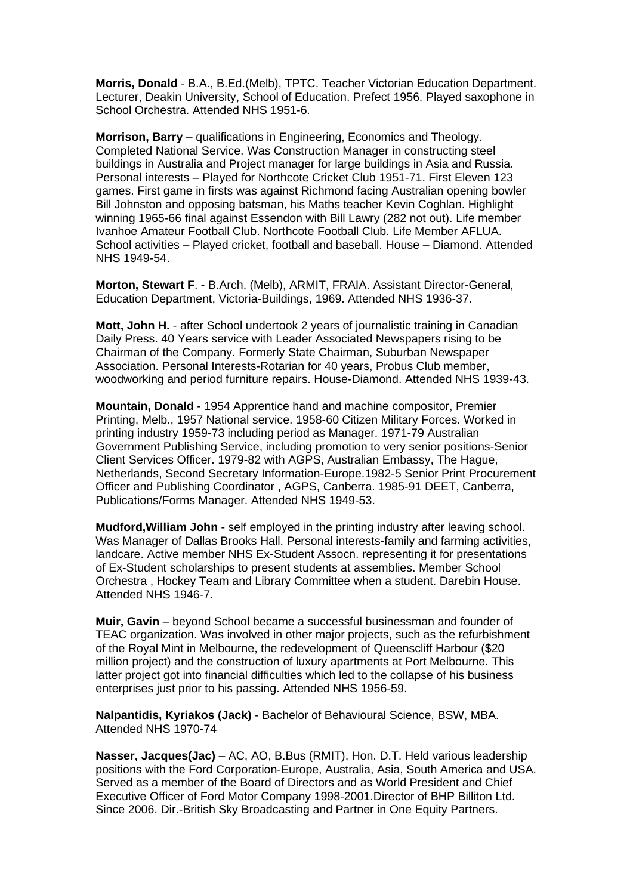**Morris, Donald** - B.A., B.Ed.(Melb), TPTC. Teacher Victorian Education Department. Lecturer, Deakin University, School of Education. Prefect 1956. Played saxophone in School Orchestra. Attended NHS 1951-6.

**Morrison, Barry** – qualifications in Engineering, Economics and Theology. Completed National Service. Was Construction Manager in constructing steel buildings in Australia and Project manager for large buildings in Asia and Russia. Personal interests – Played for Northcote Cricket Club 1951-71. First Eleven 123 games. First game in firsts was against Richmond facing Australian opening bowler Bill Johnston and opposing batsman, his Maths teacher Kevin Coghlan. Highlight winning 1965-66 final against Essendon with Bill Lawry (282 not out). Life member Ivanhoe Amateur Football Club. Northcote Football Club. Life Member AFLUA. School activities – Played cricket, football and baseball. House – Diamond. Attended NHS 1949-54.

**Morton, Stewart F**. - B.Arch. (Melb), ARMIT, FRAIA. Assistant Director-General, Education Department, Victoria-Buildings, 1969. Attended NHS 1936-37.

**Mott, John H.** - after School undertook 2 years of journalistic training in Canadian Daily Press. 40 Years service with Leader Associated Newspapers rising to be Chairman of the Company. Formerly State Chairman, Suburban Newspaper Association. Personal Interests-Rotarian for 40 years, Probus Club member, woodworking and period furniture repairs. House-Diamond. Attended NHS 1939-43.

**Mountain, Donald** - 1954 Apprentice hand and machine compositor, Premier Printing, Melb., 1957 National service. 1958-60 Citizen Military Forces. Worked in printing industry 1959-73 including period as Manager. 1971-79 Australian Government Publishing Service, including promotion to very senior positions-Senior Client Services Officer. 1979-82 with AGPS, Australian Embassy, The Hague, Netherlands, Second Secretary Information-Europe.1982-5 Senior Print Procurement Officer and Publishing Coordinator , AGPS, Canberra. 1985-91 DEET, Canberra, Publications/Forms Manager. Attended NHS 1949-53.

**Mudford,William John** - self employed in the printing industry after leaving school. Was Manager of Dallas Brooks Hall. Personal interests-family and farming activities, landcare. Active member NHS Ex-Student Assocn. representing it for presentations of Ex-Student scholarships to present students at assemblies. Member School Orchestra , Hockey Team and Library Committee when a student. Darebin House. Attended NHS 1946-7.

**Muir, Gavin** – beyond School became a successful businessman and founder of TEAC organization. Was involved in other major projects, such as the refurbishment of the Royal Mint in Melbourne, the redevelopment of Queenscliff Harbour (\$20 million project) and the construction of luxury apartments at Port Melbourne. This latter project got into financial difficulties which led to the collapse of his business enterprises just prior to his passing. Attended NHS 1956-59.

**Nalpantidis, Kyriakos (Jack)** - Bachelor of Behavioural Science, BSW, MBA. Attended NHS 1970-74

**Nasser, Jacques(Jac)** – AC, AO, B.Bus (RMIT), Hon. D.T. Held various leadership positions with the Ford Corporation-Europe, Australia, Asia, South America and USA. Served as a member of the Board of Directors and as World President and Chief Executive Officer of Ford Motor Company 1998-2001.Director of BHP Billiton Ltd. Since 2006. Dir.-British Sky Broadcasting and Partner in One Equity Partners.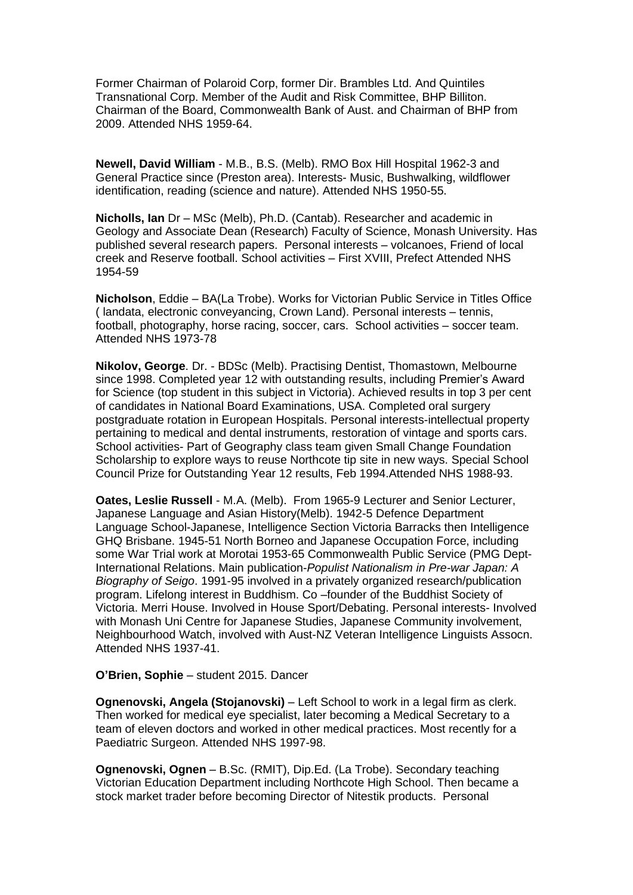Former Chairman of Polaroid Corp, former Dir. Brambles Ltd. And Quintiles Transnational Corp. Member of the Audit and Risk Committee, BHP Billiton. Chairman of the Board, Commonwealth Bank of Aust. and Chairman of BHP from 2009. Attended NHS 1959-64.

**Newell, David William** - M.B., B.S. (Melb). RMO Box Hill Hospital 1962-3 and General Practice since (Preston area). Interests- Music, Bushwalking, wildflower identification, reading (science and nature). Attended NHS 1950-55.

**Nicholls, Ian** Dr – MSc (Melb), Ph.D. (Cantab). Researcher and academic in Geology and Associate Dean (Research) Faculty of Science, Monash University. Has published several research papers. Personal interests – volcanoes, Friend of local creek and Reserve football. School activities – First XVIII, Prefect Attended NHS 1954-59

**Nicholson**, Eddie – BA(La Trobe). Works for Victorian Public Service in Titles Office ( landata, electronic conveyancing, Crown Land). Personal interests – tennis, football, photography, horse racing, soccer, cars. School activities – soccer team. Attended NHS 1973-78

**Nikolov, George**. Dr. - BDSc (Melb). Practising Dentist, Thomastown, Melbourne since 1998. Completed year 12 with outstanding results, including Premier's Award for Science (top student in this subject in Victoria). Achieved results in top 3 per cent of candidates in National Board Examinations, USA. Completed oral surgery postgraduate rotation in European Hospitals. Personal interests-intellectual property pertaining to medical and dental instruments, restoration of vintage and sports cars. School activities- Part of Geography class team given Small Change Foundation Scholarship to explore ways to reuse Northcote tip site in new ways. Special School Council Prize for Outstanding Year 12 results, Feb 1994.Attended NHS 1988-93.

**Oates, Leslie Russell** - M.A. (Melb). From 1965-9 Lecturer and Senior Lecturer, Japanese Language and Asian History(Melb). 1942-5 Defence Department Language School-Japanese, Intelligence Section Victoria Barracks then Intelligence GHQ Brisbane. 1945-51 North Borneo and Japanese Occupation Force, including some War Trial work at Morotai 1953-65 Commonwealth Public Service (PMG Dept-International Relations. Main publication-*Populist Nationalism in Pre-war Japan: A Biography of Seigo*. 1991-95 involved in a privately organized research/publication program. Lifelong interest in Buddhism. Co –founder of the Buddhist Society of Victoria. Merri House. Involved in House Sport/Debating. Personal interests- Involved with Monash Uni Centre for Japanese Studies, Japanese Community involvement, Neighbourhood Watch, involved with Aust-NZ Veteran Intelligence Linguists Assocn. Attended NHS 1937-41.

**O'Brien, Sophie** – student 2015. Dancer

**Ognenovski, Angela (Stojanovski)** – Left School to work in a legal firm as clerk. Then worked for medical eye specialist, later becoming a Medical Secretary to a team of eleven doctors and worked in other medical practices. Most recently for a Paediatric Surgeon. Attended NHS 1997-98.

**Ognenovski, Ognen** – B.Sc. (RMIT), Dip.Ed. (La Trobe). Secondary teaching Victorian Education Department including Northcote High School. Then became a stock market trader before becoming Director of Nitestik products. Personal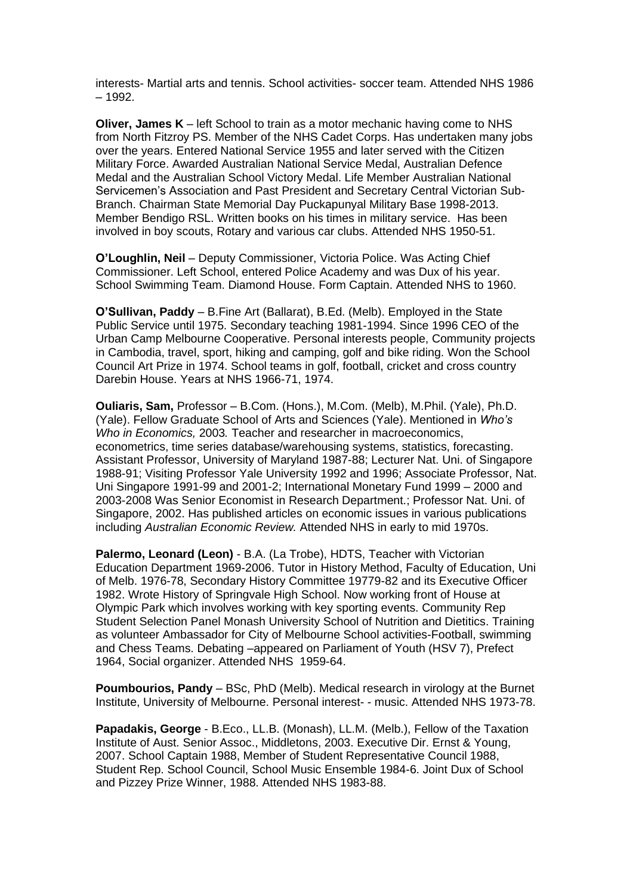interests- Martial arts and tennis. School activities- soccer team. Attended NHS 1986 – 1992.

**Oliver, James K** – left School to train as a motor mechanic having come to NHS from North Fitzroy PS. Member of the NHS Cadet Corps. Has undertaken many jobs over the years. Entered National Service 1955 and later served with the Citizen Military Force. Awarded Australian National Service Medal, Australian Defence Medal and the Australian School Victory Medal. Life Member Australian National Servicemen's Association and Past President and Secretary Central Victorian Sub-Branch. Chairman State Memorial Day Puckapunyal Military Base 1998-2013. Member Bendigo RSL. Written books on his times in military service. Has been involved in boy scouts, Rotary and various car clubs. Attended NHS 1950-51.

**O'Loughlin, Neil** – Deputy Commissioner, Victoria Police. Was Acting Chief Commissioner. Left School, entered Police Academy and was Dux of his year. School Swimming Team. Diamond House. Form Captain. Attended NHS to 1960.

**O'Sullivan, Paddy** – B.Fine Art (Ballarat), B.Ed. (Melb). Employed in the State Public Service until 1975. Secondary teaching 1981-1994. Since 1996 CEO of the Urban Camp Melbourne Cooperative. Personal interests people, Community projects in Cambodia, travel, sport, hiking and camping, golf and bike riding. Won the School Council Art Prize in 1974. School teams in golf, football, cricket and cross country Darebin House. Years at NHS 1966-71, 1974.

**Ouliaris, Sam,** Professor – B.Com. (Hons.), M.Com. (Melb), M.Phil. (Yale), Ph.D. (Yale). Fellow Graduate School of Arts and Sciences (Yale). Mentioned in *Who's Who in Economics,* 2003*.* Teacher and researcher in macroeconomics, econometrics, time series database/warehousing systems, statistics, forecasting. Assistant Professor, University of Maryland 1987-88; Lecturer Nat. Uni. of Singapore 1988-91; Visiting Professor Yale University 1992 and 1996; Associate Professor, Nat. Uni Singapore 1991-99 and 2001-2; International Monetary Fund 1999 – 2000 and 2003-2008 Was Senior Economist in Research Department.; Professor Nat. Uni. of Singapore, 2002. Has published articles on economic issues in various publications including *Australian Economic Review.* Attended NHS in early to mid 1970s.

**Palermo, Leonard (Leon)** - B.A. (La Trobe), HDTS, Teacher with Victorian Education Department 1969-2006. Tutor in History Method, Faculty of Education, Uni of Melb. 1976-78, Secondary History Committee 19779-82 and its Executive Officer 1982. Wrote History of Springvale High School. Now working front of House at Olympic Park which involves working with key sporting events. Community Rep Student Selection Panel Monash University School of Nutrition and Dietitics. Training as volunteer Ambassador for City of Melbourne School activities-Football, swimming and Chess Teams. Debating –appeared on Parliament of Youth (HSV 7), Prefect 1964, Social organizer. Attended NHS 1959-64.

**Poumbourios, Pandy** – BSc, PhD (Melb). Medical research in virology at the Burnet Institute, University of Melbourne. Personal interest- - music. Attended NHS 1973-78.

**Papadakis, George** - B.Eco., LL.B. (Monash), LL.M. (Melb.), Fellow of the Taxation Institute of Aust. Senior Assoc., Middletons, 2003. Executive Dir. Ernst & Young, 2007. School Captain 1988, Member of Student Representative Council 1988, Student Rep. School Council, School Music Ensemble 1984-6. Joint Dux of School and Pizzey Prize Winner, 1988. Attended NHS 1983-88.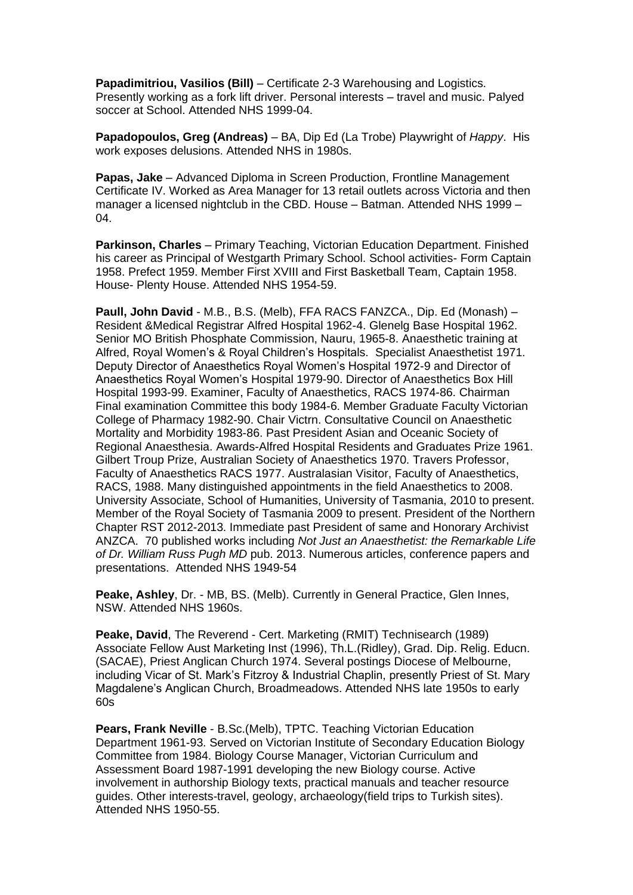**Papadimitriou, Vasilios (Bill)** – Certificate 2-3 Warehousing and Logistics. Presently working as a fork lift driver. Personal interests – travel and music. Palyed soccer at School. Attended NHS 1999-04.

**Papadopoulos, Greg (Andreas)** – BA, Dip Ed (La Trobe) Playwright of *Happy*. His work exposes delusions. Attended NHS in 1980s.

**Papas, Jake** – Advanced Diploma in Screen Production, Frontline Management Certificate IV. Worked as Area Manager for 13 retail outlets across Victoria and then manager a licensed nightclub in the CBD. House – Batman. Attended NHS 1999 – 04.

**Parkinson, Charles** – Primary Teaching, Victorian Education Department. Finished his career as Principal of Westgarth Primary School. School activities- Form Captain 1958. Prefect 1959. Member First XVIII and First Basketball Team, Captain 1958. House- Plenty House. Attended NHS 1954-59.

**Paull, John David** - M.B., B.S. (Melb), FFA RACS FANZCA., Dip. Ed (Monash) – Resident &Medical Registrar Alfred Hospital 1962-4. Glenelg Base Hospital 1962. Senior MO British Phosphate Commission, Nauru, 1965-8. Anaesthetic training at Alfred, Royal Women's & Royal Children's Hospitals. Specialist Anaesthetist 1971. Deputy Director of Anaesthetics Royal Women's Hospital 1972-9 and Director of Anaesthetics Royal Women's Hospital 1979-90. Director of Anaesthetics Box Hill Hospital 1993-99. Examiner, Faculty of Anaesthetics, RACS 1974-86. Chairman Final examination Committee this body 1984-6. Member Graduate Faculty Victorian College of Pharmacy 1982-90. Chair Victrn. Consultative Council on Anaesthetic Mortality and Morbidity 1983-86. Past President Asian and Oceanic Society of Regional Anaesthesia. Awards-Alfred Hospital Residents and Graduates Prize 1961. Gilbert Troup Prize, Australian Society of Anaesthetics 1970. Travers Professor, Faculty of Anaesthetics RACS 1977. Australasian Visitor, Faculty of Anaesthetics, RACS, 1988. Many distinguished appointments in the field Anaesthetics to 2008. University Associate, School of Humanities, University of Tasmania, 2010 to present. Member of the Royal Society of Tasmania 2009 to present. President of the Northern Chapter RST 2012-2013. Immediate past President of same and Honorary Archivist ANZCA. 70 published works including *Not Just an Anaesthetist: the Remarkable Life of Dr. William Russ Pugh MD* pub. 2013. Numerous articles, conference papers and presentations. Attended NHS 1949-54

**Peake, Ashley**, Dr. - MB, BS. (Melb). Currently in General Practice, Glen Innes, NSW. Attended NHS 1960s.

**Peake, David**, The Reverend - Cert. Marketing (RMIT) Technisearch (1989) Associate Fellow Aust Marketing Inst (1996), Th.L.(Ridley), Grad. Dip. Relig. Educn. (SACAE), Priest Anglican Church 1974. Several postings Diocese of Melbourne, including Vicar of St. Mark's Fitzroy & Industrial Chaplin, presently Priest of St. Mary Magdalene's Anglican Church, Broadmeadows. Attended NHS late 1950s to early 60s

**Pears, Frank Neville** - B.Sc.(Melb), TPTC. Teaching Victorian Education Department 1961-93. Served on Victorian Institute of Secondary Education Biology Committee from 1984. Biology Course Manager, Victorian Curriculum and Assessment Board 1987-1991 developing the new Biology course. Active involvement in authorship Biology texts, practical manuals and teacher resource guides. Other interests-travel, geology, archaeology(field trips to Turkish sites). Attended NHS 1950-55.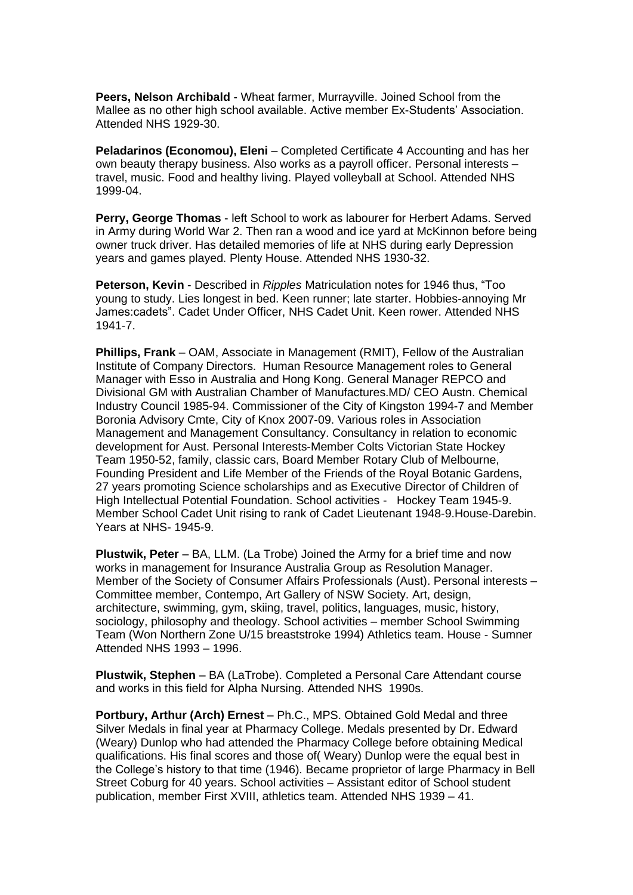**Peers, Nelson Archibald** - Wheat farmer, Murrayville. Joined School from the Mallee as no other high school available. Active member Ex-Students' Association. Attended NHS 1929-30.

**Peladarinos (Economou), Eleni** – Completed Certificate 4 Accounting and has her own beauty therapy business. Also works as a payroll officer. Personal interests – travel, music. Food and healthy living. Played volleyball at School. Attended NHS 1999-04.

**Perry, George Thomas** - left School to work as labourer for Herbert Adams. Served in Army during World War 2. Then ran a wood and ice yard at McKinnon before being owner truck driver. Has detailed memories of life at NHS during early Depression years and games played. Plenty House. Attended NHS 1930-32.

**Peterson, Kevin** - Described in *Ripples* Matriculation notes for 1946 thus, "Too young to study. Lies longest in bed. Keen runner; late starter. Hobbies-annoying Mr James:cadets". Cadet Under Officer, NHS Cadet Unit. Keen rower. Attended NHS 1941-7.

**Phillips, Frank** – OAM, Associate in Management (RMIT), Fellow of the Australian Institute of Company Directors. Human Resource Management roles to General Manager with Esso in Australia and Hong Kong. General Manager REPCO and Divisional GM with Australian Chamber of Manufactures.MD/ CEO Austn. Chemical Industry Council 1985-94. Commissioner of the City of Kingston 1994-7 and Member Boronia Advisory Cmte, City of Knox 2007-09. Various roles in Association Management and Management Consultancy. Consultancy in relation to economic development for Aust. Personal Interests-Member Colts Victorian State Hockey Team 1950-52, family, classic cars, Board Member Rotary Club of Melbourne, Founding President and Life Member of the Friends of the Royal Botanic Gardens, 27 years promoting Science scholarships and as Executive Director of Children of High Intellectual Potential Foundation. School activities - Hockey Team 1945-9. Member School Cadet Unit rising to rank of Cadet Lieutenant 1948-9.House-Darebin. Years at NHS- 1945-9.

**Plustwik, Peter** – BA, LLM. (La Trobe) Joined the Army for a brief time and now works in management for Insurance Australia Group as Resolution Manager. Member of the Society of Consumer Affairs Professionals (Aust). Personal interests – Committee member, Contempo, Art Gallery of NSW Society. Art, design, architecture, swimming, gym, skiing, travel, politics, languages, music, history, sociology, philosophy and theology. School activities – member School Swimming Team (Won Northern Zone U/15 breaststroke 1994) Athletics team. House - Sumner Attended NHS 1993 – 1996.

**Plustwik, Stephen** – BA (LaTrobe). Completed a Personal Care Attendant course and works in this field for Alpha Nursing. Attended NHS 1990s.

**Portbury, Arthur (Arch) Ernest** – Ph.C., MPS. Obtained Gold Medal and three Silver Medals in final year at Pharmacy College. Medals presented by Dr. Edward (Weary) Dunlop who had attended the Pharmacy College before obtaining Medical qualifications. His final scores and those of( Weary) Dunlop were the equal best in the College's history to that time (1946). Became proprietor of large Pharmacy in Bell Street Coburg for 40 years. School activities – Assistant editor of School student publication, member First XVIII, athletics team. Attended NHS 1939 – 41.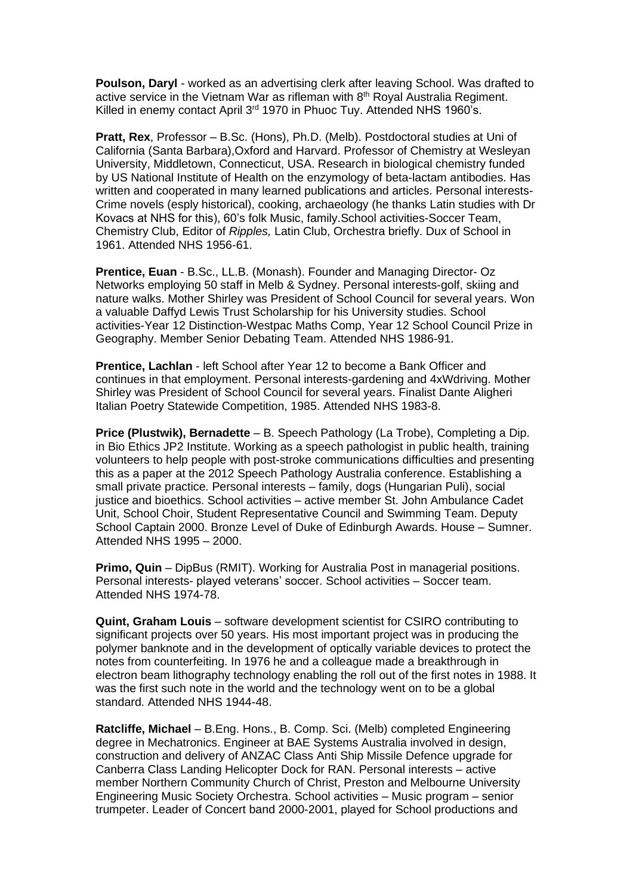**Poulson, Daryl** - worked as an advertising clerk after leaving School. Was drafted to active service in the Vietnam War as rifleman with  $8<sup>th</sup>$  Royal Australia Regiment. Killed in enemy contact April 3<sup>rd</sup> 1970 in Phuoc Tuy. Attended NHS 1960's.

**Pratt, Rex**, Professor – B.Sc. (Hons), Ph.D. (Melb). Postdoctoral studies at Uni of California (Santa Barbara),Oxford and Harvard. Professor of Chemistry at Wesleyan University, Middletown, Connecticut, USA. Research in biological chemistry funded by US National Institute of Health on the enzymology of beta-lactam antibodies. Has written and cooperated in many learned publications and articles. Personal interests-Crime novels (esply historical), cooking, archaeology (he thanks Latin studies with Dr Kovacs at NHS for this), 60's folk Music, family.School activities-Soccer Team, Chemistry Club, Editor of *Ripples,* Latin Club, Orchestra briefly. Dux of School in 1961. Attended NHS 1956-61.

**Prentice, Euan** - B.Sc., LL.B. (Monash). Founder and Managing Director- Oz Networks employing 50 staff in Melb & Sydney. Personal interests-golf, skiing and nature walks. Mother Shirley was President of School Council for several years. Won a valuable Daffyd Lewis Trust Scholarship for his University studies. School activities-Year 12 Distinction-Westpac Maths Comp, Year 12 School Council Prize in Geography. Member Senior Debating Team. Attended NHS 1986-91.

**Prentice, Lachlan** - left School after Year 12 to become a Bank Officer and continues in that employment. Personal interests-gardening and 4xWdriving. Mother Shirley was President of School Council for several years. Finalist Dante Aligheri Italian Poetry Statewide Competition, 1985. Attended NHS 1983-8.

**Price (Plustwik), Bernadette** – B. Speech Pathology (La Trobe), Completing a Dip. in Bio Ethics JP2 Institute. Working as a speech pathologist in public health, training volunteers to help people with post-stroke communications difficulties and presenting this as a paper at the 2012 Speech Pathology Australia conference. Establishing a small private practice. Personal interests – family, dogs (Hungarian Puli), social justice and bioethics. School activities – active member St. John Ambulance Cadet Unit, School Choir, Student Representative Council and Swimming Team. Deputy School Captain 2000. Bronze Level of Duke of Edinburgh Awards. House – Sumner. Attended NHS 1995 – 2000.

**Primo, Quin** – DipBus (RMIT). Working for Australia Post in managerial positions. Personal interests- played veterans' soccer. School activities – Soccer team. Attended NHS 1974-78.

**Quint, Graham Louis** – software development scientist for CSIRO contributing to significant projects over 50 years. His most important project was in producing the polymer banknote and in the development of optically variable devices to protect the notes from counterfeiting. In 1976 he and a colleague made a breakthrough in electron beam lithography technology enabling the roll out of the first notes in 1988. It was the first such note in the world and the technology went on to be a global standard. Attended NHS 1944-48.

**Ratcliffe, Michael** – B.Eng. Hons., B. Comp. Sci. (Melb) completed Engineering degree in Mechatronics. Engineer at BAE Systems Australia involved in design, construction and delivery of ANZAC Class Anti Ship Missile Defence upgrade for Canberra Class Landing Helicopter Dock for RAN. Personal interests – active member Northern Community Church of Christ, Preston and Melbourne University Engineering Music Society Orchestra. School activities – Music program – senior trumpeter. Leader of Concert band 2000-2001, played for School productions and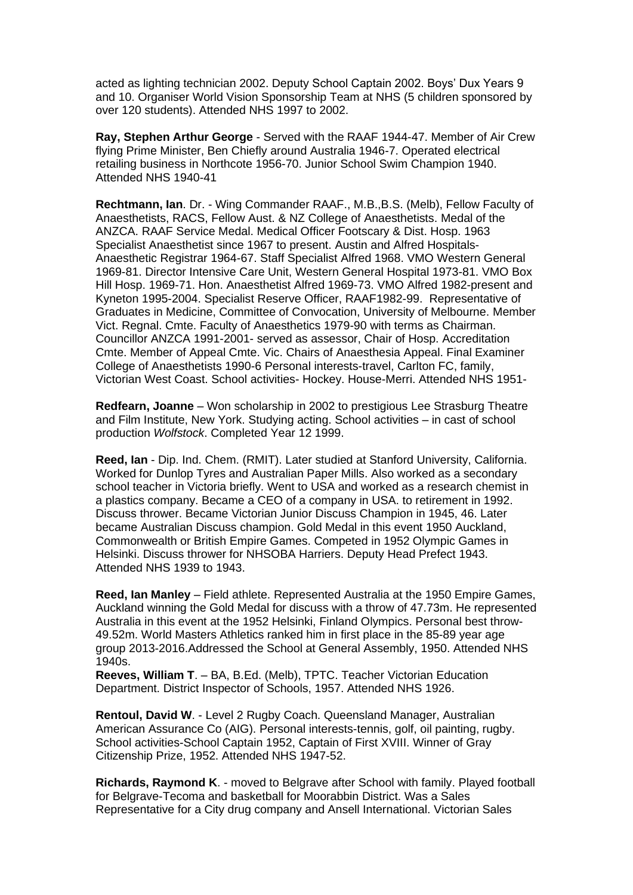acted as lighting technician 2002. Deputy School Captain 2002. Boys' Dux Years 9 and 10. Organiser World Vision Sponsorship Team at NHS (5 children sponsored by over 120 students). Attended NHS 1997 to 2002.

**Ray, Stephen Arthur George** - Served with the RAAF 1944-47. Member of Air Crew flying Prime Minister, Ben Chiefly around Australia 1946-7. Operated electrical retailing business in Northcote 1956-70. Junior School Swim Champion 1940. Attended NHS 1940-41

**Rechtmann, Ian**. Dr. - Wing Commander RAAF., M.B.,B.S. (Melb), Fellow Faculty of Anaesthetists, RACS, Fellow Aust. & NZ College of Anaesthetists. Medal of the ANZCA. RAAF Service Medal. Medical Officer Footscary & Dist. Hosp. 1963 Specialist Anaesthetist since 1967 to present. Austin and Alfred Hospitals-Anaesthetic Registrar 1964-67. Staff Specialist Alfred 1968. VMO Western General 1969-81. Director Intensive Care Unit, Western General Hospital 1973-81. VMO Box Hill Hosp. 1969-71. Hon. Anaesthetist Alfred 1969-73. VMO Alfred 1982-present and Kyneton 1995-2004. Specialist Reserve Officer, RAAF1982-99. Representative of Graduates in Medicine, Committee of Convocation, University of Melbourne. Member Vict. Regnal. Cmte. Faculty of Anaesthetics 1979-90 with terms as Chairman. Councillor ANZCA 1991-2001- served as assessor, Chair of Hosp. Accreditation Cmte. Member of Appeal Cmte. Vic. Chairs of Anaesthesia Appeal. Final Examiner College of Anaesthetists 1990-6 Personal interests-travel, Carlton FC, family, Victorian West Coast. School activities- Hockey. House-Merri. Attended NHS 1951-

**Redfearn, Joanne** – Won scholarship in 2002 to prestigious Lee Strasburg Theatre and Film Institute, New York. Studying acting. School activities – in cast of school production *Wolfstock*. Completed Year 12 1999.

**Reed, Ian** - Dip. Ind. Chem. (RMIT). Later studied at Stanford University, California. Worked for Dunlop Tyres and Australian Paper Mills. Also worked as a secondary school teacher in Victoria briefly. Went to USA and worked as a research chemist in a plastics company. Became a CEO of a company in USA. to retirement in 1992. Discuss thrower. Became Victorian Junior Discuss Champion in 1945, 46. Later became Australian Discuss champion. Gold Medal in this event 1950 Auckland, Commonwealth or British Empire Games. Competed in 1952 Olympic Games in Helsinki. Discuss thrower for NHSOBA Harriers. Deputy Head Prefect 1943. Attended NHS 1939 to 1943.

**Reed, Ian Manley** – Field athlete. Represented Australia at the 1950 Empire Games, Auckland winning the Gold Medal for discuss with a throw of 47.73m. He represented Australia in this event at the 1952 Helsinki, Finland Olympics. Personal best throw-49.52m. World Masters Athletics ranked him in first place in the 85-89 year age group 2013-2016.Addressed the School at General Assembly, 1950. Attended NHS 1940s.

**Reeves, William T**. – BA, B.Ed. (Melb), TPTC. Teacher Victorian Education Department. District Inspector of Schools, 1957. Attended NHS 1926.

**Rentoul, David W**. - Level 2 Rugby Coach. Queensland Manager, Australian American Assurance Co (AIG). Personal interests-tennis, golf, oil painting, rugby. School activities-School Captain 1952, Captain of First XVIII. Winner of Gray Citizenship Prize, 1952. Attended NHS 1947-52.

**Richards, Raymond K**. - moved to Belgrave after School with family. Played football for Belgrave-Tecoma and basketball for Moorabbin District. Was a Sales Representative for a City drug company and Ansell International. Victorian Sales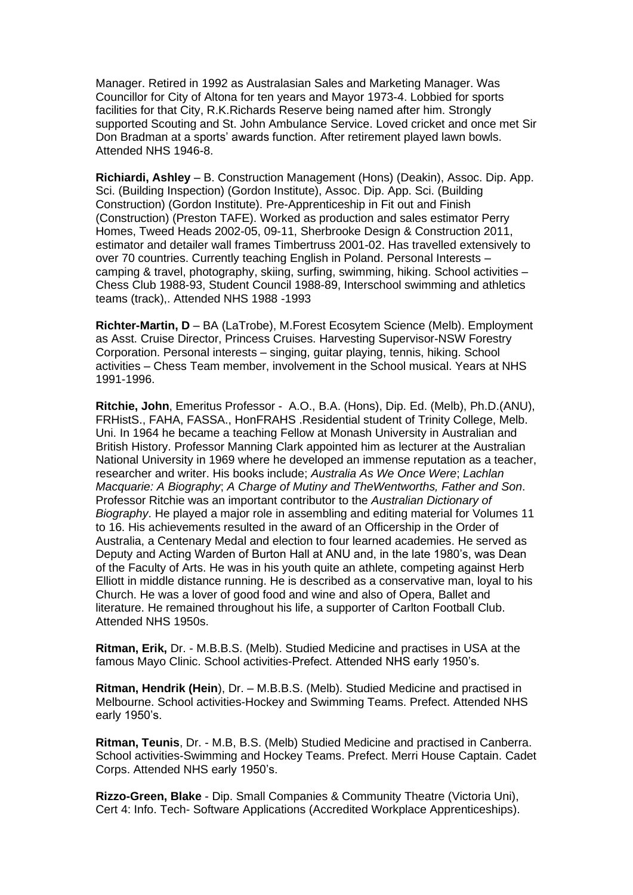Manager. Retired in 1992 as Australasian Sales and Marketing Manager. Was Councillor for City of Altona for ten years and Mayor 1973-4. Lobbied for sports facilities for that City, R.K.Richards Reserve being named after him. Strongly supported Scouting and St. John Ambulance Service. Loved cricket and once met Sir Don Bradman at a sports' awards function. After retirement played lawn bowls. Attended NHS 1946-8.

**Richiardi, Ashley** – B. Construction Management (Hons) (Deakin), Assoc. Dip. App. Sci. (Building Inspection) (Gordon Institute), Assoc. Dip. App. Sci. (Building Construction) (Gordon Institute). Pre-Apprenticeship in Fit out and Finish (Construction) (Preston TAFE). Worked as production and sales estimator Perry Homes, Tweed Heads 2002-05, 09-11, Sherbrooke Design & Construction 2011, estimator and detailer wall frames Timbertruss 2001-02. Has travelled extensively to over 70 countries. Currently teaching English in Poland. Personal Interests – camping & travel, photography, skiing, surfing, swimming, hiking. School activities – Chess Club 1988-93, Student Council 1988-89, Interschool swimming and athletics teams (track),. Attended NHS 1988 -1993

**Richter-Martin, D** – BA (LaTrobe), M.Forest Ecosytem Science (Melb). Employment as Asst. Cruise Director, Princess Cruises. Harvesting Supervisor-NSW Forestry Corporation. Personal interests – singing, guitar playing, tennis, hiking. School activities – Chess Team member, involvement in the School musical. Years at NHS 1991-1996.

**Ritchie, John**, Emeritus Professor - A.O., B.A. (Hons), Dip. Ed. (Melb), Ph.D.(ANU), FRHistS., FAHA, FASSA., HonFRAHS .Residential student of Trinity College, Melb. Uni. In 1964 he became a teaching Fellow at Monash University in Australian and British History. Professor Manning Clark appointed him as lecturer at the Australian National University in 1969 where he developed an immense reputation as a teacher, researcher and writer. His books include; *Australia As We Once Were*; *Lachlan Macquarie: A Biography*; *A Charge of Mutiny and TheWentworths, Father and Son*. Professor Ritchie was an important contributor to the *Australian Dictionary of Biography*. He played a major role in assembling and editing material for Volumes 11 to 16. His achievements resulted in the award of an Officership in the Order of Australia, a Centenary Medal and election to four learned academies. He served as Deputy and Acting Warden of Burton Hall at ANU and, in the late 1980's, was Dean of the Faculty of Arts. He was in his youth quite an athlete, competing against Herb Elliott in middle distance running. He is described as a conservative man, loyal to his Church. He was a lover of good food and wine and also of Opera, Ballet and literature. He remained throughout his life, a supporter of Carlton Football Club. Attended NHS 1950s.

**Ritman, Erik,** Dr. - M.B.B.S. (Melb). Studied Medicine and practises in USA at the famous Mayo Clinic. School activities-Prefect. Attended NHS early 1950's.

**Ritman, Hendrik (Hein**), Dr. – M.B.B.S. (Melb). Studied Medicine and practised in Melbourne. School activities-Hockey and Swimming Teams. Prefect. Attended NHS early 1950's.

**Ritman, Teunis**, Dr. - M.B, B.S. (Melb) Studied Medicine and practised in Canberra. School activities-Swimming and Hockey Teams. Prefect. Merri House Captain. Cadet Corps. Attended NHS early 1950's.

**Rizzo-Green, Blake** - Dip. Small Companies & Community Theatre (Victoria Uni), Cert 4: Info. Tech- Software Applications (Accredited Workplace Apprenticeships).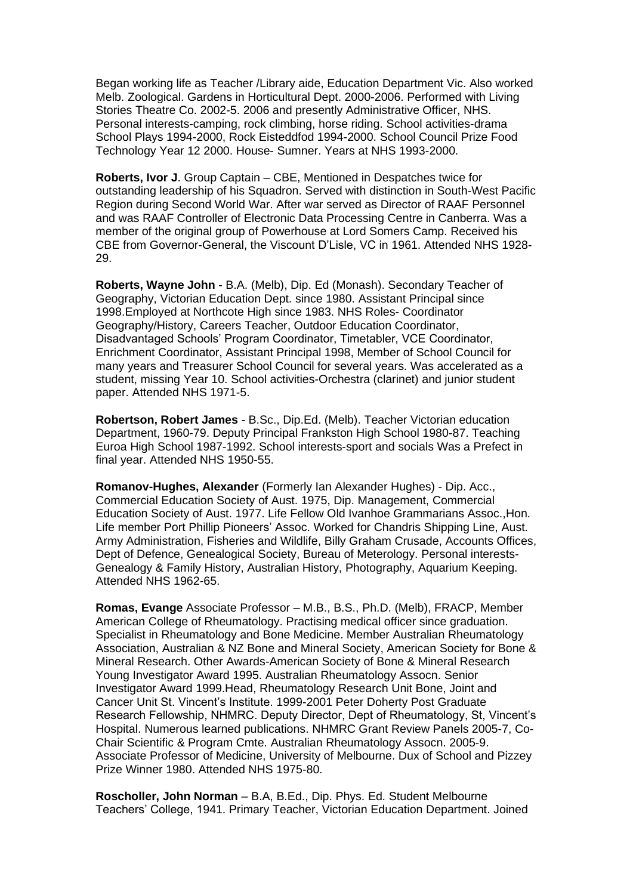Began working life as Teacher /Library aide, Education Department Vic. Also worked Melb. Zoological. Gardens in Horticultural Dept. 2000-2006. Performed with Living Stories Theatre Co. 2002-5. 2006 and presently Administrative Officer, NHS. Personal interests-camping, rock climbing, horse riding. School activities-drama School Plays 1994-2000, Rock Eisteddfod 1994-2000. School Council Prize Food Technology Year 12 2000. House- Sumner. Years at NHS 1993-2000.

**Roberts, Ivor J**. Group Captain – CBE, Mentioned in Despatches twice for outstanding leadership of his Squadron. Served with distinction in South-West Pacific Region during Second World War. After war served as Director of RAAF Personnel and was RAAF Controller of Electronic Data Processing Centre in Canberra. Was a member of the original group of Powerhouse at Lord Somers Camp. Received his CBE from Governor-General, the Viscount D'Lisle, VC in 1961. Attended NHS 1928- 29.

**Roberts, Wayne John** - B.A. (Melb), Dip. Ed (Monash). Secondary Teacher of Geography, Victorian Education Dept. since 1980. Assistant Principal since 1998.Employed at Northcote High since 1983. NHS Roles- Coordinator Geography/History, Careers Teacher, Outdoor Education Coordinator, Disadvantaged Schools' Program Coordinator, Timetabler, VCE Coordinator, Enrichment Coordinator, Assistant Principal 1998, Member of School Council for many years and Treasurer School Council for several years. Was accelerated as a student, missing Year 10. School activities-Orchestra (clarinet) and junior student paper. Attended NHS 1971-5.

**Robertson, Robert James** - B.Sc., Dip.Ed. (Melb). Teacher Victorian education Department, 1960-79. Deputy Principal Frankston High School 1980-87. Teaching Euroa High School 1987-1992. School interests-sport and socials Was a Prefect in final year. Attended NHS 1950-55.

**Romanov-Hughes, Alexander** (Formerly Ian Alexander Hughes) - Dip. Acc., Commercial Education Society of Aust. 1975, Dip. Management, Commercial Education Society of Aust. 1977. Life Fellow Old Ivanhoe Grammarians Assoc.,Hon. Life member Port Phillip Pioneers' Assoc. Worked for Chandris Shipping Line, Aust. Army Administration, Fisheries and Wildlife, Billy Graham Crusade, Accounts Offices, Dept of Defence, Genealogical Society, Bureau of Meterology. Personal interests-Genealogy & Family History, Australian History, Photography, Aquarium Keeping. Attended NHS 1962-65.

**Romas, Evange** Associate Professor – M.B., B.S., Ph.D. (Melb), FRACP, Member American College of Rheumatology. Practising medical officer since graduation. Specialist in Rheumatology and Bone Medicine. Member Australian Rheumatology Association, Australian & NZ Bone and Mineral Society, American Society for Bone & Mineral Research. Other Awards-American Society of Bone & Mineral Research Young Investigator Award 1995. Australian Rheumatology Assocn. Senior Investigator Award 1999.Head, Rheumatology Research Unit Bone, Joint and Cancer Unit St. Vincent's Institute. 1999-2001 Peter Doherty Post Graduate Research Fellowship, NHMRC. Deputy Director, Dept of Rheumatology, St, Vincent's Hospital. Numerous learned publications. NHMRC Grant Review Panels 2005-7, Co-Chair Scientific & Program Cmte. Australian Rheumatology Assocn. 2005-9. Associate Professor of Medicine, University of Melbourne. Dux of School and Pizzey Prize Winner 1980. Attended NHS 1975-80.

**Roscholler, John Norman** – B.A, B.Ed., Dip. Phys. Ed. Student Melbourne Teachers' College, 1941. Primary Teacher, Victorian Education Department. Joined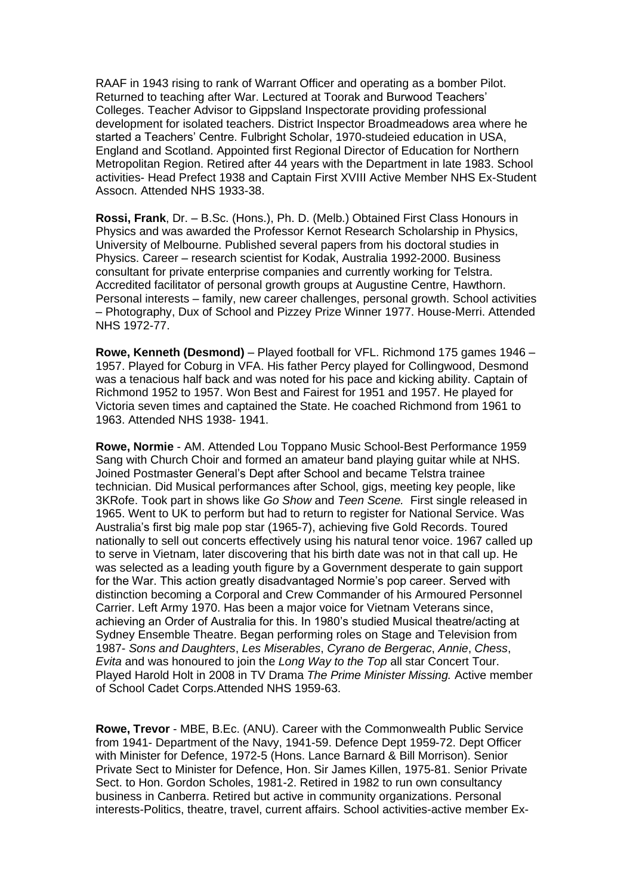RAAF in 1943 rising to rank of Warrant Officer and operating as a bomber Pilot. Returned to teaching after War. Lectured at Toorak and Burwood Teachers' Colleges. Teacher Advisor to Gippsland Inspectorate providing professional development for isolated teachers. District Inspector Broadmeadows area where he started a Teachers' Centre. Fulbright Scholar, 1970-studeied education in USA, England and Scotland. Appointed first Regional Director of Education for Northern Metropolitan Region. Retired after 44 years with the Department in late 1983. School activities- Head Prefect 1938 and Captain First XVIII Active Member NHS Ex-Student Assocn. Attended NHS 1933-38.

**Rossi, Frank**, Dr. – B.Sc. (Hons.), Ph. D. (Melb.) Obtained First Class Honours in Physics and was awarded the Professor Kernot Research Scholarship in Physics, University of Melbourne. Published several papers from his doctoral studies in Physics. Career – research scientist for Kodak, Australia 1992-2000. Business consultant for private enterprise companies and currently working for Telstra. Accredited facilitator of personal growth groups at Augustine Centre, Hawthorn. Personal interests – family, new career challenges, personal growth. School activities – Photography, Dux of School and Pizzey Prize Winner 1977. House-Merri. Attended NHS 1972-77.

**Rowe, Kenneth (Desmond)** – Played football for VFL. Richmond 175 games 1946 – 1957. Played for Coburg in VFA. His father Percy played for Collingwood, Desmond was a tenacious half back and was noted for his pace and kicking ability. Captain of Richmond 1952 to 1957. Won Best and Fairest for 1951 and 1957. He played for Victoria seven times and captained the State. He coached Richmond from 1961 to 1963. Attended NHS 1938- 1941.

**Rowe, Normie** - AM. Attended Lou Toppano Music School-Best Performance 1959 Sang with Church Choir and formed an amateur band playing guitar while at NHS. Joined Postmaster General's Dept after School and became Telstra trainee technician. Did Musical performances after School, gigs, meeting key people, like 3KRofe. Took part in shows like *Go Show* and *Teen Scene.* First single released in 1965. Went to UK to perform but had to return to register for National Service. Was Australia's first big male pop star (1965-7), achieving five Gold Records. Toured nationally to sell out concerts effectively using his natural tenor voice. 1967 called up to serve in Vietnam, later discovering that his birth date was not in that call up. He was selected as a leading youth figure by a Government desperate to gain support for the War. This action greatly disadvantaged Normie's pop career. Served with distinction becoming a Corporal and Crew Commander of his Armoured Personnel Carrier. Left Army 1970. Has been a major voice for Vietnam Veterans since, achieving an Order of Australia for this. In 1980's studied Musical theatre/acting at Sydney Ensemble Theatre. Began performing roles on Stage and Television from 1987- *Sons and Daughters*, *Les Miserables*, *Cyrano de Bergerac*, *Annie*, *Chess*, *Evita* and was honoured to join the *Long Way to the Top* all star Concert Tour. Played Harold Holt in 2008 in TV Drama *The Prime Minister Missing.* Active member of School Cadet Corps.Attended NHS 1959-63.

**Rowe, Trevor** - MBE, B.Ec. (ANU). Career with the Commonwealth Public Service from 1941- Department of the Navy, 1941-59. Defence Dept 1959-72. Dept Officer with Minister for Defence, 1972-5 (Hons. Lance Barnard & Bill Morrison). Senior Private Sect to Minister for Defence, Hon. Sir James Killen, 1975-81. Senior Private Sect. to Hon. Gordon Scholes, 1981-2. Retired in 1982 to run own consultancy business in Canberra. Retired but active in community organizations. Personal interests-Politics, theatre, travel, current affairs. School activities-active member Ex-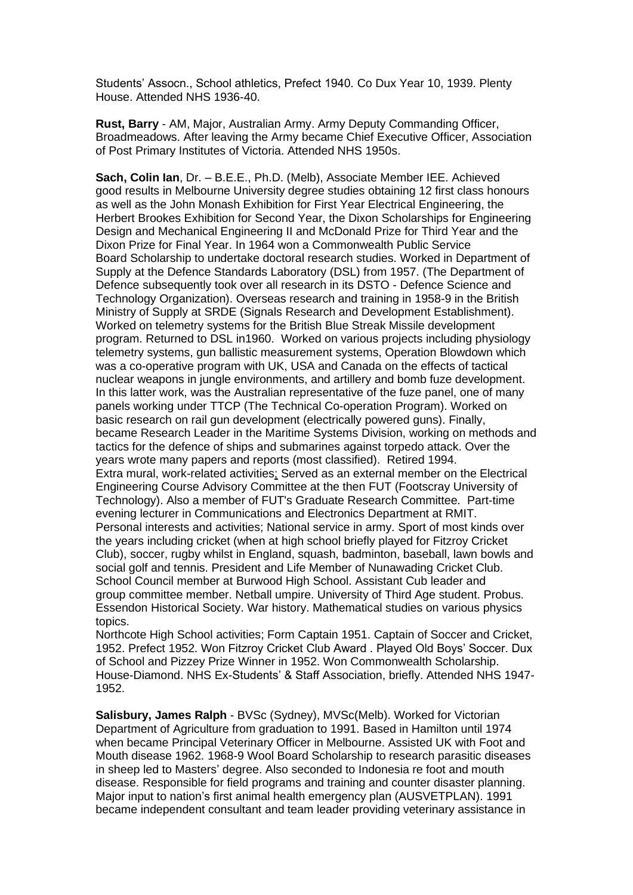Students' Assocn., School athletics, Prefect 1940. Co Dux Year 10, 1939. Plenty House. Attended NHS 1936-40.

**Rust, Barry** - AM, Major, Australian Army. Army Deputy Commanding Officer, Broadmeadows. After leaving the Army became Chief Executive Officer, Association of Post Primary Institutes of Victoria. Attended NHS 1950s.

**Sach, Colin Ian**, Dr. – B.E.E., Ph.D. (Melb), Associate Member IEE. Achieved good results in Melbourne University degree studies obtaining 12 first class honours as well as the John Monash Exhibition for First Year Electrical Engineering, the Herbert Brookes Exhibition for Second Year, the Dixon Scholarships for Engineering Design and Mechanical Engineering II and McDonald Prize for Third Year and the Dixon Prize for Final Year. In 1964 won a Commonwealth Public Service Board Scholarship to undertake doctoral research studies. Worked in Department of Supply at the Defence Standards Laboratory (DSL) from 1957. (The Department of Defence subsequently took over all research in its DSTO - Defence Science and Technology Organization). Overseas research and training in 1958-9 in the British Ministry of Supply at SRDE (Signals Research and Development Establishment). Worked on telemetry systems for the British Blue Streak Missile development program. Returned to DSL in1960. Worked on various projects including physiology telemetry systems, gun ballistic measurement systems, Operation Blowdown which was a co-operative program with UK, USA and Canada on the effects of tactical nuclear weapons in jungle environments, and artillery and bomb fuze development. In this latter work, was the Australian representative of the fuze panel, one of many panels working under TTCP (The Technical Co-operation Program). Worked on basic research on rail gun development (electrically powered guns). Finally, became Research Leader in the Maritime Systems Division, working on methods and tactics for the defence of ships and submarines against torpedo attack. Over the years wrote many papers and reports (most classified). Retired 1994. Extra mural, work-related activities; Served as an external member on the Electrical Engineering Course Advisory Committee at the then FUT (Footscray University of Technology). Also a member of FUT's Graduate Research Committee. Part-time evening lecturer in Communications and Electronics Department at RMIT. Personal interests and activities; National service in army. Sport of most kinds over the years including cricket (when at high school briefly played for Fitzroy Cricket Club), soccer, rugby whilst in England, squash, badminton, baseball, lawn bowls and social golf and tennis. President and Life Member of Nunawading Cricket Club. School Council member at Burwood High School. Assistant Cub leader and group committee member. Netball umpire. University of Third Age student. Probus. Essendon Historical Society. War history. Mathematical studies on various physics topics.

Northcote High School activities; Form Captain 1951. Captain of Soccer and Cricket, 1952. Prefect 1952. Won Fitzroy Cricket Club Award . Played Old Boys' Soccer. Dux of School and Pizzey Prize Winner in 1952. Won Commonwealth Scholarship. House-Diamond. NHS Ex-Students' & Staff Association, briefly. Attended NHS 1947- 1952.

**Salisbury, James Ralph** - BVSc (Sydney), MVSc(Melb). Worked for Victorian Department of Agriculture from graduation to 1991. Based in Hamilton until 1974 when became Principal Veterinary Officer in Melbourne. Assisted UK with Foot and Mouth disease 1962. 1968-9 Wool Board Scholarship to research parasitic diseases in sheep led to Masters' degree. Also seconded to Indonesia re foot and mouth disease. Responsible for field programs and training and counter disaster planning. Major input to nation's first animal health emergency plan (AUSVETPLAN). 1991 became independent consultant and team leader providing veterinary assistance in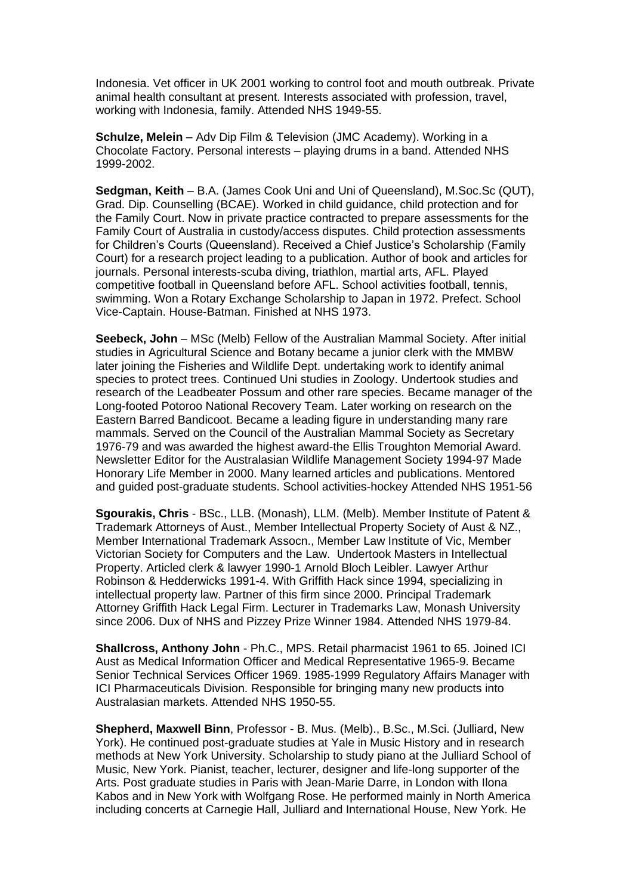Indonesia. Vet officer in UK 2001 working to control foot and mouth outbreak. Private animal health consultant at present. Interests associated with profession, travel, working with Indonesia, family. Attended NHS 1949-55.

**Schulze, Melein** – Adv Dip Film & Television (JMC Academy). Working in a Chocolate Factory. Personal interests – playing drums in a band. Attended NHS 1999-2002.

**Sedgman, Keith** – B.A. (James Cook Uni and Uni of Queensland), M.Soc.Sc (QUT), Grad. Dip. Counselling (BCAE). Worked in child guidance, child protection and for the Family Court. Now in private practice contracted to prepare assessments for the Family Court of Australia in custody/access disputes. Child protection assessments for Children's Courts (Queensland). Received a Chief Justice's Scholarship (Family Court) for a research project leading to a publication. Author of book and articles for journals. Personal interests-scuba diving, triathlon, martial arts, AFL. Played competitive football in Queensland before AFL. School activities football, tennis, swimming. Won a Rotary Exchange Scholarship to Japan in 1972. Prefect. School Vice-Captain. House-Batman. Finished at NHS 1973.

**Seebeck, John** – MSc (Melb) Fellow of the Australian Mammal Society. After initial studies in Agricultural Science and Botany became a junior clerk with the MMBW later joining the Fisheries and Wildlife Dept. undertaking work to identify animal species to protect trees. Continued Uni studies in Zoology. Undertook studies and research of the Leadbeater Possum and other rare species. Became manager of the Long-footed Potoroo National Recovery Team. Later working on research on the Eastern Barred Bandicoot. Became a leading figure in understanding many rare mammals. Served on the Council of the Australian Mammal Society as Secretary 1976-79 and was awarded the highest award-the Ellis Troughton Memorial Award. Newsletter Editor for the Australasian Wildlife Management Society 1994-97 Made Honorary Life Member in 2000. Many learned articles and publications. Mentored and guided post-graduate students. School activities-hockey Attended NHS 1951-56

**Sgourakis, Chris** - BSc., LLB. (Monash), LLM. (Melb). Member Institute of Patent & Trademark Attorneys of Aust., Member Intellectual Property Society of Aust & NZ., Member International Trademark Assocn., Member Law Institute of Vic, Member Victorian Society for Computers and the Law. Undertook Masters in Intellectual Property. Articled clerk & lawyer 1990-1 Arnold Bloch Leibler. Lawyer Arthur Robinson & Hedderwicks 1991-4. With Griffith Hack since 1994, specializing in intellectual property law. Partner of this firm since 2000. Principal Trademark Attorney Griffith Hack Legal Firm. Lecturer in Trademarks Law, Monash University since 2006. Dux of NHS and Pizzey Prize Winner 1984. Attended NHS 1979-84.

**Shallcross, Anthony John** - Ph.C., MPS. Retail pharmacist 1961 to 65. Joined ICI Aust as Medical Information Officer and Medical Representative 1965-9. Became Senior Technical Services Officer 1969. 1985-1999 Regulatory Affairs Manager with ICI Pharmaceuticals Division. Responsible for bringing many new products into Australasian markets. Attended NHS 1950-55.

**Shepherd, Maxwell Binn**, Professor - B. Mus. (Melb)., B.Sc., M.Sci. (Julliard, New York). He continued post-graduate studies at Yale in Music History and in research methods at New York University. Scholarship to study piano at the Julliard School of Music, New York. Pianist, teacher, lecturer, designer and life-long supporter of the Arts. Post graduate studies in Paris with Jean-Marie Darre, in London with Ilona Kabos and in New York with Wolfgang Rose. He performed mainly in North America including concerts at Carnegie Hall, Julliard and International House, New York. He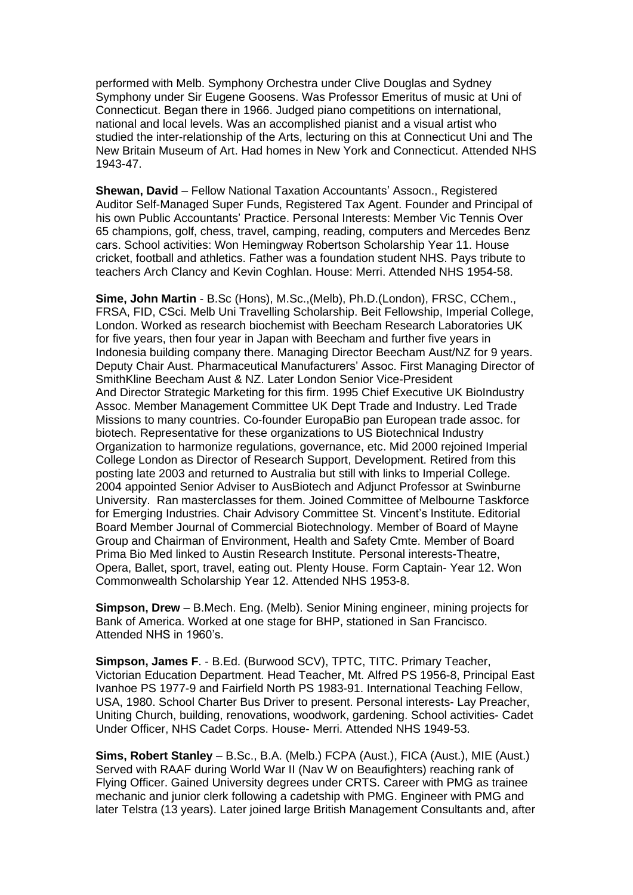performed with Melb. Symphony Orchestra under Clive Douglas and Sydney Symphony under Sir Eugene Goosens. Was Professor Emeritus of music at Uni of Connecticut. Began there in 1966. Judged piano competitions on international, national and local levels. Was an accomplished pianist and a visual artist who studied the inter-relationship of the Arts, lecturing on this at Connecticut Uni and The New Britain Museum of Art. Had homes in New York and Connecticut. Attended NHS 1943-47.

**Shewan, David** – Fellow National Taxation Accountants' Assocn., Registered Auditor Self-Managed Super Funds, Registered Tax Agent. Founder and Principal of his own Public Accountants' Practice. Personal Interests: Member Vic Tennis Over 65 champions, golf, chess, travel, camping, reading, computers and Mercedes Benz cars. School activities: Won Hemingway Robertson Scholarship Year 11. House cricket, football and athletics. Father was a foundation student NHS. Pays tribute to teachers Arch Clancy and Kevin Coghlan. House: Merri. Attended NHS 1954-58.

**Sime, John Martin** - B.Sc (Hons), M.Sc.,(Melb), Ph.D.(London), FRSC, CChem., FRSA, FID, CSci. Melb Uni Travelling Scholarship. Beit Fellowship, Imperial College, London. Worked as research biochemist with Beecham Research Laboratories UK for five years, then four year in Japan with Beecham and further five years in Indonesia building company there. Managing Director Beecham Aust/NZ for 9 years. Deputy Chair Aust. Pharmaceutical Manufacturers' Assoc. First Managing Director of SmithKline Beecham Aust & NZ. Later London Senior Vice-President And Director Strategic Marketing for this firm. 1995 Chief Executive UK BioIndustry Assoc. Member Management Committee UK Dept Trade and Industry. Led Trade Missions to many countries. Co-founder EuropaBio pan European trade assoc. for biotech. Representative for these organizations to US Biotechnical Industry Organization to harmonize regulations, governance, etc. Mid 2000 rejoined Imperial College London as Director of Research Support, Development. Retired from this posting late 2003 and returned to Australia but still with links to Imperial College. 2004 appointed Senior Adviser to AusBiotech and Adjunct Professor at Swinburne University. Ran masterclasses for them. Joined Committee of Melbourne Taskforce for Emerging Industries. Chair Advisory Committee St. Vincent's Institute. Editorial Board Member Journal of Commercial Biotechnology. Member of Board of Mayne Group and Chairman of Environment, Health and Safety Cmte. Member of Board Prima Bio Med linked to Austin Research Institute. Personal interests-Theatre, Opera, Ballet, sport, travel, eating out. Plenty House. Form Captain- Year 12. Won Commonwealth Scholarship Year 12. Attended NHS 1953-8.

**Simpson, Drew** – B.Mech. Eng. (Melb). Senior Mining engineer, mining projects for Bank of America. Worked at one stage for BHP, stationed in San Francisco. Attended NHS in 1960's.

**Simpson, James F**. - B.Ed. (Burwood SCV), TPTC, TITC. Primary Teacher, Victorian Education Department. Head Teacher, Mt. Alfred PS 1956-8, Principal East Ivanhoe PS 1977-9 and Fairfield North PS 1983-91. International Teaching Fellow, USA, 1980. School Charter Bus Driver to present. Personal interests- Lay Preacher, Uniting Church, building, renovations, woodwork, gardening. School activities- Cadet Under Officer, NHS Cadet Corps. House- Merri. Attended NHS 1949-53.

**Sims, Robert Stanley** – B.Sc., B.A. (Melb.) FCPA (Aust.), FICA (Aust.), MIE (Aust.) Served with RAAF during World War II (Nav W on Beaufighters) reaching rank of Flying Officer. Gained University degrees under CRTS. Career with PMG as trainee mechanic and junior clerk following a cadetship with PMG. Engineer with PMG and later Telstra (13 years). Later joined large British Management Consultants and, after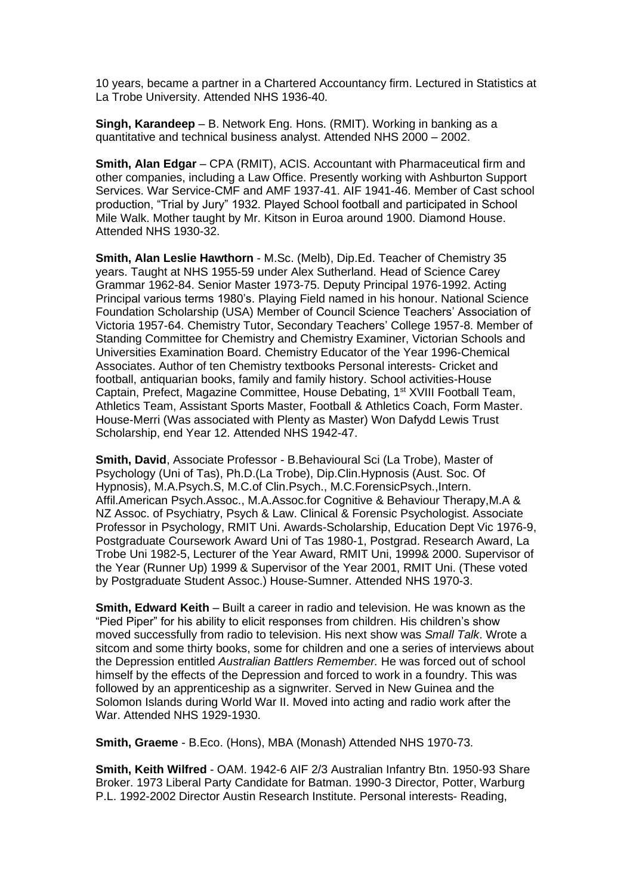10 years, became a partner in a Chartered Accountancy firm. Lectured in Statistics at La Trobe University. Attended NHS 1936-40.

**Singh, Karandeep** – B. Network Eng. Hons. (RMIT). Working in banking as a quantitative and technical business analyst. Attended NHS 2000 – 2002.

**Smith, Alan Edgar** – CPA (RMIT), ACIS. Accountant with Pharmaceutical firm and other companies, including a Law Office. Presently working with Ashburton Support Services. War Service-CMF and AMF 1937-41. AIF 1941-46. Member of Cast school production, "Trial by Jury" 1932. Played School football and participated in School Mile Walk. Mother taught by Mr. Kitson in Euroa around 1900. Diamond House. Attended NHS 1930-32.

**Smith, Alan Leslie Hawthorn** - M.Sc. (Melb), Dip.Ed. Teacher of Chemistry 35 years. Taught at NHS 1955-59 under Alex Sutherland. Head of Science Carey Grammar 1962-84. Senior Master 1973-75. Deputy Principal 1976-1992. Acting Principal various terms 1980's. Playing Field named in his honour. National Science Foundation Scholarship (USA) Member of Council Science Teachers' Association of Victoria 1957-64. Chemistry Tutor, Secondary Teachers' College 1957-8. Member of Standing Committee for Chemistry and Chemistry Examiner, Victorian Schools and Universities Examination Board. Chemistry Educator of the Year 1996-Chemical Associates. Author of ten Chemistry textbooks Personal interests- Cricket and football, antiquarian books, family and family history. School activities-House Captain, Prefect, Magazine Committee, House Debating, 1<sup>st</sup> XVIII Football Team, Athletics Team, Assistant Sports Master, Football & Athletics Coach, Form Master. House-Merri (Was associated with Plenty as Master) Won Dafydd Lewis Trust Scholarship, end Year 12. Attended NHS 1942-47.

**Smith, David**, Associate Professor - B.Behavioural Sci (La Trobe), Master of Psychology (Uni of Tas), Ph.D.(La Trobe), Dip.Clin.Hypnosis (Aust. Soc. Of Hypnosis), M.A.Psych.S, M.C.of Clin.Psych., M.C.ForensicPsych.,Intern. Affil.American Psych.Assoc., M.A.Assoc.for Cognitive & Behaviour Therapy,M.A & NZ Assoc. of Psychiatry, Psych & Law. Clinical & Forensic Psychologist. Associate Professor in Psychology, RMIT Uni. Awards-Scholarship, Education Dept Vic 1976-9, Postgraduate Coursework Award Uni of Tas 1980-1, Postgrad. Research Award, La Trobe Uni 1982-5, Lecturer of the Year Award, RMIT Uni, 1999& 2000. Supervisor of the Year (Runner Up) 1999 & Supervisor of the Year 2001, RMIT Uni. (These voted by Postgraduate Student Assoc.) House-Sumner. Attended NHS 1970-3.

**Smith, Edward Keith** – Built a career in radio and television. He was known as the "Pied Piper" for his ability to elicit responses from children. His children's show moved successfully from radio to television. His next show was *Small Talk*. Wrote a sitcom and some thirty books, some for children and one a series of interviews about the Depression entitled *Australian Battlers Remember.* He was forced out of school himself by the effects of the Depression and forced to work in a foundry. This was followed by an apprenticeship as a signwriter. Served in New Guinea and the Solomon Islands during World War II. Moved into acting and radio work after the War. Attended NHS 1929-1930.

**Smith, Graeme** - B.Eco. (Hons), MBA (Monash) Attended NHS 1970-73.

**Smith, Keith Wilfred** - OAM. 1942-6 AIF 2/3 Australian Infantry Btn. 1950-93 Share Broker. 1973 Liberal Party Candidate for Batman. 1990-3 Director, Potter, Warburg P.L. 1992-2002 Director Austin Research Institute. Personal interests- Reading,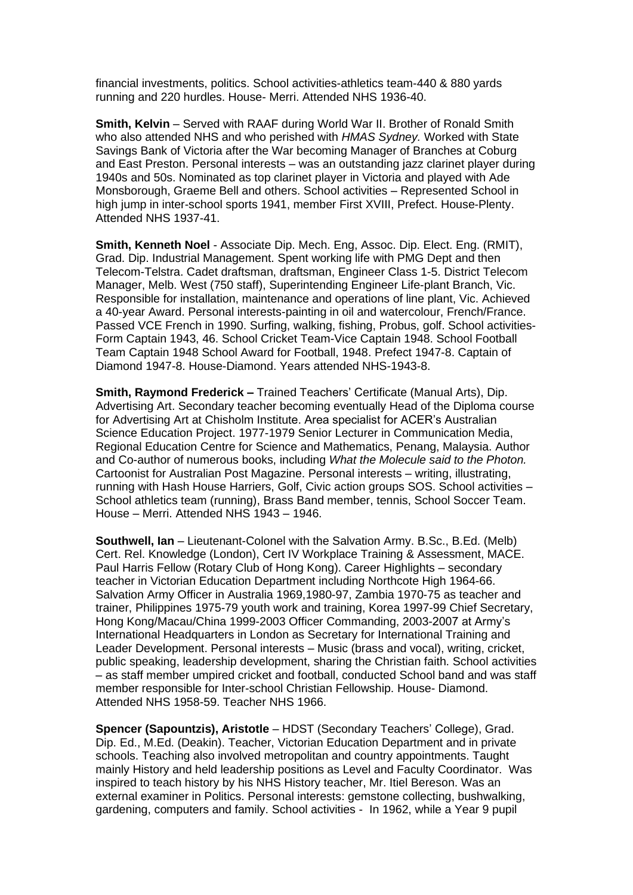financial investments, politics. School activities-athletics team-440 & 880 yards running and 220 hurdles. House- Merri. Attended NHS 1936-40.

**Smith, Kelvin** – Served with RAAF during World War II. Brother of Ronald Smith who also attended NHS and who perished with *HMAS Sydney.* Worked with State Savings Bank of Victoria after the War becoming Manager of Branches at Coburg and East Preston. Personal interests – was an outstanding jazz clarinet player during 1940s and 50s. Nominated as top clarinet player in Victoria and played with Ade Monsborough, Graeme Bell and others. School activities – Represented School in high jump in inter-school sports 1941, member First XVIII, Prefect. House-Plenty. Attended NHS 1937-41.

**Smith, Kenneth Noel** - Associate Dip. Mech. Eng, Assoc. Dip. Elect. Eng. (RMIT), Grad. Dip. Industrial Management. Spent working life with PMG Dept and then Telecom-Telstra. Cadet draftsman, draftsman, Engineer Class 1-5. District Telecom Manager, Melb. West (750 staff), Superintending Engineer Life-plant Branch, Vic. Responsible for installation, maintenance and operations of line plant, Vic. Achieved a 40-year Award. Personal interests-painting in oil and watercolour, French/France. Passed VCE French in 1990. Surfing, walking, fishing, Probus, golf. School activities-Form Captain 1943, 46. School Cricket Team-Vice Captain 1948. School Football Team Captain 1948 School Award for Football, 1948. Prefect 1947-8. Captain of Diamond 1947-8. House-Diamond. Years attended NHS-1943-8.

**Smith, Raymond Frederick –** Trained Teachers' Certificate (Manual Arts), Dip. Advertising Art. Secondary teacher becoming eventually Head of the Diploma course for Advertising Art at Chisholm Institute. Area specialist for ACER's Australian Science Education Project. 1977-1979 Senior Lecturer in Communication Media, Regional Education Centre for Science and Mathematics, Penang, Malaysia. Author and Co-author of numerous books, including *What the Molecule said to the Photon.* Cartoonist for Australian Post Magazine. Personal interests – writing, illustrating, running with Hash House Harriers, Golf, Civic action groups SOS. School activities – School athletics team (running), Brass Band member, tennis, School Soccer Team. House – Merri. Attended NHS 1943 – 1946.

**Southwell, Ian** – Lieutenant-Colonel with the Salvation Army. B.Sc., B.Ed. (Melb) Cert. Rel. Knowledge (London), Cert IV Workplace Training & Assessment, MACE. Paul Harris Fellow (Rotary Club of Hong Kong). Career Highlights – secondary teacher in Victorian Education Department including Northcote High 1964-66. Salvation Army Officer in Australia 1969,1980-97, Zambia 1970-75 as teacher and trainer, Philippines 1975-79 youth work and training, Korea 1997-99 Chief Secretary, Hong Kong/Macau/China 1999-2003 Officer Commanding, 2003-2007 at Army's International Headquarters in London as Secretary for International Training and Leader Development. Personal interests – Music (brass and vocal), writing, cricket, public speaking, leadership development, sharing the Christian faith. School activities – as staff member umpired cricket and football, conducted School band and was staff member responsible for Inter-school Christian Fellowship. House- Diamond. Attended NHS 1958-59. Teacher NHS 1966.

**Spencer (Sapountzis), Aristotle** – HDST (Secondary Teachers' College), Grad. Dip. Ed., M.Ed. (Deakin). Teacher, Victorian Education Department and in private schools. Teaching also involved metropolitan and country appointments. Taught mainly History and held leadership positions as Level and Faculty Coordinator. Was inspired to teach history by his NHS History teacher, Mr. Itiel Bereson. Was an external examiner in Politics. Personal interests: gemstone collecting, bushwalking, gardening, computers and family. School activities - In 1962, while a Year 9 pupil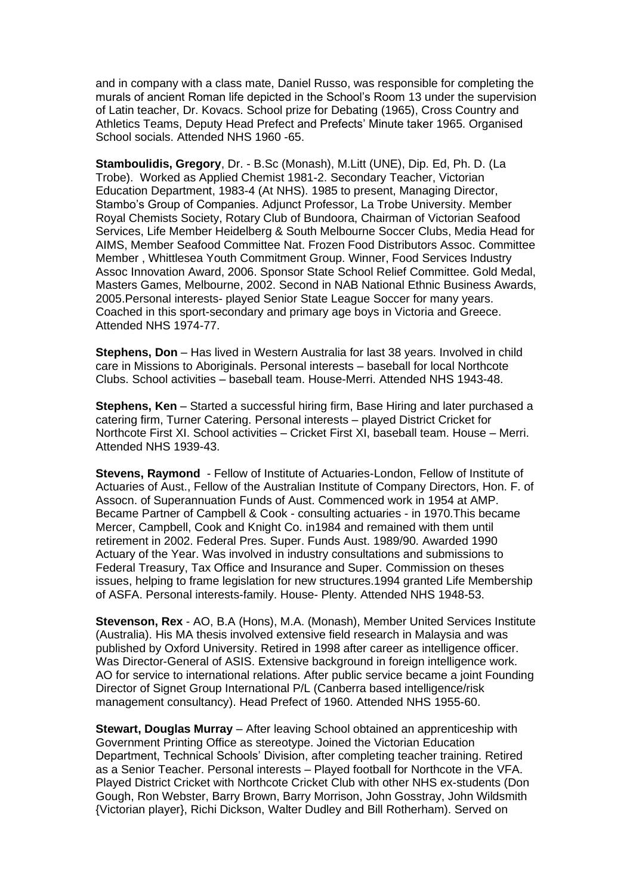and in company with a class mate, Daniel Russo, was responsible for completing the murals of ancient Roman life depicted in the School's Room 13 under the supervision of Latin teacher, Dr. Kovacs. School prize for Debating (1965), Cross Country and Athletics Teams, Deputy Head Prefect and Prefects' Minute taker 1965. Organised School socials. Attended NHS 1960 -65.

**Stamboulidis, Gregory**, Dr. - B.Sc (Monash), M.Litt (UNE), Dip. Ed, Ph. D. (La Trobe). Worked as Applied Chemist 1981-2. Secondary Teacher, Victorian Education Department, 1983-4 (At NHS). 1985 to present, Managing Director, Stambo's Group of Companies. Adjunct Professor, La Trobe University. Member Royal Chemists Society, Rotary Club of Bundoora, Chairman of Victorian Seafood Services, Life Member Heidelberg & South Melbourne Soccer Clubs, Media Head for AIMS, Member Seafood Committee Nat. Frozen Food Distributors Assoc. Committee Member , Whittlesea Youth Commitment Group. Winner, Food Services Industry Assoc Innovation Award, 2006. Sponsor State School Relief Committee. Gold Medal, Masters Games, Melbourne, 2002. Second in NAB National Ethnic Business Awards, 2005.Personal interests- played Senior State League Soccer for many years. Coached in this sport-secondary and primary age boys in Victoria and Greece. Attended NHS 1974-77.

**Stephens, Don** – Has lived in Western Australia for last 38 years. Involved in child care in Missions to Aboriginals. Personal interests – baseball for local Northcote Clubs. School activities – baseball team. House-Merri. Attended NHS 1943-48.

**Stephens, Ken** – Started a successful hiring firm, Base Hiring and later purchased a catering firm, Turner Catering. Personal interests – played District Cricket for Northcote First XI. School activities – Cricket First XI, baseball team. House – Merri. Attended NHS 1939-43.

**Stevens, Raymond** - Fellow of Institute of Actuaries-London, Fellow of Institute of Actuaries of Aust., Fellow of the Australian Institute of Company Directors, Hon. F. of Assocn. of Superannuation Funds of Aust. Commenced work in 1954 at AMP. Became Partner of Campbell & Cook - consulting actuaries - in 1970.This became Mercer, Campbell, Cook and Knight Co. in1984 and remained with them until retirement in 2002. Federal Pres. Super. Funds Aust. 1989/90. Awarded 1990 Actuary of the Year. Was involved in industry consultations and submissions to Federal Treasury, Tax Office and Insurance and Super. Commission on theses issues, helping to frame legislation for new structures.1994 granted Life Membership of ASFA. Personal interests-family. House- Plenty. Attended NHS 1948-53.

**Stevenson, Rex** - AO, B.A (Hons), M.A. (Monash), Member United Services Institute (Australia). His MA thesis involved extensive field research in Malaysia and was published by Oxford University. Retired in 1998 after career as intelligence officer. Was Director-General of ASIS. Extensive background in foreign intelligence work. AO for service to international relations. After public service became a joint Founding Director of Signet Group International P/L (Canberra based intelligence/risk management consultancy). Head Prefect of 1960. Attended NHS 1955-60.

**Stewart, Douglas Murray** – After leaving School obtained an apprenticeship with Government Printing Office as stereotype. Joined the Victorian Education Department, Technical Schools' Division, after completing teacher training. Retired as a Senior Teacher. Personal interests – Played football for Northcote in the VFA. Played District Cricket with Northcote Cricket Club with other NHS ex-students (Don Gough, Ron Webster, Barry Brown, Barry Morrison, John Gosstray, John Wildsmith {Victorian player}, Richi Dickson, Walter Dudley and Bill Rotherham). Served on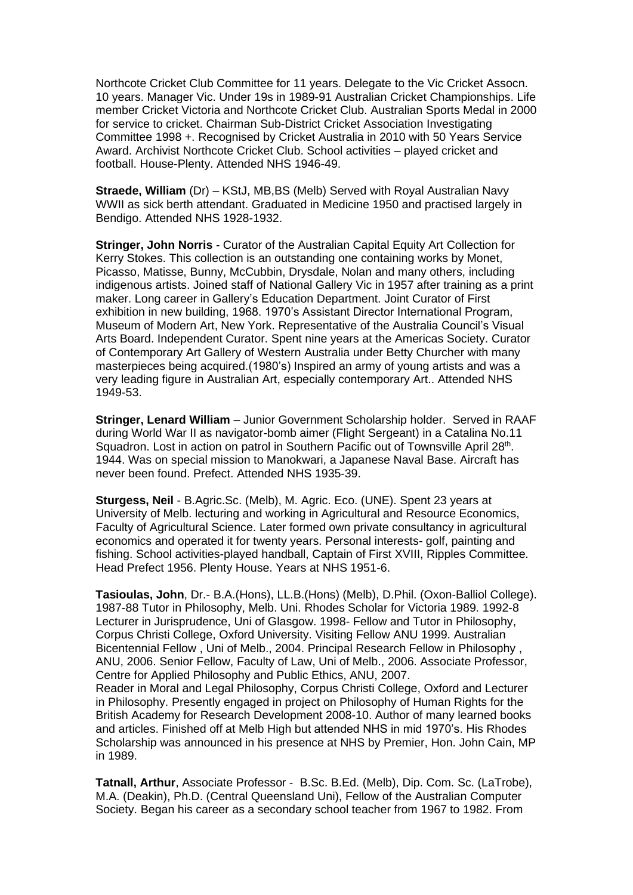Northcote Cricket Club Committee for 11 years. Delegate to the Vic Cricket Assocn. 10 years. Manager Vic. Under 19s in 1989-91 Australian Cricket Championships. Life member Cricket Victoria and Northcote Cricket Club. Australian Sports Medal in 2000 for service to cricket. Chairman Sub-District Cricket Association Investigating Committee 1998 +. Recognised by Cricket Australia in 2010 with 50 Years Service Award. Archivist Northcote Cricket Club. School activities – played cricket and football. House-Plenty. Attended NHS 1946-49.

**Straede, William** (Dr) – KStJ, MB,BS (Melb) Served with Royal Australian Navy WWII as sick berth attendant. Graduated in Medicine 1950 and practised largely in Bendigo. Attended NHS 1928-1932.

**Stringer, John Norris** - Curator of the Australian Capital Equity Art Collection for Kerry Stokes. This collection is an outstanding one containing works by Monet, Picasso, Matisse, Bunny, McCubbin, Drysdale, Nolan and many others, including indigenous artists. Joined staff of National Gallery Vic in 1957 after training as a print maker. Long career in Gallery's Education Department. Joint Curator of First exhibition in new building, 1968. 1970's Assistant Director International Program, Museum of Modern Art, New York. Representative of the Australia Council's Visual Arts Board. Independent Curator. Spent nine years at the Americas Society. Curator of Contemporary Art Gallery of Western Australia under Betty Churcher with many masterpieces being acquired.(1980's) Inspired an army of young artists and was a very leading figure in Australian Art, especially contemporary Art.. Attended NHS 1949-53.

**Stringer, Lenard William** – Junior Government Scholarship holder. Served in RAAF during World War II as navigator-bomb aimer (Flight Sergeant) in a Catalina No.11 Squadron. Lost in action on patrol in Southern Pacific out of Townsville April 28<sup>th</sup>. 1944. Was on special mission to Manokwari, a Japanese Naval Base. Aircraft has never been found. Prefect. Attended NHS 1935-39.

**Sturgess, Neil** - B.Agric.Sc. (Melb), M. Agric. Eco. (UNE). Spent 23 years at University of Melb. lecturing and working in Agricultural and Resource Economics, Faculty of Agricultural Science. Later formed own private consultancy in agricultural economics and operated it for twenty years. Personal interests- golf, painting and fishing. School activities-played handball, Captain of First XVIII, Ripples Committee. Head Prefect 1956. Plenty House. Years at NHS 1951-6.

**Tasioulas, John**, Dr.- B.A.(Hons), LL.B.(Hons) (Melb), D.Phil. (Oxon-Balliol College). 1987-88 Tutor in Philosophy, Melb. Uni. Rhodes Scholar for Victoria 1989. 1992-8 Lecturer in Jurisprudence, Uni of Glasgow. 1998- Fellow and Tutor in Philosophy, Corpus Christi College, Oxford University. Visiting Fellow ANU 1999. Australian Bicentennial Fellow , Uni of Melb., 2004. Principal Research Fellow in Philosophy , ANU, 2006. Senior Fellow, Faculty of Law, Uni of Melb., 2006. Associate Professor, Centre for Applied Philosophy and Public Ethics, ANU, 2007.

Reader in Moral and Legal Philosophy, Corpus Christi College, Oxford and Lecturer in Philosophy. Presently engaged in project on Philosophy of Human Rights for the British Academy for Research Development 2008-10. Author of many learned books and articles. Finished off at Melb High but attended NHS in mid 1970's. His Rhodes Scholarship was announced in his presence at NHS by Premier, Hon. John Cain, MP in 1989.

**Tatnall, Arthur**, Associate Professor - B.Sc. B.Ed. (Melb), Dip. Com. Sc. (LaTrobe), M.A. (Deakin), Ph.D. (Central Queensland Uni), Fellow of the Australian Computer Society. Began his career as a secondary school teacher from 1967 to 1982. From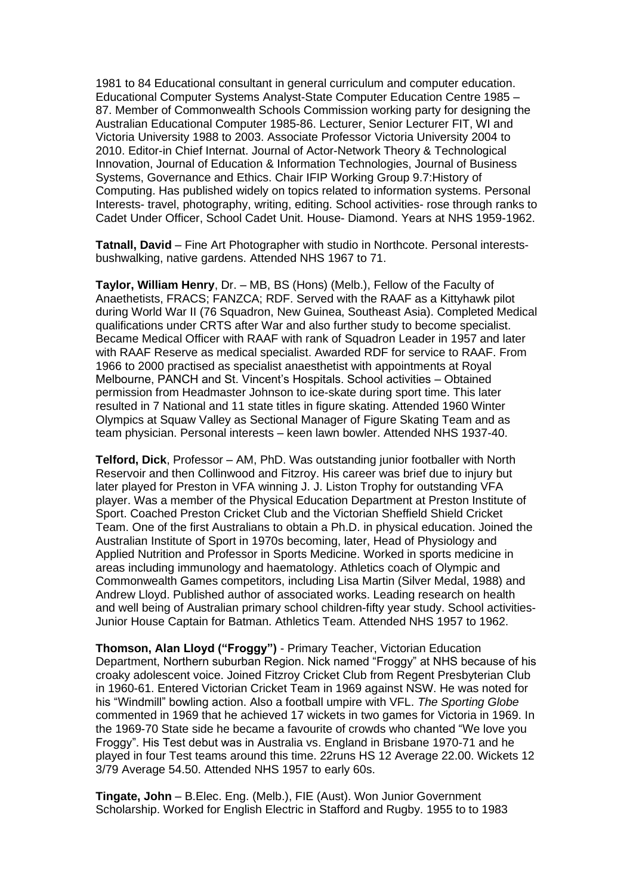1981 to 84 Educational consultant in general curriculum and computer education. Educational Computer Systems Analyst-State Computer Education Centre 1985 – 87. Member of Commonwealth Schools Commission working party for designing the Australian Educational Computer 1985-86. Lecturer, Senior Lecturer FIT, WI and Victoria University 1988 to 2003. Associate Professor Victoria University 2004 to 2010. Editor-in Chief Internat. Journal of Actor-Network Theory & Technological Innovation, Journal of Education & Information Technologies, Journal of Business Systems, Governance and Ethics. Chair IFIP Working Group 9.7:History of Computing. Has published widely on topics related to information systems. Personal Interests- travel, photography, writing, editing. School activities- rose through ranks to Cadet Under Officer, School Cadet Unit. House- Diamond. Years at NHS 1959-1962.

**Tatnall, David** – Fine Art Photographer with studio in Northcote. Personal interestsbushwalking, native gardens. Attended NHS 1967 to 71.

**Taylor, William Henry**, Dr. – MB, BS (Hons) (Melb.), Fellow of the Faculty of Anaethetists, FRACS; FANZCA; RDF. Served with the RAAF as a Kittyhawk pilot during World War II (76 Squadron, New Guinea, Southeast Asia). Completed Medical qualifications under CRTS after War and also further study to become specialist. Became Medical Officer with RAAF with rank of Squadron Leader in 1957 and later with RAAF Reserve as medical specialist. Awarded RDF for service to RAAF. From 1966 to 2000 practised as specialist anaesthetist with appointments at Royal Melbourne, PANCH and St. Vincent's Hospitals. School activities – Obtained permission from Headmaster Johnson to ice-skate during sport time. This later resulted in 7 National and 11 state titles in figure skating. Attended 1960 Winter Olympics at Squaw Valley as Sectional Manager of Figure Skating Team and as team physician. Personal interests – keen lawn bowler. Attended NHS 1937-40.

**Telford, Dick**, Professor – AM, PhD. Was outstanding junior footballer with North Reservoir and then Collinwood and Fitzroy. His career was brief due to injury but later played for Preston in VFA winning J. J. Liston Trophy for outstanding VFA player. Was a member of the Physical Education Department at Preston Institute of Sport. Coached Preston Cricket Club and the Victorian Sheffield Shield Cricket Team. One of the first Australians to obtain a Ph.D. in physical education. Joined the Australian Institute of Sport in 1970s becoming, later, Head of Physiology and Applied Nutrition and Professor in Sports Medicine. Worked in sports medicine in areas including immunology and haematology. Athletics coach of Olympic and Commonwealth Games competitors, including Lisa Martin (Silver Medal, 1988) and Andrew Lloyd. Published author of associated works. Leading research on health and well being of Australian primary school children-fifty year study. School activities-Junior House Captain for Batman. Athletics Team. Attended NHS 1957 to 1962.

**Thomson, Alan Lloyd ("Froggy")** - Primary Teacher, Victorian Education Department, Northern suburban Region. Nick named "Froggy" at NHS because of his croaky adolescent voice. Joined Fitzroy Cricket Club from Regent Presbyterian Club in 1960-61. Entered Victorian Cricket Team in 1969 against NSW. He was noted for his "Windmill" bowling action. Also a football umpire with VFL. *The Sporting Globe* commented in 1969 that he achieved 17 wickets in two games for Victoria in 1969. In the 1969-70 State side he became a favourite of crowds who chanted "We love you Froggy". His Test debut was in Australia vs. England in Brisbane 1970-71 and he played in four Test teams around this time. 22runs HS 12 Average 22.00. Wickets 12 3/79 Average 54.50. Attended NHS 1957 to early 60s.

**Tingate, John** – B.Elec. Eng. (Melb.), FIE (Aust). Won Junior Government Scholarship. Worked for English Electric in Stafford and Rugby. 1955 to to 1983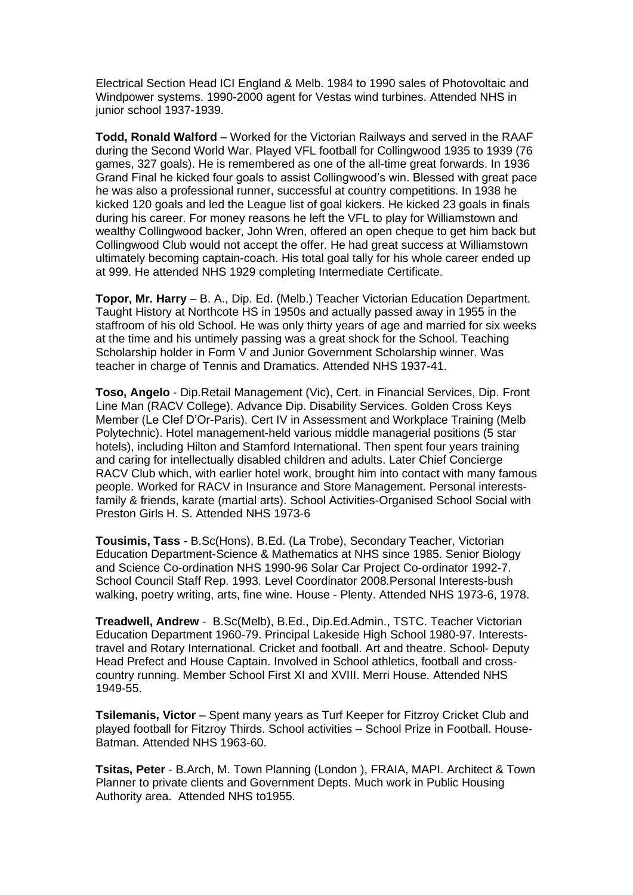Electrical Section Head ICI England & Melb. 1984 to 1990 sales of Photovoltaic and Windpower systems. 1990-2000 agent for Vestas wind turbines. Attended NHS in junior school 1937-1939.

**Todd, Ronald Walford** – Worked for the Victorian Railways and served in the RAAF during the Second World War. Played VFL football for Collingwood 1935 to 1939 (76 games, 327 goals). He is remembered as one of the all-time great forwards. In 1936 Grand Final he kicked four goals to assist Collingwood's win. Blessed with great pace he was also a professional runner, successful at country competitions. In 1938 he kicked 120 goals and led the League list of goal kickers. He kicked 23 goals in finals during his career. For money reasons he left the VFL to play for Williamstown and wealthy Collingwood backer, John Wren, offered an open cheque to get him back but Collingwood Club would not accept the offer. He had great success at Williamstown ultimately becoming captain-coach. His total goal tally for his whole career ended up at 999. He attended NHS 1929 completing Intermediate Certificate.

**Topor, Mr. Harry** – B. A., Dip. Ed. (Melb.) Teacher Victorian Education Department. Taught History at Northcote HS in 1950s and actually passed away in 1955 in the staffroom of his old School. He was only thirty years of age and married for six weeks at the time and his untimely passing was a great shock for the School. Teaching Scholarship holder in Form V and Junior Government Scholarship winner. Was teacher in charge of Tennis and Dramatics. Attended NHS 1937-41.

**Toso, Angelo** - Dip.Retail Management (Vic), Cert. in Financial Services, Dip. Front Line Man (RACV College). Advance Dip. Disability Services. Golden Cross Keys Member (Le Clef D'Or-Paris). Cert IV in Assessment and Workplace Training (Melb Polytechnic). Hotel management-held various middle managerial positions (5 star hotels), including Hilton and Stamford International. Then spent four years training and caring for intellectually disabled children and adults. Later Chief Concierge RACV Club which, with earlier hotel work, brought him into contact with many famous people. Worked for RACV in Insurance and Store Management. Personal interestsfamily & friends, karate (martial arts). School Activities-Organised School Social with Preston Girls H. S. Attended NHS 1973-6

**Tousimis, Tass** - B.Sc(Hons), B.Ed. (La Trobe), Secondary Teacher, Victorian Education Department-Science & Mathematics at NHS since 1985. Senior Biology and Science Co-ordination NHS 1990-96 Solar Car Project Co-ordinator 1992-7. School Council Staff Rep. 1993. Level Coordinator 2008.Personal Interests-bush walking, poetry writing, arts, fine wine. House - Plenty. Attended NHS 1973-6, 1978.

**Treadwell, Andrew** - B.Sc(Melb), B.Ed., Dip.Ed.Admin., TSTC. Teacher Victorian Education Department 1960-79. Principal Lakeside High School 1980-97. Intereststravel and Rotary International. Cricket and football. Art and theatre. School- Deputy Head Prefect and House Captain. Involved in School athletics, football and crosscountry running. Member School First XI and XVIII. Merri House. Attended NHS 1949-55.

**Tsilemanis, Victor** – Spent many years as Turf Keeper for Fitzroy Cricket Club and played football for Fitzroy Thirds. School activities – School Prize in Football. House-Batman. Attended NHS 1963-60.

**Tsitas, Peter** - B.Arch, M. Town Planning (London ), FRAIA, MAPI. Architect & Town Planner to private clients and Government Depts. Much work in Public Housing Authority area. Attended NHS to1955.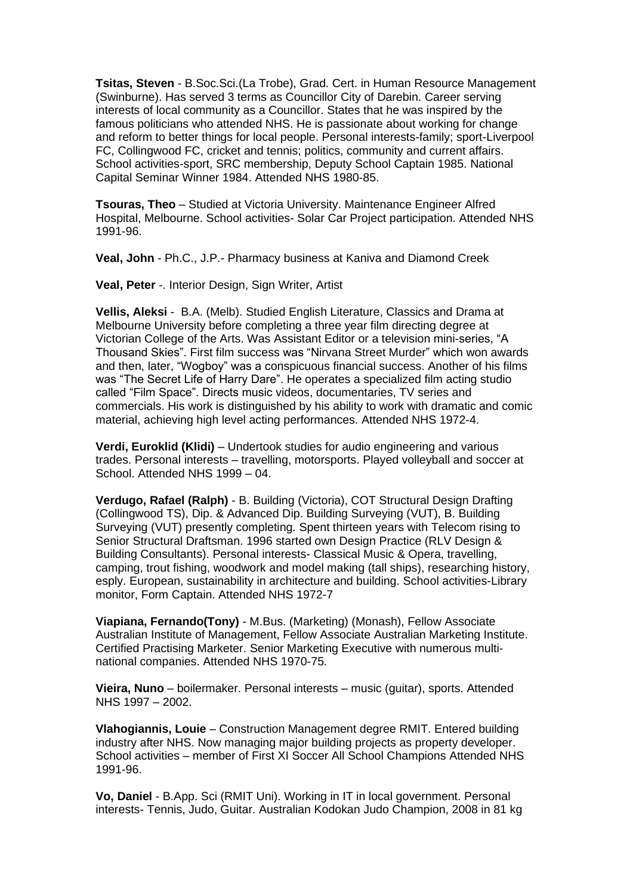**Tsitas, Steven** - B.Soc.Sci.(La Trobe), Grad. Cert. in Human Resource Management (Swinburne). Has served 3 terms as Councillor City of Darebin. Career serving interests of local community as a Councillor. States that he was inspired by the famous politicians who attended NHS. He is passionate about working for change and reform to better things for local people. Personal interests-family; sport-Liverpool FC, Collingwood FC, cricket and tennis; politics, community and current affairs. School activities-sport, SRC membership, Deputy School Captain 1985. National Capital Seminar Winner 1984. Attended NHS 1980-85.

**Tsouras, Theo** – Studied at Victoria University. Maintenance Engineer Alfred Hospital, Melbourne. School activities- Solar Car Project participation. Attended NHS 1991-96.

**Veal, John** - Ph.C., J.P.- Pharmacy business at Kaniva and Diamond Creek

**Veal, Peter** -. Interior Design, Sign Writer, Artist

**Vellis, Aleksi** - B.A. (Melb). Studied English Literature, Classics and Drama at Melbourne University before completing a three year film directing degree at Victorian College of the Arts. Was Assistant Editor or a television mini-series, "A Thousand Skies". First film success was "Nirvana Street Murder" which won awards and then, later, "Wogboy" was a conspicuous financial success. Another of his films was "The Secret Life of Harry Dare". He operates a specialized film acting studio called "Film Space". Directs music videos, documentaries, TV series and commercials. His work is distinguished by his ability to work with dramatic and comic material, achieving high level acting performances. Attended NHS 1972-4.

**Verdi, Euroklid (Klidi)** – Undertook studies for audio engineering and various trades. Personal interests – travelling, motorsports. Played volleyball and soccer at School. Attended NHS 1999 – 04.

**Verdugo, Rafael (Ralph)** - B. Building (Victoria), COT Structural Design Drafting (Collingwood TS), Dip. & Advanced Dip. Building Surveying (VUT), B. Building Surveying (VUT) presently completing. Spent thirteen years with Telecom rising to Senior Structural Draftsman. 1996 started own Design Practice (RLV Design & Building Consultants). Personal interests- Classical Music & Opera, travelling, camping, trout fishing, woodwork and model making (tall ships), researching history, esply. European, sustainability in architecture and building. School activities-Library monitor, Form Captain. Attended NHS 1972-7

**Viapiana, Fernando(Tony)** - M.Bus. (Marketing) (Monash), Fellow Associate Australian Institute of Management, Fellow Associate Australian Marketing Institute. Certified Practising Marketer. Senior Marketing Executive with numerous multinational companies. Attended NHS 1970-75.

**Vieira, Nuno** – boilermaker. Personal interests – music (guitar), sports. Attended NHS 1997 – 2002.

**Vlahogiannis, Louie** – Construction Management degree RMIT. Entered building industry after NHS. Now managing major building projects as property developer. School activities – member of First XI Soccer All School Champions Attended NHS 1991-96.

**Vo, Daniel** - B.App. Sci (RMIT Uni). Working in IT in local government. Personal interests- Tennis, Judo, Guitar. Australian Kodokan Judo Champion, 2008 in 81 kg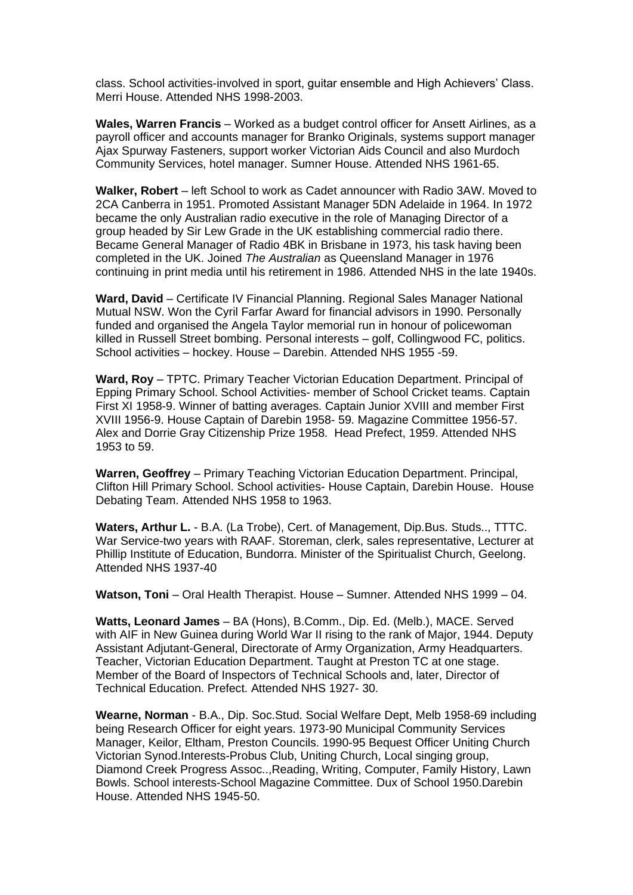class. School activities-involved in sport, guitar ensemble and High Achievers' Class. Merri House. Attended NHS 1998-2003.

**Wales, Warren Francis** – Worked as a budget control officer for Ansett Airlines, as a payroll officer and accounts manager for Branko Originals, systems support manager Ajax Spurway Fasteners, support worker Victorian Aids Council and also Murdoch Community Services, hotel manager. Sumner House. Attended NHS 1961-65.

**Walker, Robert** – left School to work as Cadet announcer with Radio 3AW. Moved to 2CA Canberra in 1951. Promoted Assistant Manager 5DN Adelaide in 1964. In 1972 became the only Australian radio executive in the role of Managing Director of a group headed by Sir Lew Grade in the UK establishing commercial radio there. Became General Manager of Radio 4BK in Brisbane in 1973, his task having been completed in the UK. Joined *The Australian* as Queensland Manager in 1976 continuing in print media until his retirement in 1986. Attended NHS in the late 1940s.

**Ward, David** – Certificate IV Financial Planning. Regional Sales Manager National Mutual NSW. Won the Cyril Farfar Award for financial advisors in 1990. Personally funded and organised the Angela Taylor memorial run in honour of policewoman killed in Russell Street bombing. Personal interests – golf, Collingwood FC, politics. School activities – hockey. House – Darebin. Attended NHS 1955 -59.

**Ward, Roy** – TPTC. Primary Teacher Victorian Education Department. Principal of Epping Primary School. School Activities- member of School Cricket teams. Captain First XI 1958-9. Winner of batting averages. Captain Junior XVIII and member First XVIII 1956-9. House Captain of Darebin 1958- 59. Magazine Committee 1956-57. Alex and Dorrie Gray Citizenship Prize 1958. Head Prefect, 1959. Attended NHS 1953 to 59.

**Warren, Geoffrey** – Primary Teaching Victorian Education Department. Principal, Clifton Hill Primary School. School activities- House Captain, Darebin House. House Debating Team. Attended NHS 1958 to 1963.

**Waters, Arthur L.** - B.A. (La Trobe), Cert. of Management, Dip.Bus. Studs.., TTTC. War Service-two years with RAAF. Storeman, clerk, sales representative, Lecturer at Phillip Institute of Education, Bundorra. Minister of the Spiritualist Church, Geelong. Attended NHS 1937-40

**Watson, Toni** – Oral Health Therapist. House – Sumner. Attended NHS 1999 – 04.

**Watts, Leonard James** – BA (Hons), B.Comm., Dip. Ed. (Melb.), MACE. Served with AIF in New Guinea during World War II rising to the rank of Major, 1944. Deputy Assistant Adjutant-General, Directorate of Army Organization, Army Headquarters. Teacher, Victorian Education Department. Taught at Preston TC at one stage. Member of the Board of Inspectors of Technical Schools and, later, Director of Technical Education. Prefect. Attended NHS 1927- 30.

**Wearne, Norman** - B.A., Dip. Soc.Stud. Social Welfare Dept, Melb 1958-69 including being Research Officer for eight years. 1973-90 Municipal Community Services Manager, Keilor, Eltham, Preston Councils. 1990-95 Bequest Officer Uniting Church Victorian Synod.Interests-Probus Club, Uniting Church, Local singing group, Diamond Creek Progress Assoc..,Reading, Writing, Computer, Family History, Lawn Bowls. School interests-School Magazine Committee. Dux of School 1950.Darebin House. Attended NHS 1945-50.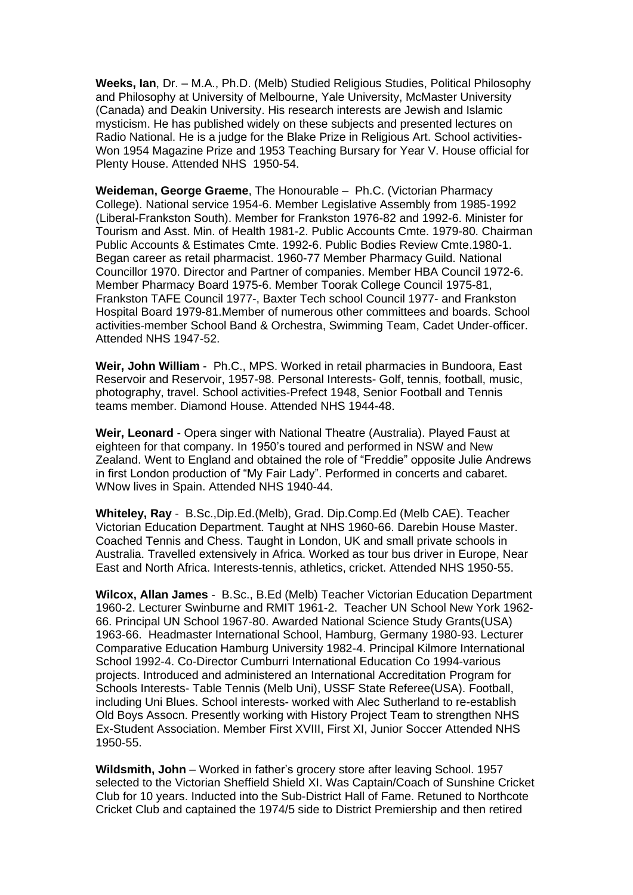**Weeks, Ian**, Dr. – M.A., Ph.D. (Melb) Studied Religious Studies, Political Philosophy and Philosophy at University of Melbourne, Yale University, McMaster University (Canada) and Deakin University. His research interests are Jewish and Islamic mysticism. He has published widely on these subjects and presented lectures on Radio National. He is a judge for the Blake Prize in Religious Art. School activities-Won 1954 Magazine Prize and 1953 Teaching Bursary for Year V. House official for Plenty House. Attended NHS 1950-54.

**Weideman, George Graeme**, The Honourable – Ph.C. (Victorian Pharmacy College). National service 1954-6. Member Legislative Assembly from 1985-1992 (Liberal-Frankston South). Member for Frankston 1976-82 and 1992-6. Minister for Tourism and Asst. Min. of Health 1981-2. Public Accounts Cmte. 1979-80. Chairman Public Accounts & Estimates Cmte. 1992-6. Public Bodies Review Cmte.1980-1. Began career as retail pharmacist. 1960-77 Member Pharmacy Guild. National Councillor 1970. Director and Partner of companies. Member HBA Council 1972-6. Member Pharmacy Board 1975-6. Member Toorak College Council 1975-81, Frankston TAFE Council 1977-, Baxter Tech school Council 1977- and Frankston Hospital Board 1979-81.Member of numerous other committees and boards. School activities-member School Band & Orchestra, Swimming Team, Cadet Under-officer. Attended NHS 1947-52.

**Weir, John William** - Ph.C., MPS. Worked in retail pharmacies in Bundoora, East Reservoir and Reservoir, 1957-98. Personal Interests- Golf, tennis, football, music, photography, travel. School activities-Prefect 1948, Senior Football and Tennis teams member. Diamond House. Attended NHS 1944-48.

**Weir, Leonard** - Opera singer with National Theatre (Australia). Played Faust at eighteen for that company. In 1950's toured and performed in NSW and New Zealand. Went to England and obtained the role of "Freddie" opposite Julie Andrews in first London production of "My Fair Lady". Performed in concerts and cabaret. WNow lives in Spain. Attended NHS 1940-44.

**Whiteley, Ray** - B.Sc.,Dip.Ed.(Melb), Grad. Dip.Comp.Ed (Melb CAE). Teacher Victorian Education Department. Taught at NHS 1960-66. Darebin House Master. Coached Tennis and Chess. Taught in London, UK and small private schools in Australia. Travelled extensively in Africa. Worked as tour bus driver in Europe, Near East and North Africa. Interests-tennis, athletics, cricket. Attended NHS 1950-55.

**Wilcox, Allan James** - B.Sc., B.Ed (Melb) Teacher Victorian Education Department 1960-2. Lecturer Swinburne and RMIT 1961-2. Teacher UN School New York 1962- 66. Principal UN School 1967-80. Awarded National Science Study Grants(USA) 1963-66. Headmaster International School, Hamburg, Germany 1980-93. Lecturer Comparative Education Hamburg University 1982-4. Principal Kilmore International School 1992-4. Co-Director Cumburri International Education Co 1994-various projects. Introduced and administered an International Accreditation Program for Schools Interests- Table Tennis (Melb Uni), USSF State Referee(USA). Football, including Uni Blues. School interests- worked with Alec Sutherland to re-establish Old Boys Assocn. Presently working with History Project Team to strengthen NHS Ex-Student Association. Member First XVIII, First XI, Junior Soccer Attended NHS 1950-55.

**Wildsmith, John** – Worked in father's grocery store after leaving School. 1957 selected to the Victorian Sheffield Shield XI. Was Captain/Coach of Sunshine Cricket Club for 10 years. Inducted into the Sub-District Hall of Fame. Retuned to Northcote Cricket Club and captained the 1974/5 side to District Premiership and then retired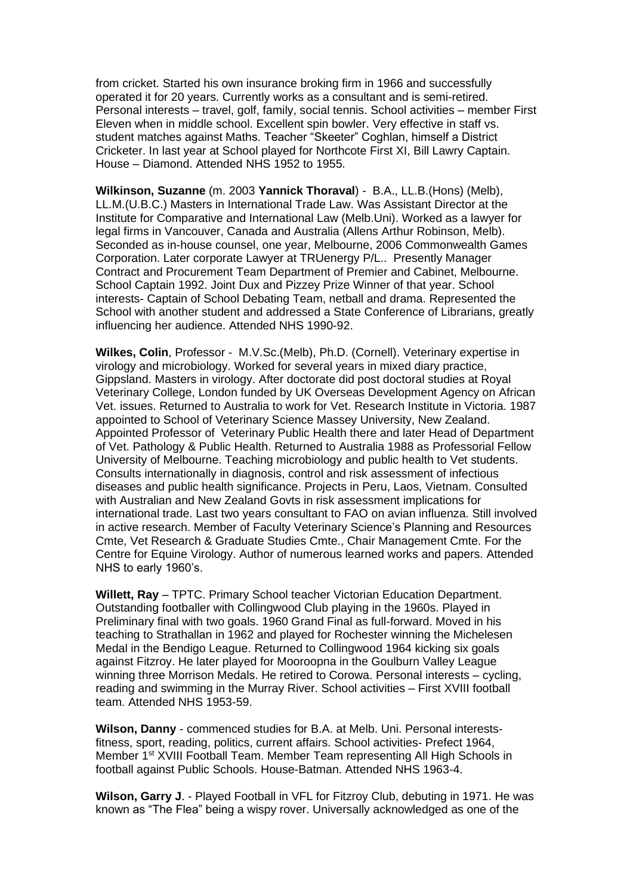from cricket. Started his own insurance broking firm in 1966 and successfully operated it for 20 years. Currently works as a consultant and is semi-retired. Personal interests – travel, golf, family, social tennis. School activities – member First Eleven when in middle school. Excellent spin bowler. Very effective in staff vs. student matches against Maths. Teacher "Skeeter" Coghlan, himself a District Cricketer. In last year at School played for Northcote First XI, Bill Lawry Captain. House – Diamond. Attended NHS 1952 to 1955.

**Wilkinson, Suzanne** (m. 2003 **Yannick Thoraval**) - B.A., LL.B.(Hons) (Melb), LL.M.(U.B.C.) Masters in International Trade Law. Was Assistant Director at the Institute for Comparative and International Law (Melb.Uni). Worked as a lawyer for legal firms in Vancouver, Canada and Australia (Allens Arthur Robinson, Melb). Seconded as in-house counsel, one year, Melbourne, 2006 Commonwealth Games Corporation. Later corporate Lawyer at TRUenergy P/L.. Presently Manager Contract and Procurement Team Department of Premier and Cabinet, Melbourne. School Captain 1992. Joint Dux and Pizzey Prize Winner of that year. School interests- Captain of School Debating Team, netball and drama. Represented the School with another student and addressed a State Conference of Librarians, greatly influencing her audience. Attended NHS 1990-92.

**Wilkes, Colin**, Professor - M.V.Sc.(Melb), Ph.D. (Cornell). Veterinary expertise in virology and microbiology. Worked for several years in mixed diary practice, Gippsland. Masters in virology. After doctorate did post doctoral studies at Royal Veterinary College, London funded by UK Overseas Development Agency on African Vet. issues. Returned to Australia to work for Vet. Research Institute in Victoria. 1987 appointed to School of Veterinary Science Massey University, New Zealand. Appointed Professor of Veterinary Public Health there and later Head of Department of Vet. Pathology & Public Health. Returned to Australia 1988 as Professorial Fellow University of Melbourne. Teaching microbiology and public health to Vet students. Consults internationally in diagnosis, control and risk assessment of infectious diseases and public health significance. Projects in Peru, Laos, Vietnam. Consulted with Australian and New Zealand Govts in risk assessment implications for international trade. Last two years consultant to FAO on avian influenza. Still involved in active research. Member of Faculty Veterinary Science's Planning and Resources Cmte, Vet Research & Graduate Studies Cmte., Chair Management Cmte. For the Centre for Equine Virology. Author of numerous learned works and papers. Attended NHS to early 1960's.

**Willett, Ray** – TPTC. Primary School teacher Victorian Education Department. Outstanding footballer with Collingwood Club playing in the 1960s. Played in Preliminary final with two goals. 1960 Grand Final as full-forward. Moved in his teaching to Strathallan in 1962 and played for Rochester winning the Michelesen Medal in the Bendigo League. Returned to Collingwood 1964 kicking six goals against Fitzroy. He later played for Mooroopna in the Goulburn Valley League winning three Morrison Medals. He retired to Corowa. Personal interests – cycling, reading and swimming in the Murray River. School activities – First XVIII football team. Attended NHS 1953-59.

**Wilson, Danny** - commenced studies for B.A. at Melb. Uni. Personal interestsfitness, sport, reading, politics, current affairs. School activities- Prefect 1964, Member 1<sup>st</sup> XVIII Football Team. Member Team representing All High Schools in football against Public Schools. House-Batman. Attended NHS 1963-4.

**Wilson, Garry J**. - Played Football in VFL for Fitzroy Club, debuting in 1971. He was known as "The Flea" being a wispy rover. Universally acknowledged as one of the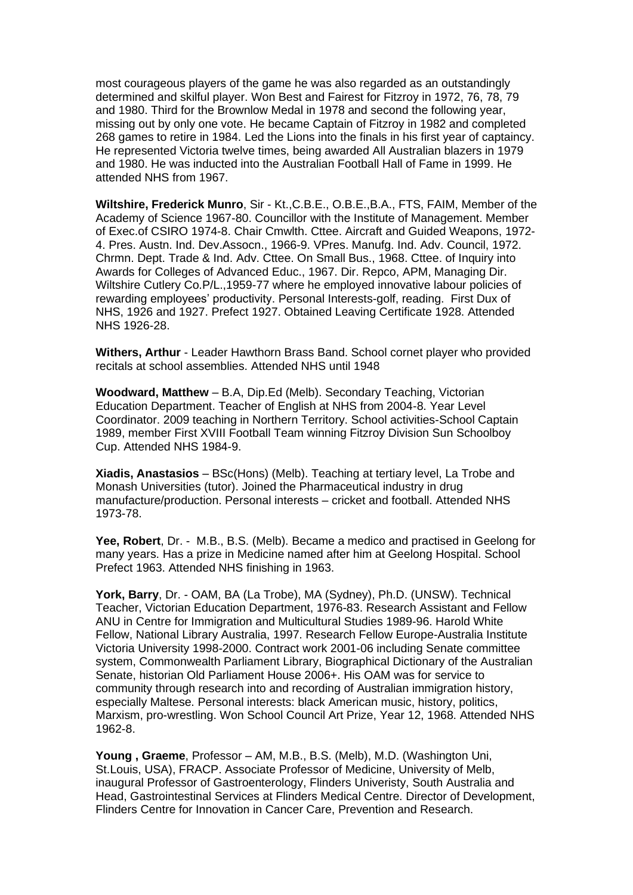most courageous players of the game he was also regarded as an outstandingly determined and skilful player. Won Best and Fairest for Fitzroy in 1972, 76, 78, 79 and 1980. Third for the Brownlow Medal in 1978 and second the following year, missing out by only one vote. He became Captain of Fitzroy in 1982 and completed 268 games to retire in 1984. Led the Lions into the finals in his first year of captaincy. He represented Victoria twelve times, being awarded All Australian blazers in 1979 and 1980. He was inducted into the Australian Football Hall of Fame in 1999. He attended NHS from 1967.

**Wiltshire, Frederick Munro**, Sir - Kt.,C.B.E., O.B.E.,B.A., FTS, FAIM, Member of the Academy of Science 1967-80. Councillor with the Institute of Management. Member of Exec.of CSIRO 1974-8. Chair Cmwlth. Cttee. Aircraft and Guided Weapons, 1972- 4. Pres. Austn. Ind. Dev.Assocn., 1966-9. VPres. Manufg. Ind. Adv. Council, 1972. Chrmn. Dept. Trade & Ind. Adv. Cttee. On Small Bus., 1968. Cttee. of Inquiry into Awards for Colleges of Advanced Educ., 1967. Dir. Repco, APM, Managing Dir. Wiltshire Cutlery Co.P/L.,1959-77 where he employed innovative labour policies of rewarding employees' productivity. Personal Interests-golf, reading. First Dux of NHS, 1926 and 1927. Prefect 1927. Obtained Leaving Certificate 1928. Attended NHS 1926-28.

**Withers, Arthur** - Leader Hawthorn Brass Band. School cornet player who provided recitals at school assemblies. Attended NHS until 1948

**Woodward, Matthew** – B.A, Dip.Ed (Melb). Secondary Teaching, Victorian Education Department. Teacher of English at NHS from 2004-8. Year Level Coordinator. 2009 teaching in Northern Territory. School activities-School Captain 1989, member First XVIII Football Team winning Fitzroy Division Sun Schoolboy Cup. Attended NHS 1984-9.

**Xiadis, Anastasios** – BSc(Hons) (Melb). Teaching at tertiary level, La Trobe and Monash Universities (tutor). Joined the Pharmaceutical industry in drug manufacture/production. Personal interests – cricket and football. Attended NHS 1973-78.

**Yee, Robert**, Dr. - M.B., B.S. (Melb). Became a medico and practised in Geelong for many years. Has a prize in Medicine named after him at Geelong Hospital. School Prefect 1963. Attended NHS finishing in 1963.

**York, Barry**, Dr. - OAM, BA (La Trobe), MA (Sydney), Ph.D. (UNSW). Technical Teacher, Victorian Education Department, 1976-83. Research Assistant and Fellow ANU in Centre for Immigration and Multicultural Studies 1989-96. Harold White Fellow, National Library Australia, 1997. Research Fellow Europe-Australia Institute Victoria University 1998-2000. Contract work 2001-06 including Senate committee system, Commonwealth Parliament Library, Biographical Dictionary of the Australian Senate, historian Old Parliament House 2006+. His OAM was for service to community through research into and recording of Australian immigration history, especially Maltese. Personal interests: black American music, history, politics, Marxism, pro-wrestling. Won School Council Art Prize, Year 12, 1968. Attended NHS 1962-8.

**Young , Graeme**, Professor – AM, M.B., B.S. (Melb), M.D. (Washington Uni, St.Louis, USA), FRACP. Associate Professor of Medicine, University of Melb, inaugural Professor of Gastroenterology, Flinders Univeristy, South Australia and Head, Gastrointestinal Services at Flinders Medical Centre. Director of Development, Flinders Centre for Innovation in Cancer Care, Prevention and Research.